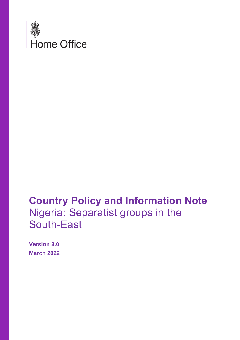

## **Country Policy and Information Note** Nigeria: Separatist groups in the South-East

**Version 3.0 March 2022**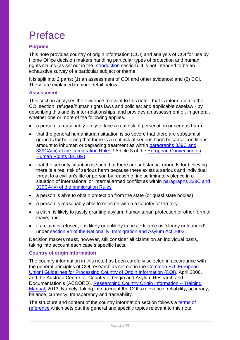# <span id="page-1-0"></span>Preface

## **Purpose**

This note provides country of origin information (COI) and analysis of COI for use by Home Office decision makers handling particular types of protection and human rights claims (as set out in the Introduction section). It is not intended to be an exhaustive survey of a particular subject or theme.

It is split into 2 parts: (1) an assessment of COI and other evidence; and (2) COI. These are explained in more detail below.

### **Assessment**

This section analyses the evidence relevant to this note - that is information in the COI section; refugee/human rights laws and policies; and applicable caselaw - by describing this and its inter-relationships, and provides an assessment of, in general, whether one or more of the following applies**:**

- a person is reasonably likely to face a real risk of persecution or serious harm
- that the general humanitarian situation is so severe that there are substantial grounds for believing that there is a real risk of serious harm because conditions amount to inhuman or degrading treatment as within [paragraphs 339C and](https://www.gov.uk/guidance/immigration-rules/immigration-rules-part-11-asylum)  [339CA\(iii\) of the Immigration Rules](https://www.gov.uk/guidance/immigration-rules/immigration-rules-part-11-asylum) / Article 3 of the [European Convention on](https://www.echr.coe.int/Pages/home.aspx?p=basictexts&c=)  [Human Rights \(ECHR\)](https://www.echr.coe.int/Pages/home.aspx?p=basictexts&c=)
- that the security situation is such that there are substantial grounds for believing there is a real risk of serious harm because there exists a serious and individual threat to a civilian's life or person by reason of indiscriminate violence in a situation of international or internal armed conflict as within [paragraphs 339C and](https://www.gov.uk/guidance/immigration-rules/immigration-rules-part-11-asylum)  [339CA\(iv\) of the Immigration Rules](https://www.gov.uk/guidance/immigration-rules/immigration-rules-part-11-asylum)
- a person is able to obtain protection from the state (or quasi state bodies)
- a person is reasonably able to relocate within a country or territory
- a claim is likely to justify granting asylum, humanitarian protection or other form of leave, and
- if a claim is refused, it is likely or unlikely to be certifiable as 'clearly unfounded' under [section 94 of the Nationality, Immigration and Asylum Act 2002.](https://www.legislation.gov.uk/ukpga/2002/41/section/94)

Decision makers **must**, however, still consider all claims on an individual basis, taking into account each case's specific facts.

## **Country of origin information**

The country information in this note has been carefully selected in accordance with the general principles of COI research as set out in the [Common EU \[European](http://www.refworld.org/docid/48493f7f2.html)  [Union\] Guidelines for Processing Country of Origin Information \(COI\),](http://www.refworld.org/docid/48493f7f2.html) April 2008, and the Austrian Centre for Country of Origin and Asylum Research and Documentation's (ACCORD), [Researching Country Origin Information –](https://www.coi-training.net/researching-coi/) Training [Manual,](https://www.coi-training.net/researching-coi/) 2013. Namely, taking into account the COI's relevance, reliability, accuracy, balance, currency, transparency and traceability.

The structure and content of the country information section follows a [terms of](#page-65-0)  [reference](#page-65-0) which sets out the general and specific topics relevant to this note.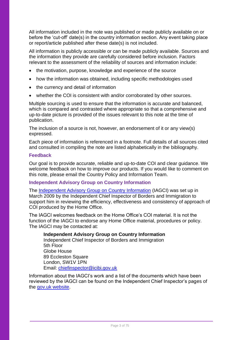All information included in the note was published or made publicly available on or before the 'cut-off' date(s) in the country information section. Any event taking place or report/article published after these date(s) is not included.

All information is publicly accessible or can be made publicly available. Sources and the information they provide are carefully considered before inclusion. Factors relevant to the assessment of the reliability of sources and information include:

- the motivation, purpose, knowledge and experience of the source
- how the information was obtained, including specific methodologies used
- the currency and detail of information
- whether the COI is consistent with and/or corroborated by other sources.

Multiple sourcing is used to ensure that the information is accurate and balanced, which is compared and contrasted where appropriate so that a comprehensive and up-to-date picture is provided of the issues relevant to this note at the time of publication.

The inclusion of a source is not, however, an endorsement of it or any view(s) expressed.

Each piece of information is referenced in a footnote. Full details of all sources cited and consulted in compiling the note are listed alphabetically in the bibliography.

## **Feedback**

Our goal is to provide accurate, reliable and up-to-date COI and clear guidance. We welcome feedback on how to improve our products. If you would like to comment on this note, please email the Country Policy and Information Team.

## **Independent Advisory Group on Country Information**

The [Independent Advisory Group on Country Information](https://www.gov.uk/government/organisations/independent-chief-inspector-of-borders-and-immigration/about/research) (IAGCI) was set up in March 2009 by the Independent Chief Inspector of Borders and Immigration to support him in reviewing the efficiency, effectiveness and consistency of approach of COI produced by the Home Office.

The IAGCI welcomes feedback on the Home Office's COI material. It is not the function of the IAGCI to endorse any Home Office material, procedures or policy. The IAGCI may be contacted at:

## **Independent Advisory Group on Country Information**

Independent Chief Inspector of Borders and Immigration 5th Floor Globe House 89 Eccleston Square London, SW1V 1PN Email: [chiefinspector@icibi.gov.uk](mailto:chiefinspector@icibi.gov.uk)

Information about the IAGCI's work and a list of the documents which have been reviewed by the IAGCI can be found on the Independent Chief Inspector's pages of the [gov.uk website.](https://www.gov.uk/government/organisations/independent-chief-inspector-of-borders-and-immigration/about/research#reviews)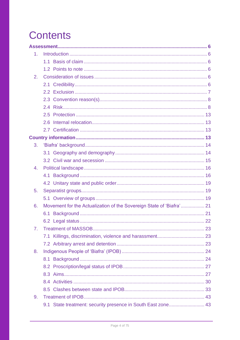# **Contents**

| 1 <sub>1</sub> |                                                                      |  |
|----------------|----------------------------------------------------------------------|--|
|                |                                                                      |  |
|                |                                                                      |  |
| 2.             |                                                                      |  |
|                |                                                                      |  |
|                |                                                                      |  |
|                |                                                                      |  |
|                |                                                                      |  |
|                |                                                                      |  |
|                | 2.6                                                                  |  |
|                |                                                                      |  |
|                |                                                                      |  |
| 3.             |                                                                      |  |
|                |                                                                      |  |
|                |                                                                      |  |
| 4 <sub>1</sub> |                                                                      |  |
|                |                                                                      |  |
|                |                                                                      |  |
| 5.             |                                                                      |  |
|                |                                                                      |  |
| 6.             | Movement for the Actualization of the Sovereign State of 'Biafra' 21 |  |
|                |                                                                      |  |
|                |                                                                      |  |
| 7 <sub>1</sub> |                                                                      |  |
|                |                                                                      |  |
|                |                                                                      |  |
| 8.             |                                                                      |  |
|                |                                                                      |  |
|                |                                                                      |  |
|                |                                                                      |  |
|                |                                                                      |  |
|                |                                                                      |  |
| 9.             |                                                                      |  |
|                | 9.1 State treatment: security presence in South East zone 43         |  |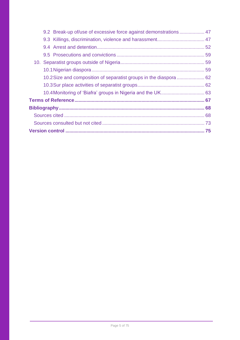| 9.2 Break-up of/use of excessive force against demonstrations  47 |  |
|-------------------------------------------------------------------|--|
|                                                                   |  |
|                                                                   |  |
|                                                                   |  |
|                                                                   |  |
|                                                                   |  |
|                                                                   |  |
|                                                                   |  |
|                                                                   |  |
|                                                                   |  |
|                                                                   |  |
|                                                                   |  |
|                                                                   |  |
|                                                                   |  |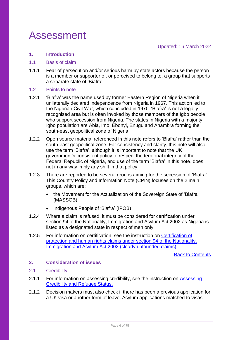## <span id="page-5-1"></span><span id="page-5-0"></span>**1. Introduction**

## <span id="page-5-2"></span>1.1 Basis of claim

1.1.1 Fear of persecution and/or serious harm by state actors because the person is a member or supporter of, or perceived to belong to, a group that supports a separate state of 'Biafra'.

### <span id="page-5-3"></span>1.2 Points to note

- 1.2.1 'Biafra' was the name used by former Eastern Region of Nigeria when it unilaterally declared independence from Nigeria in 1967. This action led to the Nigerian Civil War, which concluded in 1970. 'Biafra' is not a legally recognised area but is often invoked by those members of the Igbo people who support secession from Nigeria. The states in Nigeria with a majority Igbo population are Abia, Imo, Ebonyi, Enugu and Anambra forming the south-east geopolitical zone of Nigeria.
- 1.2.2 Open source material referenced in this note refers to 'Biafra' rather than the south-east geopolitical zone. For consistency and clarity, this note will also use the term 'Biafra'. although it is important to note that the UK government's consistent policy to respect the territorial integrity of the Federal Republic of Nigeria, and use of the term 'Biafra' in this note, does not in any way imply any shift in that policy.
- 1.2.3 There are reported to be several groups aiming for the secession of 'Biafra'. This Country Policy and Information Note (CPIN) focuses on the 2 main groups, which are:
	- the Movement for the Actualization of the Sovereign State of 'Biafra' (MASSOB)
	- Indigenous People of 'Biafra' (IPOB)
- 1.2.4 Where a claim is refused, it must be considered for certification under section 94 of the Nationality, Immigration and Asylum Act 2002 as Nigeria is listed as a designated state in respect of men only.
- 1.2.5 For information on certification, see the instruction on [Certification of](https://assets.publishing.service.gov.uk/government/uploads/system/uploads/attachment_data/file/778221/certification-s94-guidance-0219.pdf)  [protection and human rights claims under section 94 of the Nationality,](https://assets.publishing.service.gov.uk/government/uploads/system/uploads/attachment_data/file/778221/certification-s94-guidance-0219.pdf)  [Immigration and Asylum Act 2002 \(clearly unfounded claims\).](https://assets.publishing.service.gov.uk/government/uploads/system/uploads/attachment_data/file/778221/certification-s94-guidance-0219.pdf)

[Back to Contents](#page-1-0)

## <span id="page-5-4"></span>**2. Consideration of issues**

- <span id="page-5-5"></span>2.1 Credibility
- 2.1.1 For information on assessing credibility, see the instruction on Assessing [Credibility and Refugee Status.](https://www.gov.uk/government/publications/considering-asylum-claims-and-assessing-credibility-instruction)
- 2.1.2 Decision makers must also check if there has been a previous application for a UK visa or another form of leave. Asylum applications matched to visas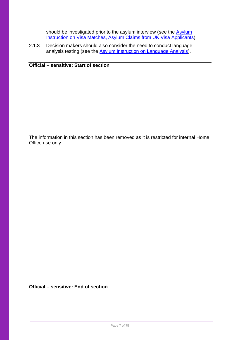should be investigated prior to the asylum interview (see the **Asylum** [Instruction on Visa Matches, Asylum Claims from UK Visa](https://www.gov.uk/government/publications/visa-matches-handling-asylum-claims-from-uk-visa-applicants-instruction) Applicants).

2.1.3 Decision makers should also consider the need to conduct language analysis testing (see the [Asylum Instruction on Language Analysis\)](https://www.gov.uk/government/publications/language-analysis-instruction).

**Official – sensitive: Start of section**

The information in this section has been removed as it is restricted for internal Home Office use only.

**Official – sensitive: End of section**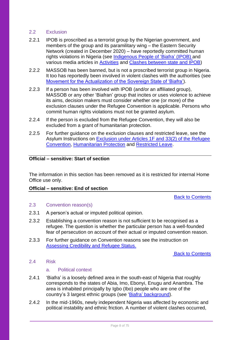## <span id="page-7-0"></span>2.2 Exclusion

- 2.2.1 IPOB is proscribed as a terrorist group by the Nigerian government, and members of the group and its paramilitary wing – the Eastern Security Network (created in December 2020) – have reportedly committed human rights violations in Nigeria (see [Indigenous People of 'Biafra'](#page-23-0) (IPOB) and various media articles in [Activities](#page-29-0) and [Clashes between state and IPOB\)](#page-32-0)
- 2.2.2 MASSOB has been banned, but is not a proscribed terrorist group in Nigeria. It too has reportedly been involved in violent clashes with the authorities (see [Movement for the Actualization of the Sovereign State of 'Biafra'\)](#page-20-0).
- 2.2.3 If a person has been involved with IPOB (and/or an affiliated group), MASSOB or any other 'Biafran' group that incites or uses violence to achieve its aims, decision makers must consider whether one (or more) of the exclusion clauses under the Refugee Convention is applicable. Persons who commit human rights violations must not be granted asylum.
- 2.2.4 If the person is excluded from the Refugee Convention, they will also be excluded from a grant of humanitarian protection.
- 2.2.5 For further guidance on the exclusion clauses and restricted leave, see the Asylum Instructions on [Exclusion under Articles 1F and 33\(2\) of the Refugee](https://www.gov.uk/government/publications/asylum-instruction-exclusion-article-1f-of-the-refugee-convention)  [Convention,](https://www.gov.uk/government/publications/asylum-instruction-exclusion-article-1f-of-the-refugee-convention) [Humanitarian Protection](https://www.gov.uk/government/publications/humanitarian-protection-instruction) and [Restricted Leave.](https://www.gov.uk/government/publications/restricted-leave-asylum-casework-instruction)

## **Official – sensitive: Start of section**

The information in this section has been removed as it is restricted for internal Home Office use only.

## **Official – sensitive: End of section**

[Back to Contents](#page-1-0)

## <span id="page-7-1"></span>2.3 Convention reason(s)

- 2.3.1 A person's actual or imputed political opinion.
- 2.3.2 Establishing a convention reason is not sufficient to be recognised as a refugee. The question is whether the particular person has a well-founded fear of persecution on account of their actual or imputed convention reason.
- 2.3.3 For further guidance on Convention reasons see the instruction on [Assessing Credibility and Refugee Status.](https://www.gov.uk/government/publications/considering-asylum-claims-and-assessing-credibility-instruction)

[Back to Contents](#page-1-0)

## <span id="page-7-2"></span>2.4 Risk

## a. Political context

- 2.4.1 'Biafra' is a loosely defined area in the south-east of Nigeria that roughly corresponds to the states of Abia, Imo, Ebonyi, Enugu and Anambra. The area is inhabited principally by Igbo (Ibo) people who are one of the country's 3 largest ethnic groups (see 'Biafra' [background\)](#page-13-1).
- 2.4.2 In the mid-1960s, newly independent Nigeria was affected by economic and political instability and ethnic friction. A number of violent clashes occurred,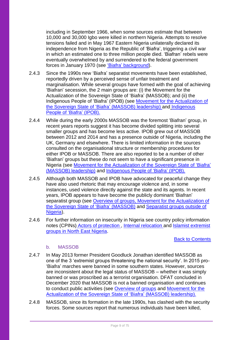including in September 1966, when some sources estimate that between 10,000 and 30,000 Igbo were killed in northern Nigeria. Attempts to resolve tensions failed and in May 1967 Eastern Nigeria unilaterally declared its independence from Nigeria as the Republic of 'Biafra', triggering a civil war in which an estimated one to three million people died. 'Biafran' rebels were eventually overwhelmed by and surrendered to the federal government forces in January 1970 (see 'Biafra' [background\)](#page-13-1).

- 2.4.3 Since the 1990s new 'Biafra' separatist movements have been established, reportedly driven by a perceived sense of unfair treatment and marginalisation. While several groups have formed with the goal of achieving 'Biafran' secession, the 2 main groups are: (i) the Movement for the Actualization of the Sovereign State of 'Biafra' (MASSOB); and (ii) the Indigenous People of 'Biafra' (IPOB) (see [Movement for the Actualization of](#page-20-0)  [the Sovereign State of 'Biafra'](#page-20-0) (MASSOB) leadership) and Indigenous [People of 'Biafra'](#page-20-0) (IPOB).
- 2.4.4 While during the early 2000s MASSOB was the foremost 'Biafran' group, in recent years reports suggest it has become divided splitting into several smaller groups and has become less active. IPOB grew out of MASSOB between 2012 and 2014 and has a presence outside of Nigeria, including the UK, Germany and elsewhere. There is limited information in the sources consulted on the organisational structure or membership procedures for either IPOB or MASSOB. There are also reported to be a number of other 'Biafran' groups but these do not seem to have a significant presence in Nigeria (see [Movement for the Actualization of the Sovereign State of 'Biafra'](#page-20-0) (MASSOB) leadership) and [Indigenous People of 'Biafra'](#page-20-0) (IPOB).
- 2.4.5 Although both MASSOB and IPOB have advocated for peaceful change they have also used rhetoric that may encourage violence and, in some instances, used violence directly against the state and its agents. In recent years, IPOB appears to have become the publicly dominant 'Biafran' separatist group (see [Overview of groups,](#page-18-2) Movement for the Actualization of [the Sovereign State of 'Biafra' \(MASSOB\)](#page-20-0) and [Separatist groups outside of](#page-58-1)  [Nigeria\)](#page-58-1).
- 2.4.6 For further information on insecurity in Nigeria see country policy information notes (CPINs) [Actors of protection](https://www.gov.uk/government/publications/nigeria-country-policy-and-information-notes) , [Internal relocation](https://www.gov.uk/government/publications/nigeria-country-policy-and-information-notes) and [Islamist extremist](https://www.gov.uk/government/publications/nigeria-country-policy-and-information-notes)  [groups in North East Nigeria.](https://www.gov.uk/government/publications/nigeria-country-policy-and-information-notes)

## [Back to Contents](#page-1-0)

## b. MASSOB

- 2.4.7 In May 2013 former President Goodluck Jonathan identified MASSOB as one of the 3 'extremist groups threatening the national security'. In 2015 pro- 'Biafra' marches were banned in some southern states. However, sources are inconsistent about the legal status of MASSOB – whether it was simply banned or was proscribed as a terrorist organisation. DFAT concluded in December 2020 that MASSOB is not a banned organisation and continues to conduct public activities (see [Overview of groups](#page-18-2) and [Movement for the](#page-20-0)  [Actualization of the Sovereign State of 'Biafra'](#page-20-0) (MASSOB) leadership).
- 2.4.8 MASSOB, since its formation in the late 1990s, has clashed with the security forces. Some sources report that numerous individuals have been killed,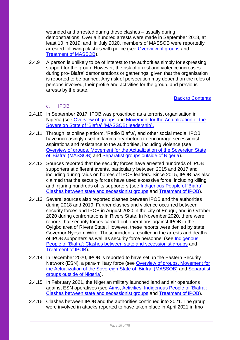wounded and arrested during these clashes – usually during demonstrations. Over a hundred arrests were made in September 2018, at least 10 in 2019; and, in July 2020, members of MASSOB were reportedly arrested following clashes with police (see [Overview of groups](#page-18-2) and [Treatment of MASSOB\)](#page-22-0).

2.4.9 A person is unlikely to be of interest to the authorities simply for expressing support for the group. However, the risk of arrest and violence increases during pro-'Biafra' demonstrations or gatherings, given that the organisation is reported to be banned. Any risk of persecution may depend on the roles of persons involved, their profile and activities for the group, and previous arrests by the state.

## [Back to Contents](#page-1-0)

## c. IPOB

- 2.4.10 In September 2017, IPOB was proscribed as a terrorist organisation in Nigeria (see [Overview of groups](#page-18-2) and [Movement for the Actualization of the](#page-20-0)  [Sovereign State of 'Biafra'](#page-20-0) (MASSOB) leadership).
- 2.4.11 Through its online platform, 'Radio Biafra', and other social media, IPOB have increasingly used inflammatory rhetoric to encourage secessionist aspirations and resistance to the authorities, including violence (see [Overview of groups,](#page-18-2) [Movement for the Actualization of the Sovereign State](#page-20-0)  of 'Biafra' [\(MASSOB\)](#page-20-0) and [Separatist groups outside of Nigeria\)](#page-58-1).
- 2.4.12 Sources reported that the security forces have arrested hundreds of IPOB supporters at different events, particularly between 2015 and 2017 and including during raids on homes of IPOB leaders. Since 2015, IPOB has also claimed that the security forces have used excessive force, including killing and injuring hundreds of its supporters (see [Indigenous People of 'Biafra':](#page-23-0)  [Clashes between state and secessionist groups](#page-23-0) and [Treatment of IPOB\)](#page-42-0).
- 2.4.13 Several sources also reported clashes between IPOB and the authorities during 2018 and 2019. Further clashes and violence occurred between security forces and IPOB in August 2020 in the city of Enugu, and in October 2020 during confrontations in Rivers State. In November 2020, there were reports that security forces carried out operations against IPOB in the Oyigbo area of Rivers State. However, these reports were denied by state Governor Nyesom Wike. These incidents resulted in the arrests and deaths of IPOB supporters as well as security force personnel (see [Indigenous](#page-23-0)  [People of 'Biafra': Clashes between state and secessionist groups](#page-23-0) and [Treatment of IPOB\)](#page-42-0).
- 2.4.14 In December 2020, IPOB is reported to have set up the Eastern Security Network (ESN), a para-military force (see [Overview of groups,](#page-18-2) [Movement for](#page-20-0)  [the Actualization of the Sovereign State of 'Biafra'](#page-20-0) (MASSOB) and [Separatist](#page-58-1)  [groups outside of Nigeria\)](#page-58-1).
- 2.4.15 In February 2021, the Nigerian military launched land and air operations against ESN operatives (see [Aims,](#page-26-1) [Activities,](#page-29-0) [Indigenous People of 'Biafra':](#page-23-0)  [Clashes between state and secessionist groups](#page-23-0) and [Treatment of IPOB\)](#page-42-0).
- 2.4.16 Clashes between IPOB and the authorities continued into 2021. The group were involved in attacks reported to have taken place in April 2021 in Imo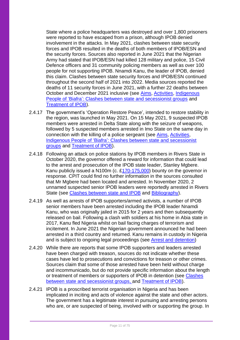State where a police headquarters was destroyed and over 1,800 prisoners were reported to have escaped from a prison, although IPOB denied involvement in the attacks. In May 2021, clashes between state security forces and IPOB resulted in the deaths of both members of IPOB/ESN and the security forces. Sources also reported in June 2021 that the Nigerian Army had stated that IPOB/ESN had killed 128 military and police, 15 Civil Defence officers and 31 community policing members as well as over 100 people for not supporting IPOB. Nnamdi Kanu, the leader of IPOB, denied this claim. Clashes between state security forces and IPOB/ESN continued throughout the second half of 2021 into 2022. Media sources reported the deaths of 11 security forces in June 2021, with a further 22 deaths between October and December 2021 inclusive (see [Aims,](#page-26-1) [Activities,](#page-29-0) Indigenous [People of 'Biafra': Clashes between state and secessionist groups](#page-23-0) and [Treatment of IPOB\)](#page-42-0).

- 2.4.17 The government's 'Operation Restore Peace', intended to restore stability in the region, was launched in May 2021. On 15 May 2021, 9 suspected IPOB members were arrested in Delta State along with the seizure of weapons, followed by 5 suspected members arrested in Imo State on the same day in connection with the killing of a police sergeant (see [Aims,](#page-26-1) [Activities,](#page-29-0) [Indigenous People of 'Biafra': Clashes between state and secessionist](#page-23-0)  [groups](#page-23-0) and [Treatment of IPOB\)](#page-42-0).
- 2.4.18 Following an attack on police stations by IPOB members in Rivers State in October 2020, the governor offered a reward for information that could lead to the arrest and prosecution of the IPOB state leader, Stanley Mgbere. Kanu publicly issued a N100m (c. [£170-175,000\)](https://www.xe.com/currencyconverter/convert/?Amount=100000000&From=NGN&To=GBP) bounty on the governor in response. CPIT could find no further information in the sources consulted that Mr Mgbere had been located and arrested. In November 2020, 2 unnamed suspected senior IPOB leaders were reportedly arrested in Rivers State (see [Clashes between state and IPOB](#page-32-0) and [Bibliography\)](#page-67-0).
- 2.4.19 As well as arrests of IPOB supporters/armed activists, a number of IPOB senior members have been arrested including the IPOB leader Nnamdi Kanu, who was originally jailed in 2015 for 2 years and then subsequently released on bail. Following a clash with soldiers at his home in Abia state in 2017, Kanu fled Nigeria whilst on bail facing charges of terrorism and incitement. In June 2021 the Nigerian government announced he had been arrested in a third country and returned. Kanu remains in custody in Nigeria and is subject to ongoing legal proceedings (see [Arrest and detention\)](#page-51-0)
- 2.4.20 While there are reports that some IPOB supporters and leaders arrested have been charged with treason, sources do not indicate whether these cases have led to prosecutions and convictions for treason or other crimes. Sources claim that some of those arrested have been held without charge and incommunicado, but do not provide specific information about the length or treatment of members or supporters of IPOB in detention (see [Clashes](#page-32-0)  [between state and secessionist groups,](#page-32-0) and [Treatment of IPOB\)](#page-42-0).
- 2.4.21 IPOB is a proscribed terrorist organisation in Nigeria and has been implicated in inciting and acts of violence against the state and other actors. The government has a legitimate interest in pursuing and arresting persons who are, or are suspected of being, involved with or supporting the group. In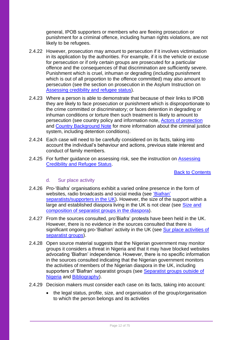general, IPOB supporters or members who are fleeing prosecution or punishment for a criminal offence, including human rights violations, are not likely to be refugees.

- 2.4.22 However, prosecution may amount to persecution if it involves victimisation in its application by the authorities. For example, if it is the vehicle or excuse for persecution or if only certain groups are prosecuted for a particular offence and the consequences of that discrimination are sufficiently severe. Punishment which is cruel, inhuman or degrading (including punishment which is out of all proportion to the offence committed) may also amount to persecution (see the section on prosecution in the Asylum Instruction on [Assessing credibility and refugee status\)](https://www.gov.uk/government/publications/considering-asylum-claims-and-assessing-credibility-instruction).
- 2.4.23 Where a person is able to demonstrate that because of their links to IPOB they are likely to face prosecution or punishment which is disproportionate to the crime committed or discriminatory; or faces detention in degrading or inhuman conditions or torture then such treatment is likely to amount to persecution (see country policy and information note, [Actors of protection](https://www.gov.uk/government/publications/nigeria-country-policy-and-information-notes) and [Country Background Note](https://www.gov.uk/government/publications/nigeria-country-policy-and-information-notes) for more information about the criminal justice system, including detention conditions).
- 2.4.24 Each case will need to be carefully considered on its facts, taking into account the individual's behaviour and actions, previous state interest and conduct of family members.
- 2.4.25 For further guidance on assessing risk, see the instruction on **Assessing** [Credibility and Refugee Status.](https://www.gov.uk/government/publications/considering-asylum-claims-and-assessing-credibility-instruction)

[Back to Contents](#page-1-0)

#### d. Sur place activity

- 2.4.26 Pro-'Biafra' organisations exhibit a varied online presence in the form of websites, radio broadcasts and social media (see 'Biafran' separatists/supporters in the UK). However, the size of the support within a large and established diaspora living in the UK is not clear (see [Size and](#page-61-0)  [composition of separatist groups in the diaspora\)](#page-61-0).
- 2.4.27 From the sources consulted, pro'Biafra' protests have been held in the UK. However, there is no evidence in the sources consulted that there is significant ongoing pro-'Biafran' activity in the UK (see [Sur place activities of](#page-61-1) [separatist groups\)](#page-61-1).
- 2.4.28 Open source material suggests that the Nigerian government may monitor groups it considers a threat in Nigeria and that it may have blocked websites advocating 'Biafran' independence. However, there is no specific information in the sources consulted indicating that the Nigerian government monitors the activities of members of the Nigerian diaspora in the UK, including supporters of 'Biafran' separatist groups (see Separatist groups outside of [Nigeria](#page-58-1) and [Bibliography\)](#page-67-0).
- 2.4.29 Decision makers must consider each case on its facts, taking into account:
	- the legal status, profile, size, and organisation of the group/organisation to which the person belongs and its activities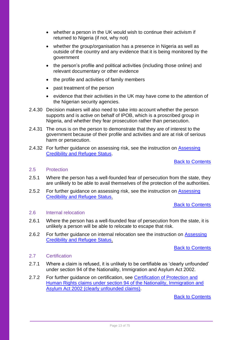- whether a person in the UK would wish to continue their activism if returned to Nigeria (if not, why not)
- whether the group/organisation has a presence in Nigeria as well as outside of the country and any evidence that it is being monitored by the government
- the person's profile and political activities (including those online) and relevant documentary or other evidence
- the profile and activities of family members
- past treatment of the person
- evidence that their activities in the UK may have come to the attention of the Nigerian security agencies.
- 2.4.30 Decision makers will also need to take into account whether the person supports and is active on behalf of IPOB, which is a proscribed group in Nigeria, and whether they fear prosecution rather than persecution.
- 2.4.31 The onus is on the person to demonstrate that they are of interest to the government because of their profile and activities and are at risk of serious harm or persecution.
- 2.4.32 For further guidance on assessing risk, see the instruction on Assessing [Credibility and Refugee Status.](https://www.gov.uk/government/publications/considering-asylum-claims-and-assessing-credibility-instruction)

### [Back to Contents](#page-1-0)

#### <span id="page-12-0"></span>2.5 Protection

- 2.5.1 Where the person has a well-founded fear of persecution from the state, they are unlikely to be able to avail themselves of the protection of the authorities.
- 2.5.2 For further guidance on assessing risk, see the instruction on Assessing [Credibility and Refugee Status.](https://www.gov.uk/government/publications/considering-asylum-claims-and-assessing-credibility-instruction)

**[Back to Contents](#page-1-0)** 

## <span id="page-12-1"></span>2.6 Internal relocation

- 2.6.1 Where the person has a well-founded fear of persecution from the state, it is unlikely a person will be able to relocate to escape that risk.
- 2.6.2 For further guidance on internal relocation see the instruction on Assessing [Credibility and Refugee Status.](https://www.gov.uk/government/publications/considering-asylum-claims-and-assessing-credibility-instruction)

[Back to Contents](#page-1-0)

## <span id="page-12-2"></span>2.7 Certification

- 2.7.1 Where a claim is refused, it is unlikely to be certifiable as 'clearly unfounded' under section 94 of the Nationality, Immigration and Asylum Act 2002.
- 2.7.2 For further quidance on certification, see Certification of Protection and [Human Rights claims under section 94 of the Nationality, Immigration and](https://www.gov.uk/government/publications/non-suspensive-appeals-certification-under-section-94-of-the-nia-act-2002-process)  [Asylum Act 2002 \(clearly unfounded claims\).](https://www.gov.uk/government/publications/non-suspensive-appeals-certification-under-section-94-of-the-nia-act-2002-process)

[Back to Contents](#page-1-0)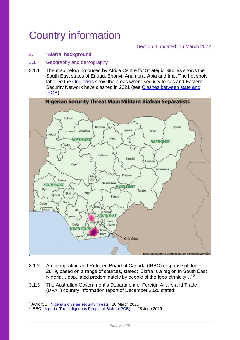## <span id="page-13-0"></span>Country information

## <span id="page-13-1"></span>**3. 'Biafra' background**

## <span id="page-13-2"></span>3.1 Geography and demography

3.1.1 The map below produced by Africa Centre for Strategic Studies shows the South East states of Enugu, Ebonyi, Anambra, Abia and Imo. The hot spots labelled the [Orlu crisis](https://www.premiumtimesng.com/investigationspecial-reports/450108-special-report-how-esns-attack-on-orlu-market-led-to-orgy-of-violence.html) show the areas where security forces and Eastern Security Network have clashed in 2021 (see [Clashes between state and](#page-32-0)  [IPOB\)](#page-32-0).



- 3.1.2 An Immigration and Refugee Board of Canada (IRBC) response of June 2019, based on a range of sources, stated: 'Biafra is a region in South East Nigeria... populated predominately by people of the Igbo ethnicity...'<sup>2</sup>
- 3.1.3 The Australian Government's Department of Foreign Affairs and Trade (DFAT) country information report of December 2020 stated:

<sup>1</sup> ACforSC, ['Nigeria's diverse security threats',](https://africacenter.org/spotlight/nigeria-diverse-security-threats/) 30 March 2021

<sup>&</sup>lt;sup>2</sup> IRBC, '[Nigeria: The Indigenous People of Biafra \(IPOB\)](https://irb-cisr.gc.ca/en/country-information/rir/Pages/index.aspx?doc=457837&pls=1)...', 28 June 2019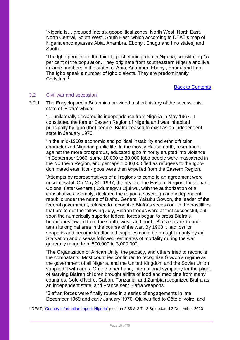'Nigeria is… grouped into six geopolitical zones: North West, North East, North Central, South West, South East [which according to DFAT's map of Nigeria encompasses Abia, Anambra, Ebonyi, Enugu and Imo states] and South…

'The Igbo people are the third largest ethnic group in Nigeria, constituting 15 per cent of the population. They originate from southeastern Nigeria and live in large numbers in the states of Abia, Anambra, Ebonyi, Enugu and Imo. The Igbo speak a number of Igbo dialects. They are predominantly Christian $^{3}$ 

[Back to Contents](#page-1-0)

### <span id="page-14-0"></span>3.2 Civil war and secession

3.2.1 The Encyclopaedia Britannica provided a short history of the secessionist state of 'Biafra' which:

'… unilaterally declared its independence from Nigeria in May 1967. It constituted the former Eastern Region of Nigeria and was inhabited principally by Igbo (Ibo) people. Biafra ceased to exist as an independent state in January 1970.

'In the mid-1960s economic and political instability and ethnic friction characterized Nigerian public life. In the mostly Hausa north, resentment against the more prosperous, educated Igbo minority erupted into violence. In September 1966, some 10,000 to 30,000 Igbo people were massacred in the Northern Region, and perhaps 1,000,000 fled as refugees to the Igbodominated east. Non-Igbos were then expelled from the Eastern Region.

'Attempts by representatives of all regions to come to an agreement were unsuccessful. On May 30, 1967, the head of the Eastern Region, Lieutenant Colonel (later General) Odumegwu Ojukwu, with the authorization of a consultative assembly, declared the region a sovereign and independent republic under the name of Biafra. General Yakubu Gowon, the leader of the federal government, refused to recognize Biafra's secession. In the hostilities that broke out the following July, Biafran troops were at first successful, but soon the numerically superior federal forces began to press Biafra's boundaries inward from the south, west, and north. Biafra shrank to onetenth its original area in the course of the war. By 1968 it had lost its seaports and become landlocked; supplies could be brought in only by air. Starvation and disease followed; estimates of mortality during the war generally range from 500,000 to 3,000,000.

'The [Organization of African Unity,](https://www.britannica.com/topic/African-Union) the papacy, and others tried to [reconcile](https://www.merriam-webster.com/dictionary/reconcile) the combatants. Most countries continued to recognize Gowon's regime as the government of all Nigeria, and the [United Kingdom](https://www.britannica.com/place/United-Kingdom) and the [Soviet Union](https://www.britannica.com/place/Soviet-Union) supplied it with arms. On the other hand, international sympathy for the plight of starving Biafran children brought airlifts of food and medicine from many countries. [Côte d'Ivoire,](https://www.britannica.com/place/Cote-dIvoire) Gabon, Tanzania, and Zambia recognized Biafra as an independent state, and France sent Biafra weapons.

'Biafran forces were finally routed in a series of engagements in late December 1969 and early January 1970. Ojukwu fled to Côte d'Ivoire, and

<sup>3</sup> DFAT, ['Country information report: Nigeria'](https://www.dfat.gov.au/about-us/publications/country-information-reports) (section 2.38 & 3.7 - 3.8), updated 3 December 2020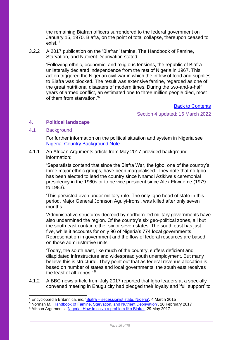the remaining Biafran officers surrendered to the federal government on January 15, 1970. Biafra, on the point of total collapse, thereupon ceased to exist<sup>'4</sup>

3.2.2 A 2017 publication on the 'Biafran' famine, The Handbook of Famine, Starvation, and Nutrient Deprivation stated:

> 'Following ethnic, economic, and religious tensions, the republic of Biafra unilaterally declared independence from the rest of Nigeria in 1967. This action triggered the Nigerian civil war in which the inflow of food and supplies to Biafra was blocked. The result was extensive famine, regarded as one of the great nutritional disasters of modern times. During the two-and-a-half years of armed conflict, an estimated one to three million people died, most of them from starvation.'<sup>5</sup>

> > [Back to Contents](#page-1-0)

Section 4 updated: 16 March 2022

### <span id="page-15-0"></span>**4. Political landscape**

<span id="page-15-1"></span>4.1 Background

For further information on the political situation and system in Nigeria see [Nigeria: Country Background Note.](https://www.gov.uk/government/publications/nigeria-country-policy-and-information-notes)

4.1.1 An African Arguments article from May 2017 provided background information:

> 'Separatists contend that since the Biafra War, the Igbo, one of the country's three major ethnic groups, have been marginalised. They note that no Igbo has been elected to lead the country since Nnamdi Azikiwe's ceremonial presidency in the 1960s or to be vice president since Alex Ekwueme (1979 to 1983).

'This persisted even under military rule. The only Igbo head of state in this period, Major General Johnson Aguiyi-Ironsi, was killed after only seven months.

'Administrative structures decreed by northern-led military governments have also undermined the region. Of the country's six geo-political zones, all but the south east contain either six or seven states. The south east has just five, while it accounts for only 96 of Nigeria's 774 local governments. Representation in government and the flow of federal resources are based on those administrative units.

'Today, the south east, like much of the country, suffers deficient and dilapidated infrastructure and widespread youth unemployment. But many believe this is structural. They point out that as federal revenue allocation is based on number of states and local governments, the south east receives the least of all zones.' <sup>6</sup>

4.1.2 A BBC news article from July 2017 reported that Igbo leaders at a specially convened meeting in Enugu city had pledged their loyalty and 'full support' to

<sup>4</sup> Encyclopædia Britannica, inc, 'Biafra – [secessionist state, Nigeria',](https://www.britannica.com/place/Biafra) 4 March 2015

<sup>5</sup> Norman M, ['Handbook of Famine, Starvation, and Nutrient Deprivation',](https://link.springer.com/referenceworkentry/10.1007%2F978-3-319-40007-5_8-1#citeas) 20 February 2017

<sup>6</sup> African Arguments, ['Nigeria: How to solve a problem like Biafra',](http://africanarguments.org/2017/05/29/nigeria-how-to-solve-a-problem-like-biafra/) 29 May 2017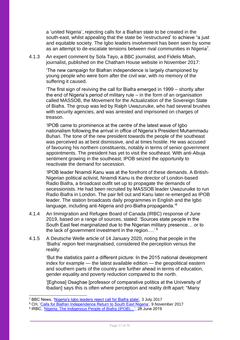a 'united Nigeria', rejecting calls for a Biafran state to be created in the south-east, whilst appealing that the state be 'restructured' to achieve "a just and equitable society. The Igbo leaders involvement has been seen by some as an attempt to de-escalate tensions between rival communities in Nigeria<sup>7</sup>.

4.1.3 An expert comment by Sola Tayo, a BBC journalist, and Fidelis Mbah, journalist, published on the Chatham House website in November 2017:

'The new campaign for Biafran independence is largely championed by young people who were born after the civil war, with no memory of the suffering it caused.

'The first sign of reviving the call for Biafra emerged in 1999 – shortly after the end of Nigeria's period of military rule – in the form of an organisation called MASSOB, the Movement for the Actualization of the Sovereign State of Biafra. The group was led by Ralph Uwazuruike, who had several brushes with security agencies, and was arrested and imprisoned on charges of treason.

'IPOB came to prominence at the centre of the latest wave of Igbo nationalism following the arrival in office of Nigeria's President Muhammadu Buhari. The tone of the new president towards the people of the southeast was perceived as at best dismissive, and at times hostile. He was accused of favouring his northern constituents, notably in terms of senior government appointments. The president has yet to visit the southeast. With anti-Abuja sentiment growing in the southeast, IPOB seized the opportunity to reactivate the demand for secession.

'IPOB leader Nnamdi Kanu was at the forefront of these demands. A British-Nigerian political activist, Nnamdi Kanu is the director of London-based Radio Biafra, a broadcast outfit set up to propagate the demands of secessionists. He had been recruited by MASSOB leader Uwazuruike to run Radio Biafra in London. The pair fell out and Kanu later re-emerged as IPOB leader. The station broadcasts daily programmes in English and the Igbo language, including anti-Nigeria and pro-Biafra propaganda.'<sup>8</sup>

- 4.1.4 An Immigration and Refugee Board of Canada (IRBC) response of June 2019, based on a range of sources, stated: 'Sources state people in the South East feel marginalized due to the Nigerian military presence… or to the lack of government investment in the region….'  $^9$
- 4.1.5 A Deutsche Welle article of 14 January 2020, noting that people in the 'Biafra' region feel marginalised, considered the perception versus the reality:

'But the statistics paint a different picture: In the 2015 national development index for example — the latest available edition — the geopolitical eastern and southern parts of the country are further ahead in terms of education, gender equality and poverty reduction compared to the north.

'[Eghosa] Osaghae [professor of comparative politics at the University of Ibadan] says this is often where perception and reality drift apart: "Many

<sup>7</sup> BBC News, ['Nigeria's Igbo leaders reject call for Biafra state',](https://www.bbc.co.uk/news/world-africa-40481323) 3 July 2017

<sup>&</sup>lt;sup>8</sup> CH, '<u>Calls for Biafran Independence Return to South East Nigeria'</u>, 9 November 2017<br><sup>9</sup> IRBC, '<u>[Nigeria: The Indigenous People of Biafra \(IPOB\)](https://irb-cisr.gc.ca/en/country-information/rir/Pages/index.aspx?doc=457837&pls=1)…',</u> 28 June 2019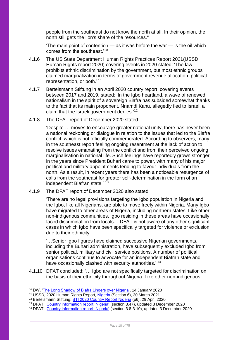people from the southeast do not know the north at all. In their opinion, the north still gets the lion's share of the resources."

'The main point of contention — as it was before the war — is the oil which comes from the southeast.'<sup>10</sup>

- 4.1.6 The US State Department Human Rights Practices Report 2021(USSD Human Rights report 2020) covering events in 2020 stated: 'The law prohibits ethnic discrimination by the government, but most ethnic groups claimed marginalization in terms of government revenue allocation, political representation, or both.'<sup>11</sup>
- 4.1.7 Bertelsmann Stiftung in an April 2020 country report, covering events between 2017 and 2019, stated: 'In the Igbo heartland, a wave of renewed nationalism in the spirit of a sovereign Biafra has subsided somewhat thanks to the fact that its main proponent, Nnamdi Kanu, allegedly fled to Israel, a claim that the Israeli government denies.<sup>'12</sup>
- 4.1.8 The DFAT report of December 2020 stated:

'Despite … moves to encourage greater national unity, there has never been a national reckoning or dialogue in relation to the issues that led to the Biafra conflict, which is not officially commemorated. According to observers, many in the southeast report feeling ongoing resentment at the lack of action to resolve issues emanating from the conflict and from their perceived ongoing marginalisation in national life. Such feelings have reportedly grown stronger in the years since President Buhari came to power, with many of his major political and military appointments tending to favour individuals from the north. As a result, in recent years there has been a noticeable resurgence of calls from the southeast for greater self-determination in the form of an independent Biafran state.' <sup>13</sup>

4.1.9 The DFAT report of December 2020 also stated:

'There are no legal provisions targeting the Igbo population in Nigeria and the Igbo, like all Nigerians, are able to move freely within Nigeria. Many Igbo have migrated to other areas of Nigeria, including northern states. Like other non-indigenous communities, Igbo residing in these areas have occasionally faced discrimination from locals… DFAT is not aware of any other significant cases in which Igbo have been specifically targeted for violence or exclusion due to their ethnicity.

'…Senior Igbo figures have claimed successive Nigerian governments, including the Buhari administration, have subsequently excluded Igbo from senior political, military and civil service positions. A number of political organisations continue to advocate for an independent Biafran state and have occasionally clashed with security authorities.' <sup>14</sup>

4.1.10 DFAT concluded: '… Igbo are not specifically targeted for discrimination on the basis of their ethnicity throughout Nigeria. Like other non-indigenous

<sup>&</sup>lt;sup>10</sup> DW, ['The Long Shadow of Biafra Lingers over Nigeria',](https://www.dw.com/en/the-long-shadow-of-biafra-lingers-over-nigeria/a-51988720) 14 January 2020

<sup>&</sup>lt;sup>11</sup> USSD, 2020 Human Rights Report, [Nigeria](https://www.state.gov/reports/2020-country-reports-on-human-rights-practices/nigeria/) (Section 6), 30 March 2021

<sup>&</sup>lt;sup>12</sup> Bertelsmann Stiftung: **BTI 2020 Country Report Nigeria** (p6), 29 April 2020

<sup>13</sup> DFAT, ['Country information report: Nigeria'](https://www.dfat.gov.au/about-us/publications/country-information-reports) (section 3.47), updated 3 December 2020

<sup>14</sup> DFAT, ['Country information report: Nigeria'](https://www.dfat.gov.au/about-us/publications/country-information-reports) (section 3.8-3.10), updated 3 December 2020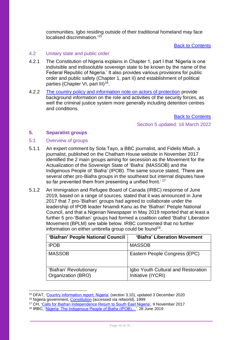communities, Igbo residing outside of their traditional homeland may face localised discrimination.'<sup>15</sup>

#### [Back to Contents](#page-1-0)

#### <span id="page-18-0"></span>4.2 Unitary state and public order

- 4.2.1 The Constitution of Nigeria explains in Chapter 1, part I that 'Nigeria is one indivisible and indissoluble sovereign state to be known by the name of the Federal Republic of Nigeria.' It also provides various provisions for public order and public safety (Chapter 1, part II) and establishment of political parties (Chapter VI, part III)<sup>16</sup>.
- 4.2.2 [The country policy and information note on actors of protection](https://www.gov.uk/government/publications/nigeria-country-policy-and-information-notes) provide background information on the role and activities of the security forces, as well the criminal justice system more generally including detention centres and conditions.

[Back to Contents](#page-1-0)

Section 5 updated: 16 March 2022

### <span id="page-18-1"></span>**5. Separatist groups**

- <span id="page-18-2"></span>5.1 Overview of groups
- 5.1.1 An expert comment by Sola Tayo, a BBC journalist, and Fidelis Mbah, a journalist, published on the Chatham House website in November 2017 identified the 2 main groups aiming for secession as the Movement for the Actualization of the Sovereign State of 'Biafra' (MASSOB) and the Indigenous People of 'Biafra' (IPOB). The same source stated, 'There are several other pro-Biafra groups in the southeast but internal disputes have so far prevented them from presenting a unified front.<sup>'17</sup>
- 5.1.2 An Immigration and Refugee Board of Canada (IRBC) response of June 2019, based on a range of sources, stated that it was announced in June 2017 that 7 pro-'Biafran' groups had agreed to collaborate under the leadership of IPOB leader Nnamdi Kanu as the 'Biafran' People National Council, and that a Nigerian Newspaper in May 2019 reported that at least a further 5 pro-'Biafran' groups had formed a coalition called 'Biafra' Liberation Movement (BPLM) see table below. IRBC commented that no further information on either umbrella group could be found<sup>18</sup>.

| 'Biafran' People National Council             | 'Biafra' Liberation Movement                              |
|-----------------------------------------------|-----------------------------------------------------------|
| <b>IPOB</b>                                   | <b>MASSOB</b>                                             |
| <b>MASSOB</b>                                 | Eastern People Congress (EPC)                             |
| 'Biafran' Revolutionary<br>Organization (BRO) | Igbo Youth Cultural and Restoration<br>Initiative (IYCRI) |

<sup>&</sup>lt;sup>15</sup> DFAT, ['Country information report: Nigeria'](https://www.dfat.gov.au/about-us/publications/country-information-reports) (section 3.10), updated 3 December 2020

<sup>16</sup> Nigeria government, [Constitution](https://www.refworld.org/pdfid/44e344fa4.pdf) (accessed via refworld), 1999

<sup>&</sup>lt;sup>17</sup> CH, ['Calls for Biafran Independence Return to South East Nigeria',](https://www.chathamhouse.org/expert/comment/calls-biafran-independence-return-south-east-nigeria) 9 November 2017

<sup>&</sup>lt;sup>18</sup> IRBC, 'Nigeria: The Indigenous People of Biafra (IPOB)...', 28 June 2019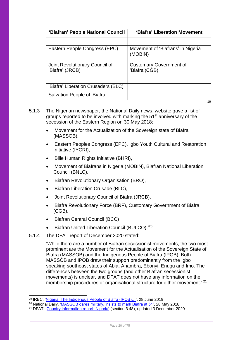| 'Biafran' People National Council                 | 'Biafra' Liberation Movement                     |
|---------------------------------------------------|--------------------------------------------------|
|                                                   |                                                  |
| Eastern People Congress (EPC)                     | Movement of 'Biafrans' in Nigeria<br>(MOBIN)     |
| Joint Revolutionary Council of<br>'Biafra' (JRCB) | <b>Customary Government of</b><br>'Biafra' (CGB) |
| 'Biafra' Liberation Crusaders (BLC)               |                                                  |
| Salvation People of 'Biafra'                      |                                                  |
|                                                   | 19                                               |

- 5.1.3 The Nigerian newspaper, the National Daily news, website gave a list of groups reported to be involved with marking the 51<sup>st</sup> anniversary of the secession of the Eastern Region on 30 May 2018:
	- 'Movement for the Actualization of the Sovereign state of Biafra (MASSOB),
	- 'Eastern Peoples Congress (EPC), Igbo Youth Cultural and Restoration Initiative (IYCRI),
	- 'Bilie Human Rights Initiative (BHRI),
	- 'Movement of Biafrans in Nigeria (MOBIN), Biafran National Liberation Council (BNLC),
	- 'Biafran Revolutionary Organisation (BRO),
	- 'Biafran Liberation Crusade (BLC),
	- 'Joint Revolutionary Council of Biafra (JRCB),
	- 'Biafra Revolutionary Force (BRF), Customary Government of Biafra (CGB),
	- 'Biafran Central Council (BCC)
	- 'Biafran United Liberation Council (BULCO).'<sup>20</sup>
- 5.1.4 The DFAT report of December 2020 stated:

'While there are a number of Biafran secessionist movements, the two most prominent are the Movement for the Actualisation of the Sovereign State of Biafra (MASSOB) and the Indigenous People of Biafra (IPOB). Both MASSOB and IPOB draw their support predominantly from the Igbo speaking southeast states of Abia, Anambra, Ebonyi, Enugu and Imo. The differences between the two groups (and other Biafran secessionist movements) is unclear, and DFAT does not have any information on the membership procedures or organisational structure for either movement.<sup>' 21</sup>

<sup>&</sup>lt;sup>19</sup> IRBC, 'Nigeria: The Indigenous People of Biafra (IPOB)...', 28 June 2019

<sup>&</sup>lt;sup>20</sup> National Daily, '<u>MASSOB dares military, insists to mark Biafra at 51',</u> 28 May 2018

<sup>21</sup> DFAT, ['Country information report: Nigeria'](https://www.dfat.gov.au/about-us/publications/country-information-reports) (section 3.48), updated 3 December 2020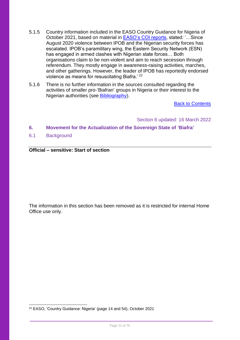- 5.1.5 Country information included in the EASO Country Guidance for Nigeria of October 2021, based on material in [EASO's COI reports,](https://euaa.europa.eu/publications?field_category_target_id=All&field_geo_coverage_target_id=nigeria&field_keywords_target_id=&title=) stated: '…Since August 2020 violence between IPOB and the Nigerian security forces has escalated. IPOB's paramilitary wing, the Eastern Security Network (ESN) has engaged in armed clashes with Nigerian state forces… Both organisations claim to be non-violent and aim to reach secession through referendum. They mostly engage in awareness-raising activities, marches, and other gatherings. However, the leader of IPOB has reportedly endorsed violence as means for resuscitating Biafra.' <sup>22</sup>
- 5.1.6 There is no further information in the sources consulted regarding the activities of smaller pro-'Biafran' groups in Nigeria or their interest to the Nigerian authorities (see [Bibliography\)](#page-67-0).

[Back to Contents](#page-1-0)

Section 6 updated: 16 March 2022

- <span id="page-20-0"></span>**6. Movement for the Actualization of the Sovereign State of 'Biafra'**
- <span id="page-20-1"></span>6.1 Background

**Official – sensitive: Start of section**

The information in this section has been removed as it is restricted for internal Home Office use only.

<sup>22</sup> EASO, 'Country Guidance: Nigeria' (page 14 and 54), October 2021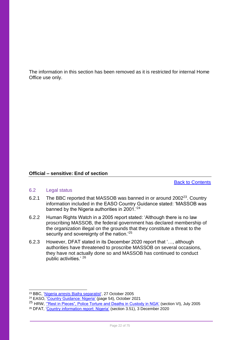#### **Official – sensitive: End of section**

[Back to Contents](#page-1-0)

## <span id="page-21-0"></span>6.2 Legal status

- 6.2.1 The BBC reported that MASSOB was banned in or around  $2002^{23}$ . Country information included in the EASO Country Guidance stated: 'MASSOB was banned by the Nigeria authorities in 2001.'<sup>24</sup>
- 6.2.2 Human Rights Watch in a 2005 report stated: 'Although there is no law proscribing MASSOB, the federal government has declared membership of the organization illegal on the grounds that they constitute a threat to the security and sovereignty of the nation.<sup>'25</sup>
- 6.2.3 However, DFAT stated in its December 2020 report that '…, although authorities have threatened to proscribe MASSOB on several occasions, they have not actually done so and MASSOB has continued to conduct public activities.' <sup>26</sup>

<sup>23</sup> BBC, ['Nigeria arrests Biafra separatist',](http://news.bbc.co.uk/1/hi/world/africa/4383172.stm) 27 October 2005

<sup>24</sup> EASO, ['Country Guidance: Nigeria'](https://euaa.europa.eu/publications?field_category_target_id=All&field_geo_coverage_target_id=nigeria&field_keywords_target_id=&title=) (page 54), October 2021

<sup>&</sup>lt;sup>25</sup> HRW, "Rest in Pieces", Police Torture and Deaths in Custody in NGA' (section VI), July 2005

<sup>26</sup> DFAT, ['Country information report: Nigeria'](https://www.dfat.gov.au/about-us/publications/country-information-reports) (section 3.51), 3 December 2020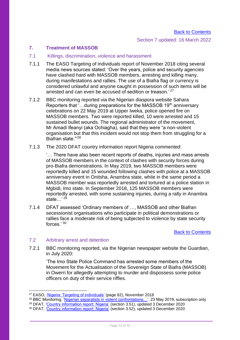## <span id="page-22-0"></span>**7. Treatment of MASSOB**

#### <span id="page-22-1"></span>7.1 Killings, discrimination, violence and harassment

- 7.1.1 The EASO Targeting of individuals report of November 2018 citing several media news sources stated: 'Over the years, police and security agencies have clashed hard with MASSOB members, arresting and killing many, during manifestations and rallies. The use of a Biafra flag or currency is considered unlawful and anyone caught in possession of such items will be arrested and can even be accused of sedition or treason.' <sup>27</sup>
- 7.1.2 BBC monitoring reported via the Nigerian diaspora website Sahara Reporters that '...during preparations for the MASSOB  $19<sup>th</sup>$  anniversary celebrations on 22 May 2019 at Upper Iweka, police opened fire on MASSOB members. Two were reported killed, 10 were arrested and 15 sustained bullet wounds. The regional administrator of the movement, Mr Amadi Ifeanyi (aka Ochiagha), said that they were "a non-violent organisation but that this incident would not stop them from struggling for a Biafran state."'<sup>28</sup>
- 7.1.3 The 2020 DFAT country information report Nigeria commented:

'… There have also been recent reports of deaths, injuries and mass arrests of MASSOB members in the context of clashes with security forces during pro-Biafra demonstrations. In May 2019, two MASSOB members were reportedly killed and 15 wounded following clashes with police at a MASSOB anniversary event in Onitsha, Anambra state, while in the same period a MASSOB member was reportedly arrested and tortured at a police station in Mgbidi, Imo state. In September 2018, 125 MASSOB members were reportedly arrested, with some sustaining injuries, during a rally in Anambra state <sup>'29</sup>

7.1.4 DFAT assessed 'Ordinary members of …, MASSOB and other Biafran secessionist organisations who participate in political demonstrations or rallies face a moderate risk of being subjected to violence by state security forces $'$  30

#### [Back to Contents](#page-1-0)

## <span id="page-22-2"></span>7.2 Arbitrary arrest and detention

7.2.1 BBC monitoring reported, via the Nigerian newspaper website the Guardian, in July 2020:

'The Imo State Police Command has arrested some members of the Movement for the Actualisation of the Sovereign State of Biafra (MASSOB) in Owerri for allegedly attempting to murder and dispossess some police officers on duty of their service riffles.

- <sup>28</sup> BBC Monitoring, '<u>Nigerian separatists in violent confrontations…',</u> 23 May 2019, subscription only
- <sup>29</sup> DFAT, ['Country information report: Nigeria'](https://www.dfat.gov.au/about-us/publications/country-information-reports) (section 3.51), updated 3 December 2020

<sup>&</sup>lt;sup>27</sup> EASO, <u>'Nigeria: Targeting of individuals'</u> (page 82), November 2018

<sup>30</sup> DFAT, ['Country information report: Nigeria'](https://www.dfat.gov.au/about-us/publications/country-information-reports) (section 3.52), updated 3 December 2020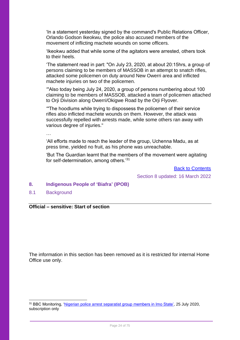'In a statement yesterday signed by the command's Public Relations Officer, Orlando Godson Ikeokwu, the police also accused members of the movement of inflicting machete wounds on some officers.

'Ikeokwu added that while some of the agitators were arrested, others took to their heels.

'The statement read in part: "On July 23, 2020, at about 20:15hrs, a group of persons claiming to be members of MASSOB in an attempt to snatch rifles, attacked some policemen on duty around New Owerri area and inflicted machete injuries on two of the policemen.

'"Also today being July 24, 2020, a group of persons numbering about 100 claiming to be members of MASSOB, attacked a team of policemen attached to Orji Division along Owerri/Okigwe Road by the Orji Flyover.

'"The hoodlums while trying to dispossess the policemen of their service rifles also inflicted machete wounds on them. However, the attack was successfully repelled with arrests made, while some others ran away with various degree of injuries."

…

'All efforts made to reach the leader of the group, Uchenna Madu, as at press time, yielded no fruit, as his phone was unreachable.

'But The Guardian learnt that the members of the movement were agitating for self-determination, among others.'<sup>31</sup>

**[Back to Contents](#page-1-0)** 

Section 8 updated: 16 March 2022

## <span id="page-23-0"></span>**8. Indigenous People of 'Biafra' (IPOB)**

<span id="page-23-1"></span>8.1 Background

## **Official – sensitive: Start of section**

The information in this section has been removed as it is restricted for internal Home Office use only.

<sup>31</sup> BBC Monitoring, ['Nigerian police arrest separatist group members in Imo State',](https://monitoring.bbc.co.uk/search?searchText=biafra&best=true&sort=publication_time&sortDirection=DESC) 25 July 2020. subscription only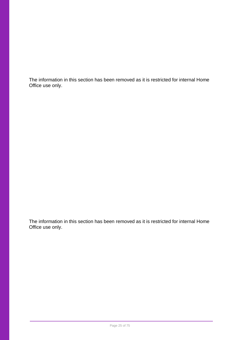The information in this section has been removed as it is restricted for internal Home Office use only.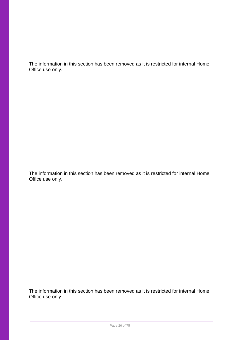The information in this section has been removed as it is restricted for internal Home Office use only.

The information in this section has been removed as it is restricted for internal Home Office use only.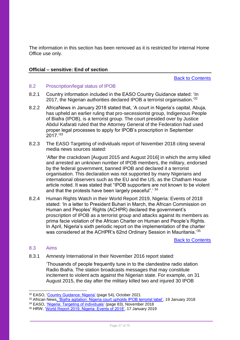### **Official – sensitive: End of section**

[Back to Contents](#page-1-0)

### <span id="page-26-0"></span>8.2 Proscription/legal status of IPOB

- 8.2.1 Country information included in the EASO Country Guidance stated: 'In 2017, the Nigerian authorities declared IPOB a terrorist organisation.'<sup>32</sup>
- 8.2.2 AfricaNews in January 2018 stated that, 'A court in Nigeria's capital, Abuja, has upheld an earlier ruling that pro-secessionist group, Indigenous People of Biafra (IPOB), is a terrorist group. The court presided over by Justice Abdul Kafarati ruled that the Attorney General of the Federation had used proper legal processes to apply for IPOB's proscription in September 2017.'<sup>33</sup>
- 8.2.3 The EASO Targeting of individuals report of November 2018 citing several media news sources stated:

'After the crackdown [August 2015 and August 2016] in which the army killed and arrested an unknown number of IPOB members, the military, endorsed by the federal government, banned IPOB and declared it a terrorist organisation. This declaration was not supported by many Nigerians and international observers such as the EU and the US, as the Chatham House article noted. It was stated that "IPOB supporters are not known to be violent and that the protests have been largely peaceful".' 34

8.2.4 Human Rights Watch in their World Report 2019, Nigeria: Events of 2018 stated: 'In a letter to President Buhari in March, the African Commission on Human and Peoples' Rights (ACHPR) declared the government's proscription of IPOB as a terrorist group and attacks against its members as prima facie violation of the African Charter on Human and People's Rights. In April, Nigeria's sixth periodic report on the implementation of the charter was considered at the ACHPR's 62nd Ordinary Session in Mauritania.'<sup>35</sup>

[Back to Contents](#page-1-0)

### <span id="page-26-1"></span>8.3 Aims

8.3.1 Amnesty International in their November 2016 report stated:

'Thousands of people frequently tune in to the clandestine radio station Radio Biafra. The station broadcasts messages that may constitute incitement to violent acts against the Nigerian state. For example, on 31 August 2015, the day after the military killed two and injured 30 IPOB

<sup>32</sup> EASO, ['Country Guidance: Nigeria'](https://euaa.europa.eu/publications?field_category_target_id=All&field_geo_coverage_target_id=nigeria&field_keywords_target_id=&title=) (page 54), October 2021

<sup>33</sup> African New[s, 'Biafra agitation: Nigeria court upholds IPOB terrorist label',](https://www.africanews.com/2018/01/19/biafra-agitation-nigeria-court-upholds-ipob-terrorist-label/) 19 January 2018

<sup>34</sup> EASO, ['Nigeria: Targeting of individuals'](https://coi.easo.europa.eu/administration/easo/PLib/2018_EASO_COI_Nigeria_TargetingIndividuals.pdf) (page 83), November 2018

<sup>35</sup> HRW, ['World Report 2019, Nigeria: Events of 2018',](https://www.hrw.org/world-report/2019/country-chapters/nigeria) 17 January 2019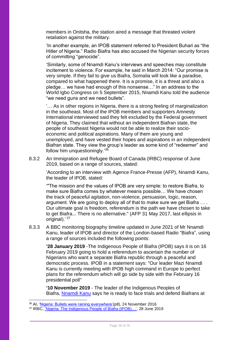members in Onitsha, the station aired a message that threated violent retaliation against the military.

'In another example, an IPOB statement referred to President Buhari as "the Hitler of Nigeria." Radio Biafra has also accused the Nigerian security forces of committing "genocide".

'Similarly, some of Nnamdi Kanu's interviews and speeches may constitute incitement to violence. For example, he said in March 2014: "Our promise is very simple. If they fail to give us Biafra, Somalia will look like a paradise, compared to what happened there. It is a promise, it is a threat and also a pledge… we have had enough of this nonsense…" In an address to the World Igbo Congress on 5 September 2015, Nnamdi Kanu told the audience "we need guns and we need bullets".

'… As in other regions in Nigeria, there is a strong feeling of marginalization in the southeast. Most of the IPOB members and supporters Amnesty International interviewed said they felt excluded by the Federal government of Nigeria. They claimed that without an independent Biafran state, the people of southeast Nigeria would not be able to realize their socioeconomic and political aspirations. Many of them are young and unemployed, and have vested their hopes and aspirations in an independent Biafran state. They view the group's leader as some kind of "redeemer" and follow him unquestioningly.'<sup>36</sup>

8.3.2 An Immigration and Refugee Board of Canada (IRBC) response of June 2019, based on a range of sources, stated:

'According to an interview with Agence France-Presse (AFP), Nnamdi Kanu, the leader of IPOB, stated:

'"The mission and the values of IPOB are very simple: to restore Biafra, to make sure Biafra comes by whatever means possible… We have chosen the track of peaceful agitation, non-violence, persuasion, logic, reason, argument. We are going to deploy all of that to make sure we get Biafra .... Our ultimate goal is freedom, referendum is the path we have chosen to take to get Biafra... There is no alternative." (AFP 31 May 2017, last ellipsis in original).' <sup>37</sup>

8.3.3 A BBC monitoring biography timeline updated in June 2021 of Mr Nnamdi Kanu, leader of IPOB and director of the London-based Radio "Biafra", using a range of sources included the following points:

**'28 January 2019** -The Indigenous People of Biafra (IPOB) says it is on 16 February 2019 going to hold a referendum to ascertain the number of Nigerians who want a separate Biafra republic through a peaceful and democratic process. IPOB in a statement says: "Our leader Mazi Nnamdi Kanu is currently meeting with IPOB high command in Europe to perfect plans for the referendum which will go side by side with the February 16 presidential poll"

**'10 November 2019** - The leader of the Indigenous Peoples of Biafra, [Nnamdi Kanu](https://monitoring.bbc.co.uk/product/5771042) says he is ready to face trials and defend Biafrans at

<sup>36</sup> AI, ['Nigeria: Bullets were raining everywhere'\(](https://www.amnesty.org/download/Documents/AFR4452112016ENGLISH.PDF)p8), 24 November 2016

<sup>37</sup> IRBC, '[Nigeria: The Indigenous People of Biafra \(IPOB\)](https://irb-cisr.gc.ca/en/country-information/rir/Pages/index.aspx?doc=457837&pls=1)…', 28 June 2019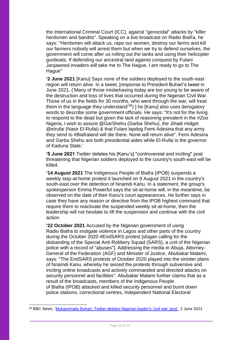the International Criminal Court (ICC), against "genocidal" attacks by "killer herdsmen and bandits". Speaking on a live broadcast on Radio Biafra, he says: "Herdsmen will attack us, rape our women, destroy our farms and kill our farmers nobody will arrest them but when we try to defend ourselves, the government will come after us rolling out the tanks and using their helicopter gunboats. If defending our ancestral land against conquest by Fulani Janjaweed invaders will take me to The Hague, I am ready to go to The Hague"

**'2 June 2021** [Kanu] Says none of the soldiers deployed to the south-east region will return alive. In a tweet, [response to President Buhari's tweet in June 2021, ('Many of those misbehaving today are too young to be aware of the destruction and loss of lives that occurred during the Nigerian Civil War. Those of us in the fields for 30 months, who went through the war, will treat them in the language they understand'<sup>38</sup>) ] he [Kanu] also uses derogatory words to describe some government officials. He says: "It's not for the living to respond to the dead but given the lack of reasoning prevalent in the #Zoo Nigeria, I wish to assure @GarShehu (Garba Shehu), the Jihadi midget @elrufai (Nasir El-Rufai) & that Fulani lapdog Femi Adesina that any army they send to #Biafraland will die there. None will return alive". Femi Adesina and Garba Shehu are both presidential aides while El-Rufai is the governor of Kaduna State.'

**'5 June 2021** Twitter deletes his [Kanu's] "controversial and inciting" post threatening that Nigerian soldiers deployed to the country's south-east will be killed.

**'14 August 2021** The Indigenous People of Biafra (IPOB) suspends a weekly stay-at-home protest it launched on 9 August 2021 in the country's south-east over the detention of Nnamdi Kanu. In a statement, the group's spokesperson Emma Powerful says the sit-at-home will, in the meantime, be observed on the date of their Kanu's court appearances. He further says in case they have any reason or directive from the IPOB highest command that require them to reactivate the suspended weekly sit-at-home, then the leadership will not hesitate to lift the suspension and continue with the civil action.

**'22 October 2021** Accused by the Nigerian government of using Radio Biafra to instigate violence in Lagos and other parts of the country during the October 2020 #EndSARS protest [slogan calling for the disbanding of the Special Anti-Robbery Squad (SARS), a unit of the Nigerian police with a record of "abuses"]. Addressing the media in Abuja, Attorney-General of the Federation (AGF) and Minister of Justice, Abubakar Malami, says: "The EndSARS protests of October 2020 played into the sinister plans of Nnamdi Kanu, whereby he seized the protests through subversive and inciting online broadcasts and actively commanded and directed attacks on security personnel and facilities". Abubakar Malami further claims that as a result of the broadcasts, members of the Indigenous People of Biafra (IPOB) attacked and killed security personnel and burnt down police stations, correctional centres, Independent National Electoral

<sup>38</sup> BBC News, ['Muhammadu Buhari: Twitter deletes Nigerian leader's 'civil war' post',](https://www.bbc.co.uk/news/world-africa-57336571) 2 June 2021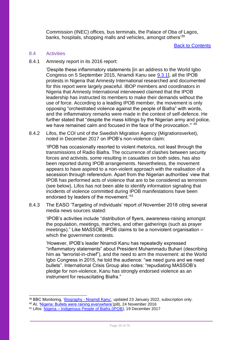Commission (INEC) offices, bus terminals, the Palace of Oba of Lagos, banks, hospitals, shopping malls and vehicles, amongst others<sup>39</sup>

[Back to Contents](#page-1-0)

#### <span id="page-29-0"></span>8.4 Activities

8.4.1 Amnesty report in its 2016 report:

'Despite these inflammatory statements [in an address to the World Igbo Congress on 5 September 2015, Nnamdi Kanu see [9.3.1\]](#page-26-1), all the IPOB protests in Nigeria that Amnesty International researched and documented for this report were largely peaceful. IBOP members and coordinators in Nigeria that Amnesty International interviewed claimed that the IPOB leadership has instructed its members to make their demands without the use of force. According to a leading IPOB member, the movement is only opposing "orchestrated violence against the people of Biafra" with words, and the inflammatory remarks were made in the context of self-defence. He further stated that "despite the mass killings by the Nigerian army and police, we have remained calm and focused in the face of the provocation." <sup>40</sup>

8.4.2 Lifos, the COI unit of the Swedish Migration Agency (Migrationsverket), noted in December 2017 on IPOB's non-violence claim:

'IPOB has occasionally resorted to violent rhetorics, not least through the transmissions of Radio Biafra. The occurrence of clashes between security forces and activists, some resulting in casualties on both sides, has also been reported during IPOB arrangements. Nevertheless, the movement appears to have aspired to a non-violent approach with the realisation of a secession through referendum. Apart from the Nigerian authorities' view that IPOB has performed acts of violence that are to be considered as terrorism (see below), Lifos has not been able to identify information signaling that incidents of violence committed during IPOB manifestations have been endorsed by leaders of the movement.'<sup>41</sup>

8.4.3 The EASO 'Targeting of individuals' report of November 2018 citing several media news sources stated:

'IPOB's activities include "distribution of flyers, awareness-raising amongst the population, meetings, marches, and other gatherings (such as prayer meetings)." Like MASSOB, IPOB claims to be a nonviolent organisation – which the government contests.

'However, IPOB's leader Nnamdi Kanu has repeatedly expressed "inflammatory statements" about President Muhammadu Buhari (describing him as "terrorist-in-chief"), and the need to arm the movement: at the World Igbo Congress in 2015, he told the audience: "we need guns and we need bullets". International Crisis Group also notes: "repudiating MASSOB's pledge for non-violence, Kanu has strongly endorsed violence as an instrument for resuscitating Biafra."

<sup>&</sup>lt;sup>39</sup> BBC Monitoring, 'Biography - [Nnamdi Kanu',](https://monitoring.bbc.co.uk/search?searchText=biafra&best=true&sort=publication_time&sortDirection=DESC) updated 23 January 2022, subscription only.

<sup>&</sup>lt;sup>40</sup> AI, '<u>Nigeria: Bullets were raining everywhere'</u>(p8), 24 November 2016

<sup>41</sup> Lifos: Nigeria – [Indigenous People of Biafra \(IPOB\)](https://www.ecoi.net/en/file/local/1420588/1226_1515060267_171219102.pdf), 19 December 2017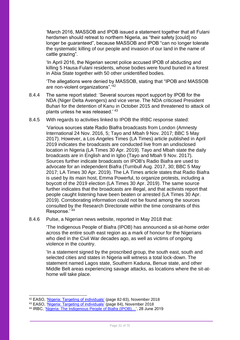'March 2016, MASSOB and IPOB issued a statement together that all Fulani herdsmen should retreat to northern Nigeria, as "their safety [could] no longer be guaranteed", because MASSOB and IPOB "can no longer tolerate the systematic killing of our people and invasion of our land in the name of cattle grazing".

'In April 2016, the Nigerian secret police accused IPOB of abducting and killing 5 Hausa-Fulani residents, whose bodies were found buried in a forest in Abia State together with 50 other unidentified bodies.

'The allegations were denied by MASSOB, stating that "IPOB and MASSOB are non-violent organizations".'<sup>42</sup>

- 8.4.4 The same report stated: 'Several sources report support by IPOB for the NDA (Niger Delta Avengers) and vice verse. The NDA criticised President Buhari for the detention of Kanu in October 2015 and threatened to attack oil plants unless he was released.' <sup>43</sup>
- 8.4.5 With regards to activities linked to IPOB the IRBC response stated:

'Various sources state Radio Biafra broadcasts from London (Amnesty International 24 Nov. 2016, 5; Tayo and Mbah 9 Nov. 2017; BBC 5 May 2017). However, a Los Angeles Times (LA Times) article published in April 2019 indicates the broadcasts are conducted live from an undisclosed location in Nigeria (LA Times 30 Apr. 2019). Tayo and Mbah state the daily broadcasts are in English and in Igbo (Tayo and Mbah 9 Nov. 2017). Sources further indicate broadcasts on IPOB's Radio Biafra are used to advocate for an independent Biafra (Turnbull Aug. 2017, 30; BBC 5 May 2017; LA Times 30 Apr. 2019). The LA Times article states that Radio Biafra is used by its main host, Emma Powerful, to organize protests, including a boycott of the 2019 election (LA Times 30 Apr. 2019). The same source further indicates that the broadcasts are illegal, and that activists report that people caught listening have been beaten or arrested (LA Times 30 Apr. 2019). Corroborating information could not be found among the sources consulted by the Research Directorate within the time constraints of this Response.' <sup>44</sup>

8.4.6 Pulse, a Nigerian news website, reported in May 2018 that:

'The Indigenous People of Biafra (IPOB) has announced a sit-at-home order across the entire south east region as a mark of honour for the Nigerians who died in the Civil War decades ago, as well as victims of ongoing violence in the country.

'In a statement signed by the proscribed group, the south east, south and selected cities and states in Nigeria will witness a total lock-down. The statement named Lagos state, Southern Kaduna, Benue state, and other Middle Belt areas experiencing savage attacks, as locations where the sit-athome will take place.

<sup>&</sup>lt;sup>42</sup> EASO, ['Nigeria: Targeting of individuals'](https://coi.easo.europa.eu/administration/easo/PLib/2018_EASO_COI_Nigeria_TargetingIndividuals.pdf) (page 82-83), November 2018

<sup>43</sup> EASO, ['Nigeria: Targeting of individuals'](https://coi.easo.europa.eu/administration/easo/PLib/2018_EASO_COI_Nigeria_TargetingIndividuals.pdf) (page 84), November 2018

<sup>44</sup> IRBC, '[Nigeria: The Indigenous People of Biafra \(IPOB\)](https://irb-cisr.gc.ca/en/country-information/rir/Pages/index.aspx?doc=457837&pls=1)...', 28 June 2019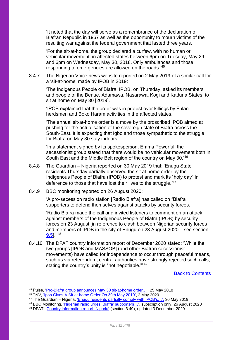'It noted that the day will serve as a remembrance of the declaration of Biafran Republic in 1967 as well as the opportunity to mourn victims of the resulting war against the federal government that lasted three years.

'For the sit-at-home, the group declared a curfew, with no human or vehicular movement, in affected states between 6pm on Tuesday, May 29 and 6pm on Wednesday, May 30, 2018. Only ambulances and those responding to emergencies are allowed on the roads.<sup>'45</sup>

8.4.7 The Nigerian Voice news website reported on 2 May 2019 of a similar call for a 'sit-at-home' made by IPOB in 2019:

'The Indigenous People of Biafra, IPOB, on Thursday, asked its members and people of the Benue, Adamawa, Nasarawa, Kogi and Kaduna States, to sit at home on May 30 [2019].

'IPOB explained that the order was in protest over killings by Fulani herdsmen and Boko Haram activities in the affected states.

'The annual sit-at-home order is a move by the proscribed IPOB aimed at pushing for the actualisation of the sovereign state of Biafra across the South-East. It is expecting that Igbo and those sympathetic to the struggle for Biafra on May 30 stay indoors.

'In a statement signed by its spokesperson, Emma Powerful, the secessionist group stated that there would be no vehicular movement both in South East and the Middle Belt region of the country on May 30.'<sup>46</sup>

- 8.4.8 The Guardian Nigeria reported on 30 May 2019 that: 'Enugu State residents Thursday partially observed the sit at home order by the Indigenous People of Biafra (IPOB) to protest and mark its "holy day" in deference to those that have lost their lives to the struggle.<sup>'47</sup>
- 8.4.9 BBC monitoring reported on 26 August 2020:

'A pro-secession radio station [Radio Biafra] has called on "Biafra" supporters to defend themselves against attacks by security forces.

'Radio Biafra made the call and invited listeners to comment on an attack against members of the Indigenous People of Biafra (IPOB) by security forces on 23 August [in reference to clash between Nigerian security forces and members of IPOB in the city of Enugu on 23 August 2020 – see section  $9.5$ ].'  $^{48}$ 

8.4.10 The DFAT country information report of December 2020 stated: 'While the two groups [IPOB and MASSOB] (and other Biafran secessionist movements) have called for independence to occur through peaceful means, such as via referendum, central authorities have strongly rejected such calls, stating the country's unity is "not negotiable."' <sup>49</sup>

[Back to Contents](#page-1-0)

<sup>48</sup> BBC Monitoring, <u>'Nigerian radio urges 'Biafra' supporters...</u>', subscription only, 26 August 2020

<sup>45</sup> Pulse, ['Pro-Biafra group announces May 30 sit-at-home order…',](https://www.pulse.ng/news/local/ipob-pro-biafra-group-announces-may-30-sit-at-home-order-for-national-day-of-mourning/b5c69jw) 25 May 2018

<sup>&</sup>lt;sup>46</sup> TNV, <u>'Ipob Gives A Sit-at-home Order On 30th May 2019',</u> 2 May 2020

<sup>&</sup>lt;sup>47</sup> The Guardian – Nigeria, <u>'Enugu residents partially comply with IPOB's…',</u> 30 May 2019

<sup>49</sup> DFAT, ['Country information report: Nigeria'](https://www.dfat.gov.au/about-us/publications/country-information-reports) (section 3.49), updated 3 December 2020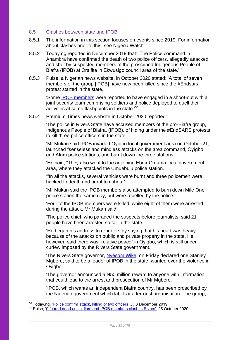### <span id="page-32-0"></span>8.5 Clashes between state and IPOB

- 8.5.1 The information in this section focuses on events since 2019. For information about clashes prior to this, see Nigeria Watch
- 8.5.2 Today.ng reported in December 2019 that: 'The Police command in Anambra have confirmed the death of two police officers, allegedly attacked and shot by suspected members of the proscribed Indigenous People of Biafra (IPOB) at Oraifite in Ekwusigo council area of the state.'<sup>50</sup>
- 8.5.3 Pulse, a Nigerian news website, in October 2020 stated: 'A total of seven members of the group [IPOB] have now been killed since the #Endsars protest started in the state.

'Some [IPOB members](https://www.pulse.ng/news/metro/2-feared-dead-as-police-and-ipob-reportedly-clash-in-enugu/9jxe67t) were reported to have engaged in a shoot-out with a joint security team comprising soldiers and police deployed to quell their activities at some flashpoints in the state.'<sup>51</sup>

8.5.4 Premium Times news website in October 2020 reported:

'The police in Rivers State have accused members of the pro-Biafra group, Indigenous People of Biafra, (IPOB), of hiding under the #EndSARS protests to kill three police officers in the state…

'Mr Mukan said IPOB invaded Oyigbo local government area on October 21, launched "senseless and mindless attacks on the area command, Oyigbo and Afam police stations, and burnt down the three stations."

'He said, "They also went to the adjoining Eberi-Omuma local government area, where they attacked the Umuebulu police station.

'"In all the attacks, several vehicles were burnt and three policemen were hacked to death and burnt to ashes."

'Mr Mukan said the IPOB members also attempted to burn down Mile One police station the same day, but were repelled by the police.

'Four of the IPOB members were killed, while eight of them were arrested during the attack, Mr Mukan said.

'The police chief, who paraded the suspects before journalists, said 21 people have been arrested so far in the state.

'He began his address to reporters by saying that his heart was heavy because of the attacks on public and private property in the state. He, however, said there was "relative peace" in Oyigbo, which is still under curfew imposed by the Rivers State government.

'The Rivers State governor, [Nyesom Wike,](https://twitter.com/GovWike) on Friday declared one Stanley Mgbere, said to be a leader of IPOB in the state, wanted over the violence in Oyigbo.

'The governor announced a N50 million reward to anyone with information that could lead to the arrest and prosecution of Mr Mgbere.

'IPOB, which wants an independent Biafra country, has been proscribed by the Nigerian government which labels it a terrorist organisation. The group,

<sup>50</sup> Today.ng, ['Police confirm attack, killing of two officers…',](https://www.today.ng/news/nigeria/police-confirm-attack-killing-officers-ipob-members-anambra-267048) 3 December 2019

<sup>51</sup> Pulse, ['9 feared dead as soldiers and IPOB members clash in Rivers',](https://www.pulse.ng/news/local/9-feared-dead-as-soldiers-and-ipob-members-clash-in-rivers/exn4hsr) 25 October 2020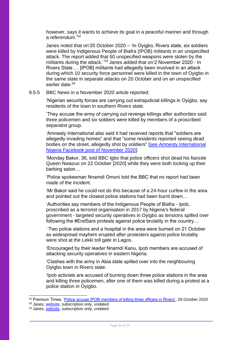however, says it wants to achieve its goal in a peaceful manner and through a referendum.' 52

Janes noted that on'20 October 2020 – 'In Oyigbo, Rivers state, six soldiers were killed by Indigenous People of Biafra (IPOB) militants in an unspecified attack. The report added that 50 unspecified weapons were stolen by the militants during the attack.'<sup>53</sup> Janes added that on'2 November 2020 - In Rivers State … [IPOB] militants had allegedly been involved in an attack during which 10 security force personnel were killed in the town of Oyigbo in the same state in separate attacks on 20 October and on an unspecified earlier date.<sup>54</sup>

#### 8.5.5 BBC News in a November 2020 article reported:

'Nigerian security forces are carrying out extrajudicial killings in Oyigbo, say residents of the town in southern Rivers state.

'They accuse the army of carrying out revenge killings after authorities said three policemen and six soldiers were killed by members of a proscribed separatist group.

'Amnesty International also said it had received reports that "soldiers are allegedly invading homes" and that "some residents reported seeing dead bodies on the street, allegedly shot by soldiers" [\[see Amnesty International](https://m.facebook.com/ainigeria/posts/2154469554697528?comment_id=2154591868018630)  [Nigeria Facebook post of November 2020\]](https://m.facebook.com/ainigeria/posts/2154469554697528?comment_id=2154591868018630).

'Monday Bakor, 36, told BBC Igbo that police officers shot dead his fiancée Queen Nwazuo on 22 October [2020] while they were both locking up their barbing salon…

'Police spokesman Nnamdi Omoni told the BBC that no report had been made of the incident.

'Mr Bakor said he could not do this because of a 24-hour curfew in the area and pointed out the closest police stations had been burnt down…

'Authorities say members of the Indigenous People of Biafra - Ipob, proscribed as a terrorist organisation in 2017 by Nigeria's federal government - targeted security operatives in Oyigbo as tensions spilled over following the #EndSars protests against police brutality in the country…

'Two police stations and a hospital in the area were burned on 21 October as widespread mayhem erupted after protesters against police brutality were shot at the Lekki toll gate in Lagos.

'Encouraged by their leader Nnamdi Kanu, Ipob members are accused of attacking security operatives in eastern Nigeria.

'Clashes with the army in Abia state spilled over into the neighbouring Oyigbo town in Rivers state.

'Ipob activists are accused of burning down three police stations in the area and killing three policemen, after one of them was killed during a protest at a police station in Oyigbo.

<sup>52</sup> Premium Times, ['Police accuse IPOB members of killing three officers in Rivers',](https://www.premiumtimesng.com/news/headlines/423207-police-accuse-ipob-members-of-killing-three-officers-in-rivers.html) 26 October 2020

<sup>53</sup> Janes, [website,](https://customer.janes.com/janes/search?q=Biafra&pg=1&sort=postdate|dsc) subscription only, undated

<sup>54</sup> Janes, [website,](https://customer.janes.com/janes/search?q=Biafra&pg=1&sort=postdate|dsc) subscription only, undated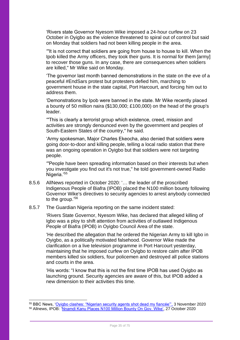'Rivers state Governor Nyesom Wike imposed a 24-hour curfew on 23 October in Oyigbo as the violence threatened to spiral out of control but said on Monday that soldiers had not been killing people in the area.

'"It is not correct that soldiers are going from house to house to kill. When the Ipob killed the Army officers, they took their guns. It is normal for them [army] to recover those guns. In any case, there are consequences when soldiers are killed," Mr Wike said on Monday.

'The governor last month banned demonstrations in the state on the eve of a peaceful #EndSars protest but protesters defied him, marching to government house in the state capital, Port Harcourt, and forcing him out to address them.

'Demonstrations by Ipob were banned in the state. Mr Wike recently placed a bounty of 50 million naira (\$130,000; £100,000) on the head of the group's leader.

'"This is clearly a terrorist group which existence, creed, mission and activities are strongly denounced even by the government and peoples of South-Eastern States of the country," he said.

'Army spokesman, Major Charles Ekeocha, also denied that soldiers were going door-to-door and killing people, telling a local radio station that there was an ongoing operation in Oyigbo but that soldiers were not targeting people.

'"People have been spreading information based on their interests but when you investigate you find out it's not true," he told government-owned Radio Nigeria.'55

8.5.6 AllNews reported in October 2020: '… the leader of the proscribed Indigenous People of Biafra (IPOB) placed the N100 million bounty following Governor Wike's directives to security agencies to arrest anybody connected to the group.'<sup>56</sup>

#### 8.5.7 The Guardian Nigeria reporting on the same incident stated:

'Rivers State Governor, Nyesom Wike, has declared that alleged killing of Igbo was a ploy to shift attention from activities of outlawed Indigenous People of Biafra (IPOB) in Oyigbo Council Area of the state.

'He described the allegation that he ordered the Nigerian Army to kill Igbo in Oyigbo, as a politically motivated falsehood. Governor Wike made the clarification on a live television programme in Port Harcourt yesterday, maintaining that he imposed curfew on Oyigbo to restore calm after IPOB members killed six soldiers, four policemen and destroyed all police stations and courts in the area.

'His words: "I know that this is not the first time IPOB has used Oyigbo as launching ground. Security agencies are aware of this, but IPOB added a new dimension to their activities this time.

<sup>&</sup>lt;sup>55</sup> BBC News, ['Oyigbo clashes: "Nigerian security agents shot dead my fiancée"',](https://www.bbc.co.uk/news/world-africa-54791650) 3 November 2020 <sup>56</sup> Allnews, IPOB: ['Nnamdi Kanu Places N100 Million Bounty On Gov. Wike',](https://allnews.ng/news/ipob-nnamdi-kanu-places-n100-million-bounty-on-gov-wike) 27 October 2020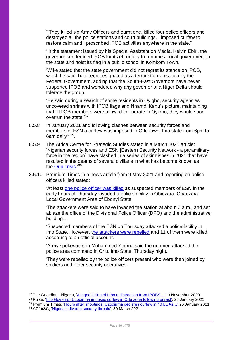'"They killed six Army Officers and burnt one, killed four police officers and destroyed all the police stations and court buildings. I imposed curfew to restore calm and I proscribed IPOB activities anywhere in the state."

'In the statement issued by his Special Assistant on Media, Kelvin Ebiri, the governor condemned IPOB for its effrontery to rename a local government in the state and hoist its flag in a public school in Komkom Town.

'Wike stated that the state government did not regret its stance on IPOB, which he said, had been designated as a terrorist organisation by the Federal Government, adding that the South-East Governors have never supported IPOB and wondered why any governor of a Niger Delta should tolerate the group.

'He said during a search of some residents in Oyigbo, security agencies uncovered shrines with IPOB flags and Nnamdi Kanu's picture, maintaining that if IPOB members were allowed to operate in Oyigbo, they would soon overrun the state.'<sup>57</sup>

- 8.5.8 In January 2021 and following clashes between security forces and members of ESN a curfew was imposed in Orlu town, Imo state from 6pm to 6am daily<sup>5859</sup>.
- 8.5.9 The Africa Centre for Strategic Studies stated in a March 2021 article: 'Nigerian security forces and ESN [Eastern Security Network - a paramilitary force in the region] have clashed in a series of skirmishes in 2021 that have resulted in the deaths of several civilians in what has become known as the <u>Orlu crisis</u>.'<sup>60</sup>
- 8.5.10 Premium Times in a news article from 9 May 2021 and reporting on police officers killed stated:

'At least [one police officer was killed](https://www.premiumtimesng.com/news/top-news/459862-police-officer-killed-in-yet-another-attack-on-police-facility-in-ebonyi.html) as suspected members of ESN in the early hours of Thursday invaded a police facility in Obiozara, Ohaozara Local Government Area of Ebonyi State.

'The attackers were said to have invaded the station at about 3 a.m., and set ablaze the office of the Divisional Police Officer (DPO) and the administrative building…

'Suspected members of the ESN on Thursday attacked a police facility in Imo State. However, [the attackers were repelled](https://www.premiumtimesng.com/news/headlines/460112-11-suspected-ipob-members-killed-while-attacking-another-police-base-official.html) and 11 of them were killed, according to an official account.

'Army spokesperson Mohammed Yerima said the gunmen attacked the police area command in Orlu, Imo State, Thursday night.

'They were repelled by the police officers present who were then joined by soldiers and other security operatives.

<sup>58</sup> Pulse, ['Imo Governor Uzodinma imposes curfew in Orlu zone following unrest',](https://www.pulse.ng/news/local/orlu-imo-governor-uzodinma-imposes-curfew-following-unrest/xdhdsgg) 25 January 2021

<sup>57</sup> The Guardian - Nigeria, 'Alleged killing of Igbo a distraction from IPOBS...', 3 November 2020

<sup>59</sup> Premium Times, ['Hours after shootings, Uzodinma declares curfew in 10 LGAs…'](https://www.premiumtimesng.com/news/headlines/438715-hours-after-shootings-uzodinma-declares-curfew-in-10-lgas-in-imo.html) 26 January 2021 <sup>60</sup> ACforSC, ['Nigeria's diverse security threats',](https://africacenter.org/spotlight/nigeria-diverse-security-threats/) 30 March 2021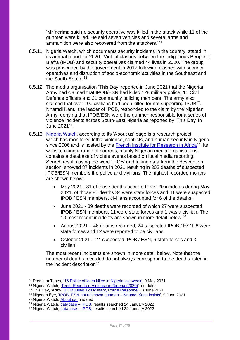'Mr Yerima said no security operative was killed in the attack while 11 of the gunmen were killed. He said seven vehicles and several arms and ammunition were also recovered from the attackers.<sup>'61</sup>

- 8.5.11 Nigeria Watch, which documents security incidents in the country, stated in its annual report for 2020: 'Violent clashes between the Indigenous People of Biafra (IPOB) and security operatives claimed 44 lives in 2020. The group was proscribed by the government in 2017 following clashes with security operatives and disruption of socio-economic activities in the Southeast and the South-South.'<sup>62</sup>
- 8.5.12 The media organisation 'This Day' reported in June 2021 that the Nigerian Army had claimed that IPOB/ESN had killed 128 military police, 15 Civil Defence officers and 31 community policing members. The army also claimed that over 100 civilians had been killed for not supporting IPOB<sup>63</sup>. Nnamdi Kanu, the leader of IPOB, responded to the claim by the Nigerian Army, denying that IPOB/ESN were the gunmen responsible for a series of violence incidents across South-East Nigeria as reported by 'This Day' in June 2021<sup>64</sup> .
- 8.5.13 [Nigeria Watch,](http://www.nigeriawatch.org/index.php?urlaction=evtListe&page=1) according to its 'About us' page is a research project which has monitored lethal violence, conflicts, and human security in Nigeria since 2006 and is hosted by the [French Institute for Research in Africa](https://www.ifra-nigeria.org/)<sup>65</sup>. Its website using a range of sources, mainly Nigerian media organisations, contains a database of violent events based on local media reporting. Search results using the word 'IPOB' and taking data from the description section, showed 87 incidents in 2021 resulting in 302 deaths of suspected IPOB/ESN members the police and civilians. The highest recorded months are shown below:
	- May 2021 81 of those deaths occurred over 20 incidents during May 2021, of those 81 deaths 34 were state forces and 41 were suspected IPOB / ESN members, civilians accounted for 6 of the deaths.
	- June 2021 39 deaths were recorded of which 27 were suspected IPOB / ESN members, 11 were state forces and 1 was a civilian. The 10 most recent incidents are shown in more detail below.<sup>66</sup>.
	- August 2021 48 deaths recorded, 24 suspected IPOB / ESN, 8 were state forces and 12 were reported to be civilians.
	- October 2021 24 suspected IPOB / ESN, 6 state forces and 3 civilian.

The most recent incidents are shown in more detail below. Note that the number of deaths recorded do not always correspond to the deaths listed in the incident description<sup>67</sup>.

<sup>&</sup>lt;sup>61</sup> Premium Times, ['16 Police officers killed in Nigeria last week',](https://www.premiumtimesng.com/news/headlines/460408-16-police-officers-killed-in-nigeria-last-week.html) 9 May 2021

<sup>&</sup>lt;sup>62</sup> Nigeria Watch, '<u>Tenth Report on Violence in Nigeria (2020)</u>', no date

<sup>63</sup> This Day, 'Army: <u>IPOB Killed 128 Military, Police Personnel',</u> 8 June 2021

<sup>&</sup>lt;sup>64</sup> Nigerian Eye, '<u>IPOB, ESN not unknown gunmen – Nnamdi Kanu insists',</u> 9 June 2021

<sup>&</sup>lt;sup>65</sup> Nigeria Watch, **About us**, undated

<sup>&</sup>lt;sup>66</sup> Nigeria Watch, *database – IPOB*, results searched 24 January 2022

<sup>&</sup>lt;sup>67</sup> Nigeria Watch, [database –](http://www.nigeriawatch.org/index.php?urlaction=evtListe&page=1) IPOB, results searched 24 January 2022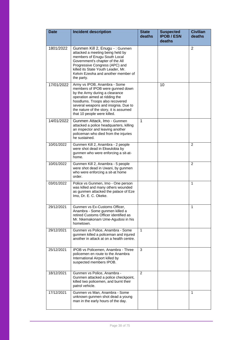| <b>Date</b> | <b>Incident description</b>                                                                                                                                                                                                                                                              | <b>State</b><br>deaths | <b>Suspected</b><br><b>IPOB / ESN</b><br>deaths | <b>Civilian</b><br>deaths |
|-------------|------------------------------------------------------------------------------------------------------------------------------------------------------------------------------------------------------------------------------------------------------------------------------------------|------------------------|-------------------------------------------------|---------------------------|
| 1801/2022   | Gunmen Kill 2, Enugu - : Gunmen<br>attacked a meeting being held by<br>members of Enugu South Local<br>Government's chapter of the All<br>Progressive Congress (APC) and<br>killed its State Youth Leader, Mr.<br>Kelvin Ezeoha and another member of<br>the party.                      |                        |                                                 | $\overline{2}$            |
| 17/01/2022  | Army vs IPOB, Anambra - Some<br>members of IPOB were gunned down<br>by the Army during a clearance<br>operation aimed at ridding the<br>hoodlums. Troops also recovered<br>several weapons and insignia. Due to<br>the nature of the story, it is assumed<br>that 10 people were killed. |                        | 10                                              |                           |
| 14/01/2022  | Gunmen Attack, Imo - Gunmen<br>attacked a police headquarters, killing<br>an inspector and leaving another<br>policeman who died from the injuries<br>he sustained.                                                                                                                      | $\mathbf{1}$           |                                                 |                           |
| 10/01/2022  | Gunmen Kill 2, Anambra - 2 people<br>were shot dead in Ekwulobia by<br>gunmen who were enforcing a sit-at-<br>home.                                                                                                                                                                      |                        |                                                 | 2                         |
| 10/01/2022  | Gunmen Kill 2, Anambra - 5 people<br>were shot dead in Uwani, by gunmen<br>who were enforcing a sit-at home<br>order.                                                                                                                                                                    |                        |                                                 | 2                         |
| 03/01/2022  | Police vs Gunmen, Imo - One person<br>was killed and many others wounded<br>as gunmen attacked the palace of Eze<br>Imo, Dr. E. C. Okeke.                                                                                                                                                |                        |                                                 | $\mathbf{1}$              |
| 29/12/2021  | Gunmen vs Ex-Customs Officer,<br>Anambra - Some gunmen killed a<br>retired Customs Officer identified as<br>Mr. Nkemakonam Ume-Agudosi in his<br>hometown.                                                                                                                               |                        |                                                 | 1                         |
| 29/12/2021  | Gunmen vs Police, Anambra - Some<br>gunmen killed a policeman and injured<br>another in attack at on a health centre.                                                                                                                                                                    | 1                      |                                                 |                           |
| 25/12/2021  | IPOB vs Policemen, Anambra - Three<br>policemen en route to the Anambra<br>International Airport killed by<br>suspected members IPOB.                                                                                                                                                    | 3                      |                                                 |                           |
| 18/12/2021  | Gunmen vs Police, Anambra -<br>Gunmen attacked a police checkpoint,<br>killed two policemen, and burnt their<br>patrol vehicle.                                                                                                                                                          | $\overline{2}$         |                                                 |                           |
| 17/12/2021  | Gunmen vs Man, Anambra - Some<br>unknown gunmen shot dead a young<br>man in the early hours of the day.                                                                                                                                                                                  |                        |                                                 | 1                         |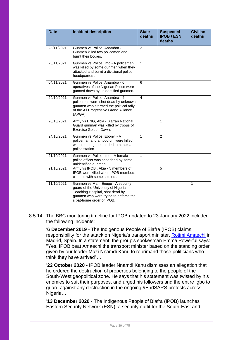| <b>Date</b> | <b>Incident description</b>                                                                                                                                                       | <b>State</b><br>deaths | <b>Suspected</b><br><b>IPOB / ESN</b><br>deaths | <b>Civilian</b><br>deaths |
|-------------|-----------------------------------------------------------------------------------------------------------------------------------------------------------------------------------|------------------------|-------------------------------------------------|---------------------------|
| 25/11/2021  | Gunmen vs Police, Anambra -<br>Gunmen killed two policemen and<br>burnt their bodies.                                                                                             | $\overline{2}$         |                                                 |                           |
| 23/11/2021  | Gunmen vs Police, Imo - A policeman<br>was killed by some gunmen when they<br>attacked and burnt a divisional police<br>headquarters.                                             | $\mathbf{1}$           |                                                 |                           |
| 04/11/2021  | Gunmen vs Police, Anambra - 6<br>operatives of the Nigerian Police were<br>gunned down by unidentified gunmen.                                                                    | 6                      |                                                 |                           |
| 29/10/2021  | Gunmen vs Police, Anambra - 4<br>policemen were shot dead by unknown<br>gunmen who stormed the political rally<br>of the All Progressive Grand Alliance<br>(APGA).                | 4                      |                                                 |                           |
| 28/10/2021  | Army vs BNG, Abia - Biafran National<br>Guard gunman was killed by troops of<br>Exercise Golden Dawn.                                                                             |                        | $\mathbf{1}$                                    |                           |
| 24/10/2021  | Gunmen vs Police, Ebonyi - A<br>policeman and a hoodlum were killed<br>when some gunmen tried to attack a<br>police station.                                                      | $\mathbf{1}$           | $\mathcal{P}$                                   |                           |
| 21/10/2021  | Gunmen vs Police, Imo - A female<br>police officer was shot dead by some<br>unidentified gunmen.                                                                                  | $\mathbf{1}$           |                                                 |                           |
| 21/10/2021  | Army vs IPOB, Abia - 5 members of<br><b>IPOB were killed when IPOB members</b><br>clashed with some soldiers.                                                                     |                        | 5                                               |                           |
| 11/10/2021  | Gunmen vs Man, Enugu - A security<br>guard of the University of Nigeria<br>Teaching Hospital, shot dead by<br>gunmen who were trying to enforce the<br>sit-at-home order of IPOB. |                        |                                                 | 1                         |

8.5.14 The BBC monitoring timeline for IPOB updated to 23 January 2022 included the following incidents:

'**6 December 2019** - The Indigenous People of Biafra (IPOB) claims responsibility for the attack on Nigeria's transport minister, [Rotimi Amaechi](https://monitoring.bbc.co.uk/product/5488938) in Madrid, Spain. In a statement, the group's spokesman Emma Powerful says: "Yes, IPOB beat Amaechi the transport minister based on the standing order given by our leader Mazi Nnamdi Kanu to reprimand those politicians who think they have arrived"…

'**22 October 2020** - IPOB leader Nnamdi Kanu dismisses an allegation that he ordered the destruction of properties belonging to the people of the South-West geopolitical zone. He says that his statement was twisted by his enemies to suit their purposes, and urged his followers and the entire Igbo to guard against any destruction in the ongoing #EndSARS protests across Nigeria…

'**13 December 2020** - The Indigenous People of Biafra (IPOB) launches Eastern Security Network (ESN), a security outfit for the South-East and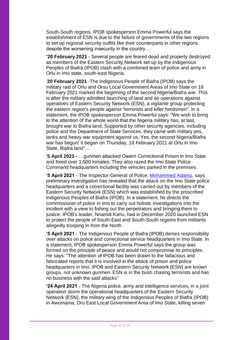South-South regions. IPOB spokesperson Emma Powerful says the establishment of ESN is due to the failure of governments of the two regions to set up regional security outfits like their counterparts in other regions despite the worsening insecurity in the country…

**'20 February 2021** - Several people are feared dead and property destroyed as members of the Eastern Security Network set up by the Indigenous Peoples of Biafra (IPOB) clash with a combined team of police and army in Orlu in Imo state, south-east Nigeria.

'**20 February 2021** -The Indigenous People of Biafra (IPOB) says the military raid of Orlu and Orsu Local Government Areas of Imo State on 18 February 2021 marked the beginning of the second Nigeria/Biafra war. This is after the military admitted launching of land and air operations against operatives of Eastern Security Network (ESN), a vigilante group protecting the eastern region's people against "terrorists and killer herdsmen". In a statement, the IPOB spokesperson Emma Powerful says: "We wish to bring to the attention of the whole world that the Nigeria military has, at last, brought war to Biafra land. Supported by other security agencies, including police and the Department of State Services, they came with military jets, tanks and heavy war equipment against us. Yes, the second Nigeria/Biafra war has begun! It began on Thursday, 18 February 2021 at Orlu in Imo State, Biafra land"…

'**5 April 2021 -** …gunmen attacked Owerri Correctional Prison in Imo State and freed over 1,500 inmates. They also razed the Imo State Police Command headquarters including the vehicles parked in the premises.

**'5 April 2021** - The Inspector-General of Police, [Mohammed Adamu,](https://monitoring.bbc.co.uk/product/jirv1nvsp8) says preliminary investigation has revealed that the attack on the Imo State police headquarters and a correctional facility was carried out by members of the Eastern Security Network (ESN) which was established by the proscribed Indigenous Peoples of Biafra (IPOB). In a statement, he directs the commissioner of police in Imo to carry out holistic investigations into the incident with a view to fishing out the perpetrators and bringing them to justice. IPOB's leader, Nnamdi Kanu, had in December 2020 launched ESN to protect the people of South-East and South-South regions from militants allegedly trooping in from the North

**'5 April 2021** - The Indigenous People of Biafra (IPOB) denies responsibility over attacks on police and correctional service headquarters in Imo State. In a statement, IPOB spokesperson Emma Powerful says the group was formed on the principle of peace and would not compromise its principles. He says: "The attention of IPOB has been drawn to the fallacious and fabricated reports that it is involved in the attack of prison and police headquarters in Imo. IPOB and Eastern Security Network (ESN) are known groups, not unknown gunmen. ESN is in the bush chasing terrorists and has no business with the said attacks"

**'24 April 2021** - The Nigeria police, army and intelligence services, in a joint operation storm the operational headquarters of the Eastern Security Network (ESN), the military wing of the Indigenous Peoples of Biafra (IPOB) in Awomama, Oru East Local Government Area of Imo State, killing seven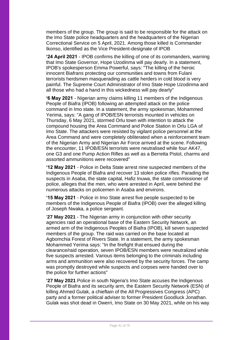members of the group. The group is said to be responsible for the attack on the Imo State police headquarters and the headquarters of the Nigerian Correctional Service on 5 April, 2021. Among those killed is Commander Ikonso, identified as the Vice President-designate of IPOB

**'24 April 2021** - IPOB confirms the killing of one of its commanders, warning that Imo State Governor, Hope Uzodinma will pay dearly. In a statement, IPOB's spokesperson Emma Powerful, says: "The killing of the heroic innocent Biafrans protecting our communities and towns from Fulani terrorists herdsmen masquerading as cattle herders in cold blood is very painful. The Supreme Court Administrator of Imo State Hope Uzodinma and all those who had a hand in this wickedness will pay dearly"

**'6 May 2021** - Nigerian army claims killing 11 members of the Indigenous People of Biafra (IPOB) following an attempted attack on the police command in Imo state. In a statement, the army spokesman, Mohammed Yerima, says: "A gang of IPOB/ESN terrorists mounted in vehicles on Thursday, 6 May 2021, stormed Orlu town with intention to attack the compound housing the Area Command and Police Station in Orlu LGA of Imo State. The attackers were resisted by vigilant police personnel at the Area Command and were completely obliterated when a reinforcement team of the Nigerian Army and Nigerian Air Force arrived at the scene. Following the encounter, 11 IPOB/ESN terrorists were neutralised while four AK47, one G3 and one Pump Action Rifles as well as a Berretta Pistol, charms and assorted ammunitions were recovered"

**'12 May 2021** - Police in Delta State arrest nine suspected members of the Indigenous People of Biafra and recover 13 stolen police rifles. Parading the suspects in Asaba, the state capital, Hafiz Inuwa, the state commissioner of police, alleges that the men, who were arrested in April, were behind the numerous attacks on policemen in Asaba and environs.

**'15 May 2021** - Police in Imo State arrest five people suspected to be members of the Indigenous People of Biafra (IPOB) over the alleged killing of Joseph Nwaka, a police sergeant.

'**27 May 2021** - The Nigerian army in conjunction with other security agencies raid an operational base of the Eastern Security Network, an armed arm of the Indigenous Peoples of Biafra (IPOB), kill seven suspected members of the group. The raid was carried on the base located at Agbomchia Forest of Rivers State. In a statement, the army spokesman Mohammed Yerima says: "In the firefight that ensued during the clearance/raid operation, seven IPOB/ESN members were neutralized while five suspects arrested. Various items belonging to the criminals including arms and ammunition were also recovered by the security forces. The camp was promptly destroyed while suspects and corpses were handed over to the police for further actions"

**'27 May 2021** Police in south Nigeria's Imo State accuses the Indigenous People of Biafra and its security arm, the Eastern Security Network (ESN) of killing Ahmed Gulak, a chieftain of the All Progressives Congress (APC) party and a former political adviser to former President Goodluck Jonathan. Gulak was shot dead in Owerri, Imo State on 30 May 2021, while on his way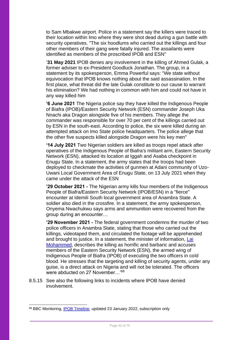to Sam Mbakwe airport. Police in a statement say the killers were traced to their location within Imo where they were shot dead during a gun battle with security operatives. "The six hoodlums who carried out the killings and four other members of their gang were fatally injured. The assailants were identified as members of the proscribed IPOB and ESN"

'**31 May 2021** IPOB denies any involvement in the killing of Ahmed Gulak, a former adviser to ex-President Goodluck Jonathan. The group, in a statement by its spokesperson, Emma Powerful says: "We state without equivocation that IPOB knows nothing about the said assassination. In the first place, what threat did the late Gulak constitute to our cause to warrant his elimination? We had nothing in common with him and could not have in any way killed him

**'6 June 2021** The Nigeria police say they have killed the Indigenous People of Biafra (IPOB)/Eastern Security Network (ESN) commander Joseph Uka Nnachi aka Dragon alongside five of his members. They allege the commander was responsible for over 70 per cent of the killings carried out by ESN in the south-east. According to police, the six were killed during an attempted attack on Imo State police headquarters. The police allege that the other five suspects killed alongside Dragon were his key men"

**'14 July 2021** Two Nigerian soldiers are killed as troops repel attack after operatives of the Indigenous People of Biafra's militant arm, Eastern Security Network (ESN), attacked its location at Iggah and Asaba checkpoint in Enugu State. In a statement, the army states that the troops had been deployed to checkmate the activities of gunmen at Adani community of Uzo-Uwani Local Government Area of Enugu State, on 13 July 2021 when they came under the attack of the ESN

**'29 October 2021 -** The Nigerian army kills four members of the Indigenous People of Biafra/Eastern Security Network (IPOB/ESN) in a "fierce" encounter at Idemili South local government area of Anambra State. A soldier also died in the crossfire. In a statement, the army spokesperson, Onyema Nwachukwu says arms and ammunition were recovered from the group during an encounter…

**'29 November 2021 -** The federal government condemns the murder of two police officers in Anambra State, stating that those who carried out the killings, videotaped them, and circulated the footage will be apprehended and brought to justice. In a statement, the minister of information, Lai [Mohammed,](https://monitoring.bbc.co.uk/product/5747794) describes the killing as horrific and barbaric and accuses members of the Eastern Security Network (ESN), the armed wing of Indigenous People of Biafra (IPOB) of executing the two officers in cold blood. He stresses that the targeting and killing of security agents, under any guise, is a direct attack on Nigeria and will not be tolerated. The officers were abducted on 27 November...<sup>'68</sup>

8.5.15 See also the following links to incidents where IPOB have denied involvement.

<sup>68</sup> BBC Monitoring, **IPOB Timeline**, updated 23 January 2022, subscription only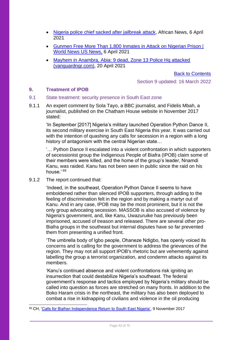- [Nigeria police chief sacked after jailbreak attack,](https://www.africanews.com/2021/04/06/destroy-to-the-last-man-nigeria-vows-to-go-after-group-blamed-for-jail-raid/) African News, 6 April 2021
- [Gunmen Free More Than 1,800 Inmates in Attack on Nigerian Prison |](https://www.usnews.com/news/world/articles/2021-04-06/more-than-1-800-break-out-of-nigerian-prison-bbc)  [World News US News,](https://www.usnews.com/news/world/articles/2021-04-06/more-than-1-800-break-out-of-nigerian-prison-bbc) 6 April 2021
- Mayhem in Anambra, Abia: 9 dead, Zone 13 Police Hq attacked [\(vanguardngr.com\),](https://www.vanguardngr.com/2021/04/mayhem-in-anambra-abia-9-dead-zone-13-police-hq-attacked/) 20 April 2021

[Back to Contents](#page-1-0)

Section 9 updated: 16 March 2022

### **9. Treatment of IPOB**

#### 9.1 State treatment: security presence in South East zone

9.1.1 An expert comment by Sola Tayo, a BBC journalist, and Fidelis Mbah, a journalist, published on the Chatham House website in November 2017 stated:

> 'In September [2017] Nigeria's military launched Operation Python Dance II, its second military exercise in South East Nigeria this year. It was carried out with the intention of quashing any calls for secession in a region with a long history of antagonism with the central Nigerian state…

> '… Python Dance II escalated into a violent confrontation in which supporters of secessionist group the Indigenous People of Biafra (IPOB) claim some of their members were killed, and the home of the group's leader, Nnamdi Kanu, was raided. Kanu has not been seen in public since the raid on his house.' <sup>69</sup>

9.1.2 The report continued that:

'Indeed, in the southeast, Operation Python Dance II seems to have emboldened rather than silenced IPOB supporters, through adding to the feeling of discrimination felt in the region and by making a martyr out of Kanu. And in any case, IPOB may be the most prominent, but it is not the only group advocating secession. MASSOB is also accused of violence by Nigeria's government, and, like Kanu, Uwazuruike has previously been imprisoned, accused of treason and released. There are several other pro-Biafra groups in the southeast but internal disputes have so far prevented them from presenting a unified front.

'The umbrella body of Igbo people, Ohaneze Ndigbo, has openly voiced its concerns and is calling for the government to address the grievances of the region. They may not all support IPOB's rhetoric but are vehemently against labelling the group a terrorist organization, and condemn attacks against its members.

'Kanu's continued absence and violent confrontations risk igniting an insurrection that could destabilize Nigeria's southeast. The federal government's response and tactics employed by Nigeria's military should be called into question as forces are stretched on many fronts. In addition to the Boko Haram crisis in the northeast, the military has also been deployed to combat a rise in kidnapping of civilians and violence in the oil producing

<sup>69</sup> CH, ['Calls for Biafran Independence Return to South East Nigeria',](https://www.chathamhouse.org/expert/comment/calls-biafran-independence-return-south-east-nigeria) 9 November 2017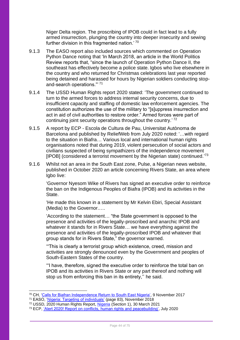Niger Delta region. The proscribing of IPOB could in fact lead to a fully armed insurrection, plunging the country into deeper insecurity and sewing further division in this fragmented nation.<sup>'70</sup>

- 9.1.3 The EASO report also included sources which commented on Operation Python Dance noting that 'In March 2018, an article in the World Politics Review reports that, "since the launch of Operation Python Dance II, the southeast has effectively become a police state. Igbos who live elsewhere in the country and who returned for Christmas celebrations last year reported being detained and harassed for hours by Nigerian soldiers conducting stopand-search operations."' <sup>71</sup>
- 9.1.4 The USSD Human Rights report 2020 stated: 'The government continued to turn to the armed forces to address internal security concerns, due to insufficient capacity and staffing of domestic law enforcement agencies. The constitution authorizes the use of the military to "[s]uppress insurrection and act in aid of civil authorities to restore order." Armed forces were part of continuing joint security operations throughout the country.'<sup>72</sup>
- 9.1.5 A report by ECP Escola de Cultura de Pau, Universitat Autònoma de Barcelona and published by ReliefWeb from July 2020 noted: '…with regard to the situation in Biafra… Various local and international human rights organisations noted that during 2019, violent persecution of social actors and civilians suspected of being sympathizers of the independence movement [IPOB] (considered a terrorist movement by the Nigerian state) continued.<sup>'73</sup>
- 9.1.6 Whilst not an area in the South East zone, Pulse, a Nigerian news website, published in October 2020 an article concerning Rivers State, an area where Igbo live:

'Governor Nyesom Wike of Rivers has signed an executive order to reinforce the ban on the Indigenous Peoples of Biafra (IPOB) and its activities in the State.

'He made this known in a statement by Mr Kelvin Ebiri, Special Assistant (Media) to the Governor.….

'According to the statement… "the State government is opposed to the presence and activities of the legally-proscribed and anarchic IPOB and whatever it stands for in Rivers State… we have everything against the presence and activities of the legally-proscribed IPOB and whatever that group stands for in Rivers State," the governor warned.

'"This is clearly a terrorist group which existence, creed, mission and activities are strongly denounced even by the Government and peoples of South-Eastern States of the country.

'"I have, therefore, signed the executive order to reinforce the total ban on IPOB and its activities in Rivers State or any part thereof and nothing will stop us from enforcing this ban in its entirety,'' he said.

<sup>70</sup> CH, ['Calls for Biafran Independence Return to South East Nigeria',](https://www.chathamhouse.org/expert/comment/calls-biafran-independence-return-south-east-nigeria) 9 November 2017

<sup>&</sup>lt;sup>71</sup> EASO, ['Nigeria: Targeting of individuals'](https://coi.easo.europa.eu/administration/easo/PLib/2018_EASO_COI_Nigeria_TargetingIndividuals.pdf) (page 83), November 2018

<sup>&</sup>lt;sup>72</sup> USSD, 2020 Human Rights Report, [Nigeria](https://www.state.gov/reports/2020-country-reports-on-human-rights-practices/nigeria/) (Section 1), 30 March 2021

<sup>73</sup> ECP, ['Alert 2020! Report on conflicts, human rights and peacebuilding',](https://reliefweb.int/sites/reliefweb.int/files/resources/alerta20i.pdf) July 2020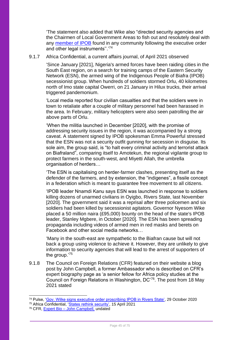'The statement also added that Wike also "directed security agencies and the Chairmen of Local Government Areas to fish out and resolutely deal with any [member of IPOB](https://www.pulse.ng/news/metro/2-feared-dead-as-police-and-ipob-reportedly-clash-in-enugu/9jxe67t) found in any community following the executive order and other legal instruments".'<sup>74</sup>

#### 9.1.7 Africa Confidential, a current affairs journal, of April 2021 observed

'Since January [2021], Nigeria's armed forces have been raiding cities in the South East region, on a search for training camps of the Eastern Security Network (ESN), the armed wing of the Indigenous People of Biafra (IPOB) secessionist group. When hundreds of soldiers stormed Orlu, 40 kilometres north of Imo state capital Owerri, on 21 January in Hilux trucks, their arrival triggered pandemonium.

'Local media reported four civilian casualties and that the soldiers were in town to retaliate after a couple of military personnel had been harassed in the area. In February, military helicopters were also seen patrolling the air above parts of Orlu.

'When the militia launched in December [2020], with the promise of addressing security issues in the region, it was accompanied by a strong caveat. A statement signed by IPOB spokesman Emma Powerful stressed that the ESN was not a security outfit gunning for secession in disguise. Its sole aim, the group said, is "to halt every criminal activity and terrorist attack on Biafraland", comparing itself to Amotekun, the regional vigilante group to protect farmers in the south-west, and Miyetti Allah, the umbrella organisation of herders…

'The ESN is capitalising on herder-farmer clashes, presenting itself as the defender of the farmers, and by extension, the "indigenes", a fissile concept in a federation which is meant to guarantee free movement to all citizens.

'IPOB leader Nnamdi Kanu says ESN was launched in response to soldiers killing dozens of unarmed civilians in Oyigbo, Rivers State, last November [2020]. The government said it was a reprisal after three policemen and six soldiers had been killed by secessionist agitators. Governor Nyesom Wike placed a 50 million naira (£95,000) bounty on the head of the state's IPOB leader, Stanley Mgbere, in October [2020]. The ESN has been spreading propaganda including videos of armed men in red masks and berets on Facebook and other social media networks…

'Many in the south-east are sympathetic to the Biafran cause but will not back a group using violence to achieve it. However, they are unlikely to give information to security agencies that will lead to the arrest of supporters of the group.'<sup>75</sup>

9.1.8 The Council on Foreign Relations (CFR) featured on their website a blog post by John Campbell, a former Ambassador who is described on CFR's expert biography page as 'a senior fellow for Africa policy studies at the Council on Foreign Relations in Washington, DC'<sup>76</sup>. The post from 18 May 2021 stated

<sup>75</sup> Africa Confidential, ['States rethink security',](https://www.africa-confidential.com/index.aspx?pageid=7&articleid=13344) 15 April 2021

<sup>74</sup> Pulse, ['Gov. Wilke signs executive order proscribing IPOB in Rivers State',](https://www.pulse.ng/news/local/gov-wike-signs-executive-order-proscribing-ipob-in-rivers/nx5nfmq) 29 October 2020

<sup>76</sup> CFR, Expert Bio – [John Campbell,](https://www.cfr.org/expert/john-campbell) undated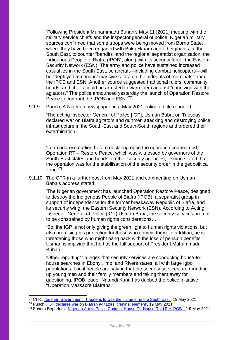'Following President Muhammadu Buhari's May 11 [2021] meeting with the military service chiefs and the inspector general of police, Nigerian military sources confirmed that some troops were being moved from Borno State, where they have been engaged with Boko Haram and other jihadis, to the South East, to counter "bandits" and the regional separatist organization, the Indigenous People of Biafra (IPOB), along with its security force, the Eastern Security Network (ESN). The army and police have sustained increased casualties in the South East, so aircraft—including combat helicopters—will be "deployed to conduct massive raids" on the hideouts of "criminals" from the IPOB and ESN. Another source suggested traditional rulers, community heads, and chiefs could be arrested to warn them against "conniving with the agitators." The police announced yesterday the launch of Operation Restore Peace to confront the IPOB and ESN.<sup>77</sup>

9.1.9 Punch, A Nigerian newspaper, in a May 2021 online article reported:

…

'The acting Inspector General of Police [IGP], Usman Baba, on Tuesday declared war on Biafra agitators and gunmen attacking and destroying police infrastructure in the South-East and South-South regions and ordered their extermination.

'In an address earlier, before declaring open the operation codenamed, Operation RT – Restore Peace, which was witnessed by governors of the South-East states and heads of other security agencies, Usman stated that the operation was for the stabilisation of the security order in the geopolitical zone.'<sup>78</sup>

9.1.10 The CFR in a further post from May 2021 and commenting on Usman Baba's address stated:

> 'The Nigerian government has launched Operation Restore Peace, designed to destroy the Indigenous People of Biafra (IPOB), a separatist group in support of independence for the former breakaway Republic of Biafra, and its security wing, the Eastern Security Network (ESN). According to Acting Inspector General of Police (IGP) Usman Baba, the security services are not to be constrained by human rights considerations…

'So, the IGP is not only giving the green light to human rights violations, but also promising his protection for those who commit them. In addition, he is threatening those who might hang back with the loss of pension benefits! Usman is implying that he has the full support of President Muhammadu Buhari.

'Other reporting<sup>79</sup> alleges that security services are conducting house-tohouse searches in Ebonyi, Imo, and Rivers states, all with large Igbo populations. Local people are saying that the security services are rounding up young men and their family members and taking them away for questioning. IPOB leader Nnamdi Kanu has dubbed the police initiative "Operation Massacre Biafrans."

<sup>&</sup>lt;sup>77</sup> CFR, ['Nigerian Government Threatens to Use the Hammer in the South East',](https://www.cfr.org/blog/nigerian-government-threatens-use-hammer-south-east?utm_source=blognotification&utm_medium=email&utm_campaign=Blog%20Post%20Notification%20Africa%20in%20Transition&utm_term=AfricaInTransition) 19 May 2021

<sup>&</sup>lt;sup>78</sup> Punch, ['IGP declares war on Biafran agitators, criminal element',](https://punchng.com/ig-declares-war-on-biafran-agitators-criminal-elements/) 19 May 2021

<sup>79</sup> Sahara Reporters, ['Nigerian Army, Police Conduct House-To-House Raid For IPOB…'1](http://saharareporters.com/2021/05/19/nigerian-army-police-conduct-house-house-raid-ipob-esn-members-south-east)9 May 2021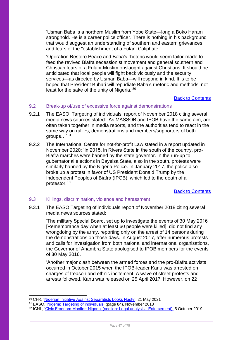'Usman Baba is a northern Muslim from Yobe State—long a Boko Haram stronghold. He is a career police officer. There is nothing in his background that would suggest an understanding of southern and eastern grievances and fears of the "establishment of a Fulani Caliphate."

'Operation Restore Peace and Baba's rhetoric would seem tailor-made to feed the revived Biafra secessionist movement and general southern and Christian fears of a Fulani-Muslim onslaught against Christians. It should be anticipated that local people will fight back viciously and the security services—as directed by Usman Baba—will respond in kind. It is to be hoped that President Buhari will repudiate Baba's rhetoric and methods, not least for the sake of the unity of Nigeria.'<sup>80</sup>

#### [Back to Contents](#page-1-0)

#### 9.2 Break-up of/use of excessive force against demonstrations

- 9.2.1 The EASO 'Targeting of individuals' report of November 2018 citing several media news sources stated: 'As MASSOB and IPOB have the same aim, are often taken together in media reports, and the authorities tend to react in the same way on rallies, demonstrations and members/supporters of both groups…' <sup>81</sup>
- 9.2.2 The International Centre for not-for-profit Law stated in a report updated in November 2020: 'In 2015, in Rivers State in the south of the country, pro-Biafra marches were banned by the state governor. In the run-up to gubernatorial elections in Bayelsa State, also in the south, protests were similarly banned by the Nigeria Police. In January 2017, the police also broke up a protest in favor of US President Donald Trump by the Independent Peoples of Biafra (IPOB), which led to the death of a protestor.'<sup>82</sup>

#### [Back to Contents](#page-1-0)

#### 9.3 Killings, discrimination, violence and harassment

9.3.1 The EASO Targeting of individuals report of November 2018 citing several media news sources stated:

'The military Special Board, set up to investigate the events of 30 May 2016 [Remembrance day when at least 60 people were killed], did not find any wrongdoing by the army, reporting only on the arrest of 14 persons during the demonstrations on those days. In August 2017, after numerous protests and calls for investigation from both national and international organisations, the Governor of Anambra State apologised to IPOB members for the events of 30 May 2016.

'Another major clash between the armed forces and the pro-Biafra activists occurred in October 2015 when the IPOB-leader Kanu was arrested on charges of treason and ethnic incitement. A wave of street protests and arrests followed. Kanu was released on 25 April 2017. However, on 22

<sup>80</sup> CFR, ['Nigerian Initiative Against Separatists Looks Nasty',](https://www.cfr.org/blog/nigerian-initiative-against-separatists-looks-nasty) 21 May 2021

<sup>81</sup> EASO, *'Nigeria: Targeting of individuals'* (page 84), November 2018

<sup>&</sup>lt;sup>82</sup> ICNL, '<u>Civic Freedom Monitor: Nigeria' (section: Legal analysis - Enforcement),</u> 5 October 2019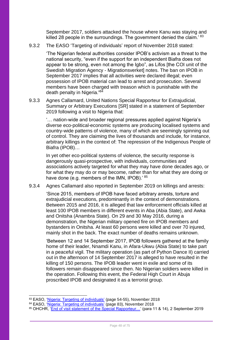September 2017, soldiers attacked the house where Kanu was staying and killed 28 people in the surroundings. The government denied the claim.<sup>'83</sup>

9.3.2 The EASO 'Targeting of individuals' report of November 2018 stated:

'The Nigerian federal authorities consider IPOB's activism as a threat to the national security, "even if the support for an independent Biafra does not appear to be strong, even not among the Igbo", as Lifos [the COI unit of the Swedish Migration Agency - Migrationsverket] notes. The ban on IPOB in September 2017 implies that all activities were declared illegal; even possession of IPOB material can lead to arrest and prosecution. Several members have been charged with treason which is punishable with the death penalty in Nigeria.**'** 84

9.3.3 Agnes Callamard, United Nations Special Rapporteur for Extrajudicial, Summary or Arbitrary Executions [SR] stated in a statement of September 2019 following a visit to Nigeria that:

'… nation-wide and broader regional pressures applied against Nigeria's diverse eco-political-economic systems are producing localised systems and country-wide patterns of violence, many of which are seemingly spinning out of control. They are claiming the lives of thousands and include, for instance, arbitrary killings in the context of: The repression of the Indigenous People of Biafra (IPOB)…

In yet other eco-political systems of violence, the security response is dangerously quasi-prospective, with individuals, communities and associations actively targeted for what they may have done decades ago, or for what they may do or may become, rather than for what they are doing or have done (e.g. members of the IMN, IPOB).' 85

9.3.4 Agnes Callamard also reported in September 2019 on killings and arrests:

'Since 2015, members of IPOB have faced arbitrary arrests, torture and extrajudicial executions, predominantly in the context of demonstrations. Between 2015 and 2016, it is alleged that law enforcement officials killed at least 100 IPOB members in different events in Aba (Abia State), and Awka and Onitsha (Anambra State). On 29 and 30 May 2016, during a demonstration, the Nigerian military opened fire on IPOB members and bystanders in Onitsha. At least 60 persons were killed and over 70 injured, mainly shot in the back. The exact number of deaths remains unknown.

'Between 12 and 14 September 2017, IPOB followers gathered at the family home of their leader, Nnamdi Kanu, in Afara-Ukwu (Abia State) to take part in a peaceful vigil. The military operation (as part of Python Dance II) carried out in the afternoon of 14 September 2017 is alleged to have resulted in the killing of 150 persons. The IPOB leader went in exile and some of its followers remain disappeared since then. No Nigerian soldiers were killed in the operation. Following this event, the Federal High Court in Abuja proscribed IPOB and designated it as a terrorist group.

<sup>83</sup> EASO, ['Nigeria: Targeting of individuals'](https://coi.easo.europa.eu/administration/easo/PLib/2018_EASO_COI_Nigeria_TargetingIndividuals.pdf) (page 54-55), November 2018

<sup>84</sup> EASO, ['Nigeria: Targeting of individuals'](https://coi.easo.europa.eu/administration/easo/PLib/2018_EASO_COI_Nigeria_TargetingIndividuals.pdf) (page 83), November 2018

<sup>85</sup> OHCHR, 'End of visit statement of the Special Rapporteur...' (para 11 & 14), 2 September 2019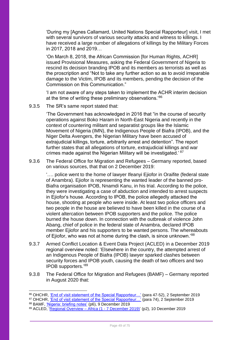'During my [Agnes Callamard, United Nations Special Rapporteur] visit, I met with several survivors of various security attacks and witness to killings. I have received a large number of allegations of killings by the Military Forces in 2017, 2018 and 2019…

'On March 8, 2018, the African Commission [for Human Rights, ACHR] issued Provisional Measures, asking the Federal Government of Nigeria to rescind its decision branding IPOB and its members as terrorists as well as the proscription and "Not to take any further action so as to avoid irreparable damage to the Victim, IPOB and its members, pending the decision of the Commission on this Communication."

'I am not aware of any steps taken to implement the ACHR interim decision at the time of writing these preliminary observations.<sup>86</sup>

9.3.5 The SR's same report stated that:

'The Government has acknowledged in 2016 that "in the course of security operations against Boko Haram in North-East Nigeria and recently in the context of countering militant and separatist groups like the Islamic Movement of Nigeria (IMN), the Indigenous People of Biafra (IPOB), and the Niger Delta Avengers, the Nigerian Military have been accused of extrajudicial killings, torture, arbitrarily arrest and detention". The report further states that all allegations of torture, extrajudicial killings and war crimes made against the Nigerian Military will be investigated.' <sup>87</sup>

9.3.6 The Federal Office for Migration and Refugees – Germany reported, based on various sources, that that on 2 December 2019:

'…. police went to the home of lawyer Ifeanyi Ejiofor in Oraifite (federal state of Anambra). Ejiofor is representing the wanted leader of the banned pro-Biafra organisation IPOB, Nnamdi Kanu, in his trial. According to the police, they were investigating a case of abduction and intended to arrest suspects in Ejiofor's house. According to IPOB, the police allegedly attacked the house, shooting at people who were inside. At least two police officers and two people in the house are believed to have been killed in the course of a violent altercation between IPOB supporters and the police. The police burned the house down. In connection with the outbreak of violence John Abang, chief of police in the federal state of Anambra, declared IPOB member Ejiofor and his supporters to be wanted persons. The whereabouts of Ejiofor, who was not at home during the clash, is since unknown.'<sup>88</sup>

- 9.3.7 Armed Conflict Location & Event Data Project (ACLED) in a December 2019 regional overview noted: 'Elsewhere in the country, the attempted arrest of an Indigenous People of Biafra (IPOB) lawyer sparked clashes between security forces and IPOB youth, causing the death of two officers and two IPOB supporters.' 89
- 9.3.8 The Federal Office for Migration and Refugees (BAMF) Germany reported in August 2020 that:

<sup>&</sup>lt;sup>86</sup> OHCHR, <u>'End of visit statement of the Special Rapporteur…'</u> (para 47-52), 2 September 2019

<sup>87</sup> OHCHR, <u>'End of visit statement of the Special Rapporteur...'</u> (para 74), 2 September 2019

<sup>88</sup> BAMF, ['Nigeria: briefing notes'](https://www.ecoi.net/en/file/local/2022111/briefingnotes-kw50-2019.pdf) (p6), 9 December 2019

<sup>&</sup>lt;sup>89</sup> ACLED, '<u>Regional Overview – Africa (1 - 7 December 2019)</u>' (p2), 10 December 2019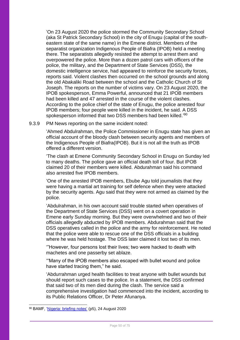'On 23 August 2020 the police stormed the Community Secondary School (aka St Patrick Secondary School) in the city of Enugu (capital of the southeastern state of the same name) in the Emene district. Members of the separatist organization Indigenous People of Biafra (IPOB) held a meeting there. The separatists allegedly resisted the attempt to arrest them and overpowered the police. More than a dozen patrol cars with officers of the police, the military, and the Department of State Services (DSS), the domestic intelligence service, had appeared to reinforce the security forces, reports said. Violent clashes then occurred on the school grounds and along the old Abakaliki Road between the school and the Catholic Church of St Joseph. The reports on the number of victims vary. On 23 August 2020, the IPOB spokesperson, Emma Powerful, announced that 21 IPOB members had been killed and 47 arrested in the course of the violent clashes. According to the police chief of the state of Enugu, the police arrested four IPOB members; four people were killed in the incident, he said. A DSS spokesperson informed that two DSS members had been killed.<sup>'90</sup>

9.3.9 PM News reporting on the same incident noted:

'Ahmed Abdulrahman, the Police Commissioner in Enugu state has given an official account of the bloody clash between security agents and members of the Indigenous People of Biafra(IPOB). But it is not all the truth as IPOB offered a different version.

'The clash at Emene Community Secondary School in Enugu on Sunday led to many deaths. The police gave an official death toll of four. But IPOB claimed 20 of their members were killed. Abdurahman said his command also arrested five IPOB members.

'One of the arrested IPOB members, Ebube Agu told journalists that they were having a martial art training for self defence when they were attacked by the security agents. Agu said that they were not armed as claimed by the police.

'Abdulrahman, in his own account said trouble started when operatives of the Department of State Services (DSS) went on a covert operation in Emene early Sunday morning. But they were overwhelmed and two of their officials allegedly abducted by IPOB members. Abdurahman said that the DSS operatives called in the police and the army for reinforcement. He noted that the police were able to rescue one of the DSS officials in a building where he was held hostage. The DSS later claimed it lost two of its men.

'"However, four persons lost their lives; two were hacked to death with machetes and one passerby set ablaze.

'"Many of the IPOB members also escaped with bullet wound and police have started tracing them," he said.

'Abdurrahman urged health facilities to treat anyone with bullet wounds but should report such cases to the police. In a statement, the DSS confirmed that said two of its men died during the clash. The service said a comprehensive investigation had commenced into the incident, according to its Public Relations Officer, Dr Peter Afunanya.

<sup>90</sup> BAMF, ['Nigeria: briefing notes'](https://www.ecoi.net/en/file/local/2037636/briefingnotes-kw35-2020.pdf) (p5), 24 August 2020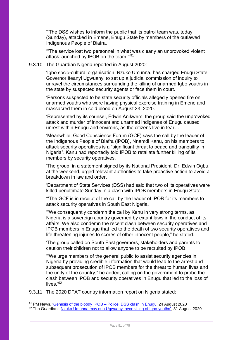'"The DSS wishes to inform the public that its patrol team was, today (Sunday), attacked in Emene, Enugu State by members of the outlawed Indigenous People of Biafra.

'"The service lost two personnel in what was clearly an unprovoked violent attack launched by IPOB on the team."'<sup>91</sup>

#### 9.3.10 The Guardian Nigeria reported in August 2020:

'Igbo socio-cultural organisation, Nzuko Umunna, has charged Enugu State Governor Ifeanyi Ugwuanyi to set up a judicial commission of inquiry to unravel the circumstances surrounding the killing of unarmed Igbo youths in the state by suspected security agents or face them in court.

'Persons suspected to be state security officials allegedly opened fire on unarmed youths who were having physical exercise training in Emene and massacred them in cold blood on August 23, 2020.

'Represented by its counsel, Edwin Anikwem, the group said the unprovoked attack and murder of innocent and unarmed indigenes of Enugu caused unrest within Enugu and environs, as the citizens live in fear…

'Meanwhile, Good Conscience Forum (GCF) says the call by the leader of the Indigenous People of Biafra (IPOB), Nnamdi Kanu, on his members to attack security operatives is a "significant threat to peace and tranquility in Nigeria". Kanu had reportedly told IPOB to retaliate further killing of its members by security operatives.

'The group, in a statement signed by its National President, Dr. Edwin Ogbu, at the weekend, urged relevant authorities to take proactive action to avoid a breakdown in law and order.

'Department of State Services (DSS) had said that two of its operatives were killed penultimate Sunday in a clash with IPOB members in Enugu State.

'"The GCF is in receipt of the call by the leader of IPOB for its members to attack security operatives in South East Nigeria.

'"We consequently condemn the call by Kanu in very strong terms, as Nigeria is a sovereign country governed by extant laws in the conduct of its affairs. We also condemn the recent clash between security operatives and IPOB members in Enugu that led to the death of two security operatives and life threatening injuries to scores of other innocent people," he stated.

'The group called on South East governors, stakeholders and parents to caution their children not to allow anyone to be recruited by IPOB.

'"We urge members of the general public to assist security agencies in Nigeria by providing credible information that would lead to the arrest and subsequent prosecution of IPOB members for the threat to human lives and the unity of the country," he added, calling on the government to probe the clash between IPOB and security operatives in Enugu that led to the loss of lives.<sup>'92</sup>

9.3.11 The 2020 DFAT country information report on Nigeria stated:

<sup>91</sup> PM News, 'Genesis of the bloody IPOB - Police, DSS clash in Enugu' 24 August 2020

<sup>92</sup> The Guardian, ['Nzuko Umunna may sue Ugwuanyi over killing of Igbo youths',](https://guardian.ng/news/nzuko-umunna-may-sue-ugwuanyi-over-killing-of-igbo-youths/) 31 August 2020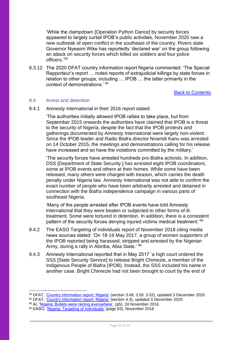'While the clampdown [Operation Python Dance] by security forces appeared to largely curtail IPOB's public activities, November 2020 saw a new outbreak of open conflict in the southeast of the country. Rivers state Governor Nyesom Wike has reportedly 'declared war' on the group following an attack on security forces which killed six soldiers and four police officers.' 93

9.3.12 The 2020 DFAT country information report Nigeria commented: 'The Special Rapporteur's report … noted reports of extrajudicial killings by state forces in relation to other groups, including … IPOB … the latter primarily in the context of demonstrations.' <sup>94</sup>

[Back to Contents](#page-1-0)

#### 9.4 Arrest and detention

9.4.1 Amnesty International in their 2016 report stated:

'The authorities initially allowed IPOB rallies to take place, but from September 2015 onwards the authorities have claimed that IPOB is a threat to the security of Nigeria, despite the fact that the IPOB protests and gatherings documented by Amnesty International were largely non-violent. Since the IPOB leader and Radio Biafra director Nnamdi Kanu was arrested on 14 October 2015, the meetings and demonstrations calling for his release have increased and so have the violations committed by the military.'

'The security forces have arrested hundreds pro-Biafra activists. In addition, DSS [Department of State Security,] has arrested eight IPOB coordinators; some at IPOB events and others at their homes. While some have been released, many others were charged with treason, which carries the death penalty under Nigeria law. Amnesty International was not able to confirm the exact number of people who have been arbitrarily arrested and detained in connection with the Biafra independence campaign in various parts of southeast Nigeria.

'Many of the people arrested after IPOB events have told Amnesty International that they were beaten or subjected to other forms of illtreatment. Some were tortured in detention. In addition, there is a consistent pattern of the security forces denying injured victims medical treatment.'<sup>95</sup>

- 9.4.2 The EASO Targeting of individuals report of November 2018 citing media news sources stated: 'On 18-19 May 2017, a group of women supporters of the IPOB reported being harassed, stripped and arrested by the Nigerian Army, during a rally in Abiriba, Abia State.' <sup>96</sup>
- 9.4.3 Amnesty International reported that in May 2017 'a high court ordered the SSS [State Security Service] to release Bright Chimezie, a member of the Indigenous People of Biafra (IPOB). Instead, the SSS included his name in another case. Bright Chimezie had not been brought to court by the end of

<sup>&</sup>lt;sup>93</sup> DFAT, '<u>Country information report: Nigeria'</u> (section 3.49, 3.50, 3.52), updated 3 December 2020

<sup>94</sup> DFAT, ['Country information report: Nigeria'](https://www.dfat.gov.au/about-us/publications/country-information-reports) (section 4.3), updated 3 December 2020

<sup>&</sup>lt;sup>95</sup> AI, ['Nigeria: Bullets were raining everywhere',](https://www.amnesty.org/download/Documents/AFR4452112016ENGLISH.PDF) (p5), 24 November 2016

<sup>96</sup> EASO, ['Nigeria: Targeting of individuals'](https://coi.easo.europa.eu/administration/easo/PLib/2018_EASO_COI_Nigeria_TargetingIndividuals.pdf) (page 83), November 2018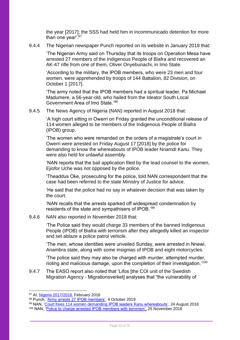the year [2017]; the SSS had held him in incommunicado detention for more than one year<sup>'.97</sup>

9.4.4 The Nigerian newspaper Punch reported on its website in January 2018 that:

'The Nigerian Army said on Thursday that its troops on Operation Mesa have arrested 27 members of the Indigenous People of Biafra and recovered an AK-47 rifle from one of them, Oliver Onyebunachi, in Imo State.

'According to the military, the IPOB members, who were 23 men and four women, were apprehended by troops of 144 Battalion, 82 Division, on October 1 [2017].

'The army noted that the IPOB members had a spiritual leader, Pa Michael Madumere, a 56-year-old, who hailed from the Ideator South Local Government Area of Imo State.'<sup>98</sup>

9.4.5 The News Agency of Nigeria (NAN) reported in August 2018 that:

'A high court sitting in Owerri on Friday granted the unconditional release of 114 women alleged to be members of the Indigenous People of Biafra (IPOB) group.

'The women who were remanded on the orders of a magistrate's court in Owerri were arrested on Friday August 17 [2018] by the police for demanding to know the whereabouts of IPOB leader Nnamdi Kanu. They were also held for unlawful assembly.

'NAN reports that the bail application filed by the lead counsel to the women, Ejiofor Uche was not opposed by the police.

'Theaddus Oke, prosecuting for the police, told NAN correspondent that the case had been referred to the state Ministry of Justice for advice.

'He said that the police had no say in whatever decision that was taken by the court.

'NAN recalls that the arrests sparked off widespread condemnation by residents of the state and sympathisers of IPOB.'<sup>99</sup>

9.4.6 NAN also reported in November 2018 that:

'The Police said they would charge 33 members of the banned Indigenous People (IPOB) of Biafra with terrorism after they allegedly killed an inspector and set ablaze a police patrol vehicle.

'The men, whose identities were unveiled Sunday, were arrested in Nnewi, Anambra state, along with some insignias of IPOB and eight motorcycles.

'The police said they may also be charged with murder, attempted murder, rioting and malicious damage, upon the completion of their investigation.'<sup>100</sup>

9.4.7 The EASO report also noted that 'Lifos [the COI unit of the Swedish Migration Agency - Migrationsverket] analyses that "the vulnerability of

<sup>97</sup> AI, [Nigeria 2017/2018,](https://www.amnesty.org/en/countries/africa/nigeria/report-nigeria/) February 2018

<sup>98</sup> Punch, ['Army arrests 27 IPOB members',](https://punchng.com/army-arrests-27-ipob-members/) 4 October 2019

<sup>99</sup> NAN, ['Court frees 114 women demanding IPOB leaders Kanu whereabouts',](https://www.nan.ng/page/3/?s=IPOB) 24 August 2018

<sup>100</sup> NAN, ['Police to charge arrested IPOB members with terrorism',](https://www.nan.ng/page/2/?s=IPOB) 25 November 2018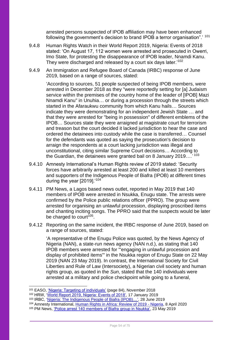arrested persons suspected of IPOB affiliation may have been enhanced following the government's decision to brand IPOB a terror organisation".' 101

- 9.4.8 Human Rights Watch in their World Report 2019, Nigeria: Events of 2018 stated: 'On August 17, 112 women were arrested and prosecuted in Owerri, Imo State, for protesting the disappearance of IPOB leader, Nnamdi Kanu. They were discharged and released by a court six days later.<sup>'102</sup>
- 9.4.9 An Immigration and Refugee Board of Canada (IRBC) response of June 2019, based on a range of sources, stated:

'According to sources, 51 people suspected of being IPOB members, were arrested in December 2018 as they "were reportedly setting for [a] Judaism service within the premises of the country home of the leader of [IPOB] Mazi Nnamdi Kanu" in Unuhia… or during a procession through the streets which started in the Afaraukwu community from which Kanu hails… Sources indicate they were demonstrating for an independent Jewish State … and that they were arrested for "being in possession" of different emblems of the IPOB… Sources state they were arraigned at magistrate court for terrorism and treason but the court decided it lacked jurisdiction to hear the case and ordered the detainees into custody while the case is transferred… Counsel for the defendants was quoted as saying the prosecution's decision to arraign the respondents at a court lacking jurisdiction was illegal and unconstitutional, citing similar Supreme Court decisions… According to the Guardian, the detainees were granted bail on 8 January 2019….' <sup>103</sup>

- 9.4.10 Amnesty International's Human Rights review of 2019 stated: 'Security forces have arbitrarily arrested at least 200 and killed at least 10 members and supporters of the Indigenous People of Biafra (IPOB) at different times during the year [2019].'<sup>104</sup>
- 9.4.11 PM News, a Lagos based news outlet, reported in May 2019 that 140 members of IPOB were arrested in Nsukka, Enugu state. The arrests were confirmed by the Police public relations officer (PPRO). The group were arrested for organising an unlawful procession, displaying proscribed items and chanting inciting songs. The PPRO said that the suspects would be later be charged to court<sup>105</sup>.
- 9.4.12 Reporting on the same incident, the IRBC response of June 2019, based on a range of sources, stated:

'A representative of the Enugu Police was quoted, by the News Agency of Nigeria (NAN), a state-run news agency (NAN n.d.), as stating that 140 IPOB members were arrested for "'engaging in unlawful procession and display of prohibited items'" in the Nsukka region of Enugu State on 22 May 2019 (NAN 23 May 2019). In contrast, the International Society for Civil Liberties and Rule of Law (Intersociety), a Nigerian civil society and human rights group, as quoted in the *Sun*, stated that the 140 individuals were arrested at a military and police checkpoint while going to a funeral,

<sup>104</sup> Amnesty International, [Human Rights in Africa: Review of 2019 -](https://www.amnesty.org/en/countries/africa/nigeria/report-nigeria/) Nigeria, 8 April 2020

<sup>101</sup> EASO, ['Nigeria: Targeting of individuals'](https://coi.easo.europa.eu/administration/easo/PLib/2018_EASO_COI_Nigeria_TargetingIndividuals.pdf) (page 84), November 2018

<sup>&</sup>lt;sup>102</sup> HRW, ['World Report 2019, Nigeria: Events of 2018',](https://www.hrw.org/world-report/2019/country-chapters/nigeria) 17 January 2019

<sup>103</sup> IRBC, '[Nigeria: The Indigenous People of Biafra \(IPOB\)](https://irb-cisr.gc.ca/en/country-information/rir/Pages/index.aspx?doc=457837&pls=1)...', 28 June 2019

<sup>105</sup> PM News, ['Police arrest 140 members of Biafra group in Nsukka',](https://www.pmnewsnigeria.com/2019/05/23/police-arrest-140-members-of-biafra-group-in-nsukka/) 23 May 2019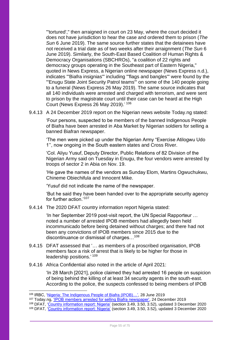"'tortured'," then arraigned in court on 23 May, where the court decided it does not have jurisdiction to hear the case and ordered them to prison (*The Sun* 6 June 2019). The same source further states that the detainees have not received a trial date as of two weeks after their arraignment (*The Sun* 6 June 2019). Similarly, the South-East Based Coalition of Human Rights & Democracy Organisations (SBCHROs), "a coalition of 22 rights and democracy groups operating in the Southeast part of Eastern Nigeria," quoted in News Express, a Nigerian online newspaper (News Express n.d.), indicates "'Biafra insignias'" including "'flags and bangles'" were found by the "'Enugu State Joint Security Patrol teams'" on some of the 140 people going to a funeral (News Express 26 May 2019). The same source indicates that all 140 individuals were arrested and charged with terrorism, and were sent to prison by the magistrate court until their case can be heard at the High Court (News Express 26 May 2019).' <sup>106</sup>

9.4.13 A 24 December 2019 report on the Nigerian news website Today.ng stated:

'Four persons, suspected to be members of the banned Indigenous People of Biafra have been arrested in Aba Market by Nigerian soldiers for selling a banned Biafran newspaper.

'The men were picked up under the Nigerian Army "Exercise Atilogwu Udo 1'', now ongoing in the South eastern states and Cross River.

'Col. Aliyu Yusuf, Deputy Director, Public Relations of 82 Division of the Nigerian Army said on Tuesday in Enugu, the four vendors were arrested by troops of sector 2 in Abia on Nov. 19.

'He gave the names of the vendors as Sunday Elom, Martins Ogwuchukwu, Chineme Obiechifula and Innocent Mike.

'Yusuf did not indicate the name of the newspaper.

'But he said they have been handed over to the appropriate security agency for further action<sup>'107</sup>

9.4.14 The 2020 DFAT country information report Nigeria stated:

'In her September 2019 post-visit report, the UN Special Rapporteur … noted a number of arrested IPOB members had allegedly been held incommunicado before being detained without charges; and there had not been any convictions of IPOB members since 2015 due to the discontinuance or dismissal of charges…<sup>108</sup>

- 9.4.15 DFAT assessed that '... as members of a proscribed organisation, IPOB members face a risk of arrest that is likely to be higher for those in leadership positions.' 109
- 9.4.16 Africa Confidential also noted in the article of April 2021:

'In 28 March [2021], police claimed they had arrested 16 people on suspicion of being behind the killing of at least 34 security agents in the south-east. According to the police, the suspects confessed to being members of IPOB

<sup>108</sup> DFAT, ['Country information report: Nigeria'](https://www.dfat.gov.au/about-us/publications/country-information-reports) (section 3.49, 3.50, 3.52), updated 3 December 2020

<sup>106</sup> IRBC, '[Nigeria: The Indigenous People of Biafra \(IPOB\)](https://irb-cisr.gc.ca/en/country-information/rir/Pages/index.aspx?doc=457837&pls=1)...', 28 June 2019

<sup>107</sup> Today.ng, ['IPOB members arrested for selling Biafra newspaper',](https://www.today.ng/news/metro/ipob-members-arrested-selling-biafra-newspaper-270353) 24 December 2019

<sup>109</sup> DFAT, ['Country information report: Nigeria'](https://www.dfat.gov.au/about-us/publications/country-information-reports) (section 3.49, 3.50, 3.52), updated 3 December 2020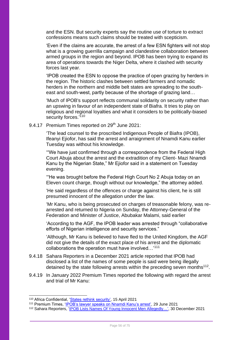and the ESN. But security experts say the routine use of torture to extract confessions means such claims should be treated with scepticism.

'Even if the claims are accurate, the arrest of a few ESN fighters will not stop what is a growing guerrilla campaign and clandestine collaboration between armed groups in the region and beyond. IPOB has been trying to expand its area of operations towards the Niger Delta, where it clashed with security forces last year.

'IPOB created the ESN to oppose the practice of open grazing by herders in the region. The historic clashes between settled farmers and nomadic herders in the northern and middle belt states are spreading to the southeast and south-west, partly because of the shortage of grazing land…

'Much of IPOB's support reflects communal solidarity on security rather than an upswing in favour of an independent state of Biafra. It tries to play on religious and regional loyalties and what it considers to be politically-biased security forces.'<sup>110</sup>

9.4.17 Premium Times reported on 29<sup>th</sup> June 2021:

'The lead counsel to the proscribed Indigenous People of Biafra (IPOB), Ifeanyi Ejiofor, has said the arrest and arraignment of Nnamdi Kanu earlier Tuesday was without his knowledge.

'"We have just confirmed through a correspondence from the Federal High Court Abuja about the arrest and the extradition of my Client- Mazi Nnamdi Kanu by the Nigerian State," Mr Ejiofor said in a statement on Tuesday evening.

'"He was brought before the Federal High Court No 2 Abuja today on an Eleven count charge, though without our knowledge," the attorney added.

'He said regardless of the offences or charge against his client, he is still presumed innocent of the allegation under the law.

'Mr Kanu, who is being prosecuted on charges of treasonable felony, was rearrested and returned to Nigeria on Sunday, the Attorney-General of the Federation and Minister of Justice, Abubakar Malami, said earlier

'According to the AGF, the IPOB leader was arrested through "collaborative efforts of Nigerian intelligence and security services."

'Although, Mr Kanu is believed to have fled to the United Kingdom, the AGF did not give the details of the exact place of his arrest and the diplomatic collaborations the operation must have involved…'<sup>111</sup>

- 9.4.18 Sahara Reporters in a December 2021 article reported that IPOB had disclosed a list of the names of some people is said were being illegally detained by the state following arrests within the preceding seven months $^{112}$ .
- 9.4.19 In January 2022 Premium Times reported the following with regard the arrest and trial of Mr Kanu:

<sup>110</sup> Africa Confidential, ['States rethink security',](https://www.africa-confidential.com/index.aspx?pageid=7&articleid=13344) 15 April 2021

<sup>&</sup>lt;sup>111</sup> Premium Times, ['IPOB's lawyer speaks on Nnamdi Kanu's arrest',](https://www.premiumtimesng.com/news/top-news/470684-ipobs-lawyer-speaks-on-nnamdi-kanus-arrest.html) 29 June 2021

<sup>112</sup> Sahara Reporters, ['IPOB Lists Names Of Young Innocent Men Allegedly…',](http://saharareporters.com/2021/12/30/ipob-lists-names-young-innocent-men-allegedly-abducted-detained-nigerian-army-others) 30 December 2021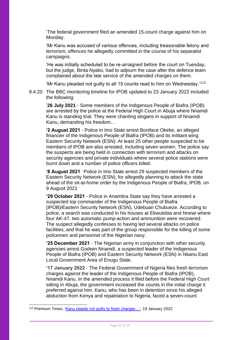'The federal government filed an amended 15-count charge against him on Monday.

'Mr Kanu was accused of various offences, including treasonable felony and terrorism, offences he allegedly committed in the course of his separatist campaigns.

'He was initially scheduled to be re-arraigned before the court on Tuesday, but the judge, Binta Nyako, had to adjourn the case after the defence team complained about the late service of the amended charges on them.

'Mr Kanu pleaded not guilty to all 15 counts read to him on Wednesday.' $^{\rm 113}$ 

9.4.20 The BBC monitoring timeline for IPOB updated to 23 January 2022 included the following:

'**26 July 2021** - Some members of the Indigenous People of Biafra (IPOB) are arrested by the police at the Federal High Court in Abuja where Nnamdi Kanu is standing trial. They were chanting slogans in support of Nnamdi Kanu, demanding his freedom…

**'2 August 2021** - Police in Imo State arrest Boniface Okeke, an alleged financier of the Indigenous People of Biafra (IPOB) and its militant wing Eastern Security Network (ESN). At least 25 other people suspected to be members of IPOB are also arrested, including seven women. The police say the suspects are being held in connection with terrorism and attacks on security agencies and private individuals where several police stations were burnt down and a number of police officers killed.

**'8 August 2021** - Police in Imo State arrest 29 suspected members of the Eastern Security Network (ESN), for allegedly planning to attack the state ahead of the sit-at-home order by the Indigenous People of Biafra, IPOB, on 9 August 2021

**'29 October 2021** - Police in Anambra State say they have arrested a suspected top commander of the Indigenous People of Biafra (IPOB)/Eastern Security Network (ESN), Udebuan Chubueze. According to police, a search was conducted in his houses at Ekwulobia and Nnewi where four AK-47, two automatic pump-action and ammunition were recovered. The suspect allegedly confesses to having led several attacks on police facilities, and that he was part of the group responsible for the killing of some policemen and personnel of the Nigerian navy.

**'25 December 2021** - The Nigerian army in conjunction with other security agencies arrest Godwin Nnamdi, a suspected leader of the Indigenous People of Biafra (IPOB) and Eastern Security Network (ESN) in Nkanu East Local Government Area of Enugu State.

**'17 January 2022** - The Federal Government of Nigeria files fresh terrorism charges against the leader of the Indigenous People of Biafra (IPOB), Nnamdi Kanu. In the amended process it filed before the Federal High Court sitting in Abuja, the government increased the counts in the initial charge it preferred against him. Kanu, who has been in detention since his alleged abduction from Kenya and repatriation to Nigeria, faced a seven-count

<sup>113</sup> Premium Times, ['Kanu pleads not guilty to fresh charges…',](https://www.premiumtimesng.com/news/headlines/506616-updated-kanu-pleads-not-guilty-to-fresh-charges-court-shifts-trial-to-february.html) 19 January 2022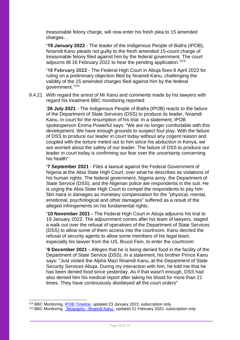treasonable felony charge, will now enter his fresh plea to 15 amended charges…

**'19 January 2022** - The leader of the Indigenous People of Biafra (IPOB), Nnamdi Kanu pleads not guilty to the fresh amended 15-count charge of treasonable felony filed against him by the federal government. The court adjourns till 16 February 2022 to hear the pending application.' 114

**'16 February 2022 -** The Federal High Court in Abuja fixes 8 April 2022 for ruling on a preliminary objection filed by Nnamdi Kanu, challenging the validity of the 15 amended charges filed against him by the federal government.'<sup>115</sup>

9.4.21 With regard the arrest of Mr Kanu and comments made by his lawyers with regard his treatment BBC monitoring reported:

'**26 July 2021** - The Indigenous People of Biafra (IPOB) reacts to the failure of the Department of State Services (DSS) to produce its leader, Nnamdi Kanu, in court for the resumption of his trial. In a statement, IPOB spokesperson Emma Powerful says: "We are no longer comfortable with this development. We have enough grounds to suspect foul play. With the failure of DSS to produce our leader in court today without any cogent reason and coupled with the torture meted out to him since his abduction in Kenya, we are worried about the safety of our leader. The failure of DSS to produce our leader in court today is confirming our fear over the uncertainty concerning his health"

**'7 September 2021** - Files a lawsuit against the Federal Government of Nigeria at the Abia State High Court, over what he describes as violations of his human rights. The federal government, Nigeria army, the Department of State Service (DSS), and the Nigerian police are respondents in the suit. He is urging the Abia State High Court to compel the respondents to pay him 5bn naira in damages as monetary compensation for the "physical, mental, emotional, psychological and other damages" suffered as a result of the alleged infringements on his fundamental rights.

**'10 November 2021 -** The Federal High Court in Abuja adjourns his trial to 19 January 2022. The adjournment comes after his team of lawyers, staged a walk out over the refusal of operatives of the Department of State Services (DSS) to allow some of them access into the courtroom. Kanu decried the refusal of security agents to allow some members of his legal team, especially his lawyer from the US, Bruce Fein, to enter the courtroom

**'6 December 2021 -** Alleges that he is being denied food in the facility of the Department of State Service (DSS). In a statement, his brother Prince Kanu says: "Just visited the Alpha Mazi Nnamdi Kanu, at the Department of State Security Services Abuja. During my interaction with him, he told me that he has been denied food since yesterday. As if that wasn't enough, DSS had also denied him his medical report after taking his blood for more than 21 times. They have continuously disobeyed all the court orders"

<sup>&</sup>lt;sup>114</sup> BBC Monitoring, [IPOB Timeline,](https://monitoring.bbc.co.uk/search?searchText=biafra&best=true&sort=publication_time&sortDirection=DESC) updated 23 January 2022, subscription only

<sup>115</sup> BBC Monitoring, 'Biography - [Nnamdi Kanu',](https://monitoring.bbc.co.uk/search?searchText=biafra&best=true&sort=publication_time&sortDirection=DESC) updated 21 February 2022, subscription only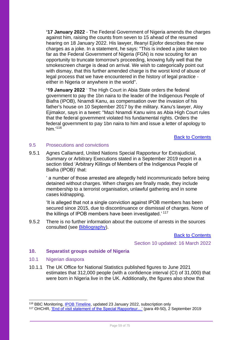**'17 January 2022** - The Federal Government of Nigeria amends the charges against him, raising the counts from seven to 15 ahead of the resumed hearing on 18 January 2022. His lawyer, Ifeanyi Ejiofor describes the new charges as a joke. In a statement, he says: "This is indeed a joke taken too far as the Federal Government of Nigeria (FGN) is now scouting for an opportunity to truncate tomorrow's proceeding, knowing fully well that the smokescreen charge is dead on arrival. We wish to categorically point out with dismay, that this further amended charge is the worst kind of abuse of legal process that we have encountered in the history of legal practice either in Nigeria or anywhere in the world".

**'19 January 2022** - The High Court in Abia State orders the federal government to pay the 1bn naira to the leader of the Indigenous People of Biafra (IPOB), Nnamdi Kanu, as compensation over the invasion of his father's house on 10 September 2017 by the military. Kanu's lawyer, Aloy Ejimakor, says in a tweet: "Mazi Nnamdi Kanu wins as Abia High Court rules that the federal government violated his fundamental rights. Orders the federal government to pay 1bn naira to him and issue a letter of apology to him '116

**[Back to Contents](#page-1-0)** 

#### 9.5 Prosecutions and convictions

9.5.1 Agnes Callamard, United Nations Special Rapporteur for Extrajudicial, Summary or Arbitrary Executions stated in a September 2019 report in a section titled 'Arbitrary Killings of Members of the Indigenous People of Biafra (IPOB)' that:

' a number of those arrested are allegedly held incommunicado before being detained without charges. When charges are finally made, they include membership to a terrorist organisation, unlawful gathering and in some cases kidnapping.

'It is alleged that not a single conviction against IPOB members has been secured since 2015, due to discontinuance or dismissal of charges. None of the killings of IPOB members have been investigated.' <sup>117</sup>

9.5.2 There is no further information about the outcome of arrests in the sources consulted (see [Bibliography\)](#page-67-0).

[Back to Contents](#page-1-0)

Section 10 updated: 16 March 2022

#### **10. Separatist groups outside of Nigeria**

- 10.1 Nigerian diaspora
- 10.1.1 The UK Office for National Statistics published figures to June 2021 estimates that 312,000 people (with a confidence interval (CI) of 31,000) that were born in Nigeria live in the UK. Additionally, the figures also show that

<sup>&</sup>lt;sup>116</sup> BBC Monitoring, [IPOB Timeline,](https://monitoring.bbc.co.uk/search?searchText=biafra&best=true&sort=publication_time&sortDirection=DESC) updated 23 January 2022, subscription only

<sup>117</sup> OHCHR, 'End of visit statement of the Special Rapporteur...' (para 49-50), 2 September 2019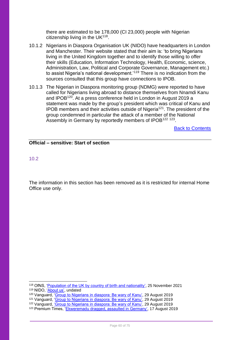there are estimated to be 178,000 (CI 23,000) people with Nigerian citizenship living in the UK $^{118}$ .

- 10.1.2 Nigerians in Diaspora Organisation UK (NIDO) have headquarters in London and Manchester. Their website stated that their aim is: 'to bring Nigerians living in the United Kingdom together and to identify those willing to offer their skills (Education, Information Technology, Health, Economic, science, Administration, Law, Political and Corporate Governance, Management etc.) to assist Nigeria's national development.'<sup>119</sup> There is no indication from the sources consulted that this group have connections to IPOB.
- 10.1.3 The Nigerian in Diaspora monitoring group (NDMG) were reported to have called for Nigerians living abroad to distance themselves from Nnamdi Kanu and IPOB<sup>120</sup>. At a press conference held in London in August 2019 a statement was made by the group's president which was critical of Kanu and **IPOB** members and their activities outside of Nigeria<sup>121</sup>. The president of the group condemned in particular the attack of a member of the National Assembly in Germany by reportedly members of IPOB<sup>122 123</sup>.

[Back to Contents](#page-1-0)

#### **Official – sensitive: Start of section**

#### 10.2

The information in this section has been removed as it is restricted for internal Home Office use only.

<sup>118</sup> OfNS, ['Population of the UK by country of birth and nationality',](https://www.ons.gov.uk/peoplepopulationandcommunity/populationandmigration/internationalmigration/datasets/populationoftheunitedkingdombycountryofbirthandnationalityunderlyingdatasheets) 25 November 2021 <sup>119</sup> NIDO, ['About us',](https://www.nidouksouth.org/about) undated

<sup>&</sup>lt;sup>120</sup> Vanguard, 'Croup to Nigerians in diaspora: Be wary of Kanu', 29 August 2019

<sup>&</sup>lt;sup>121</sup> Vanguard, 'Croup to Nigerians in diaspora: Be wary of Kanu', 29 August 2019

<sup>&</sup>lt;sup>122</sup> Vanguard, *'Group to Nigerians in diaspora: Be wary of Kanu'*, 29 August 2019

<sup>123</sup> Premium Times, ['Ekweremadu dragged, assaulted in Germany',](https://www.premiumtimesng.com/news/headlines/347183-ekweremadu-dragged-assaulted-in-germany.html) 17 August 2019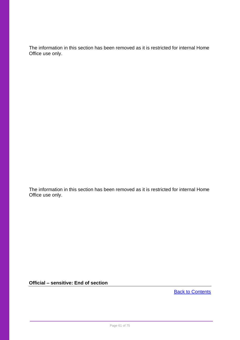The information in this section has been removed as it is restricted for internal Home Office use only.

The information in this section has been removed as it is restricted for internal Home Office use only.

**Official – sensitive: End of section**

**[Back to Contents](#page-1-0)**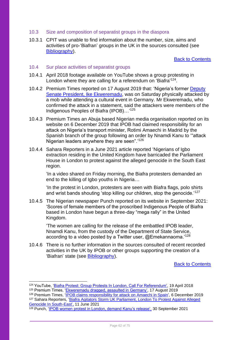#### 10.3 Size and composition of separatist groups in the diaspora

10.3.1 CPIT was unable to find information about the number, size, aims and activities of pro-'Biafran' groups in the UK in the sources consulted (see [Bibliography\)](#page-67-0).

[Back to Contents](#page-1-0)

- 10.4 Sur place activities of separatist groups
- 10.4.1 April 2018 footage available on YouTube shows a group protesting in London where they are calling for a referendum on 'Biafra'<sup>124</sup>.
- 10.4.2 Premium Times reported on 17 August 2019 that: 'Nigeria's former [Deputy](http://www.senatorekweremadu.com/biography/)  [Senate President, Ike Ekweremadu,](http://www.senatorekweremadu.com/biography/) was on Saturday physically attacked by a mob while attending a cultural event in Germany. Mr Ekweremadu, who confirmed the attack in a statement, said the attackers were members of the Indigenous Peoples of Biafra (IPOB)…' 125
- 10.4.3 Premium Times an Abuja based Nigerian media organisation reported on its website on 6 December 2019 that IPOB had claimed responsibility for an attack on Nigeria's transport minister, Rotimi Amaechi in Madrid by the Spanish branch of the group following an order by Nnamdi Kanu to '"attack Nigerian leaders anywhere they are seen".'<sup>126</sup>
- 10.4.4 Sahara Reporters in a June 2021 article reported 'Nigerians of Igbo extraction residing in the United Kingdom have barricaded the Parliament House in London to protest against the alleged genocide in the South East region.

'In a video shared on Friday morning, the Biafra protesters demanded an end to the killing of Igbo youths in Nigeria…

'In the protest in London, protesters are seen with Biafra flags, polo shirts and wrist bands shouting 'stop killing our children, stop the genocide.'<sup>127</sup>

10.4.5 The Nigerian newspaper Punch reported on its website in September 2021: 'Scores of female members of the proscribed Indigenous People of Biafra based in London have begun a three-day "mega rally" in the United Kingdom.

'The women are calling for the release of the embattled IPOB leader, Nnamdi Kanu, from the custody of the Department of State Service, according to a video posted by a Twitter user,  $@E$ mekannaoma.<sup>'128</sup>

10.4.6 There is no further information in the sources consulted of recent recorded activities in the UK by IPOB or other groups supporting the creation of a 'Biafran' state (see [Bibliography\)](#page-67-0).

[Back to Contents](#page-1-0)

<sup>124</sup> YouTube, ['Biafra Protest: Group Protests In London, Call For Referendum',](https://www.youtube.com/watch?v=Y70LTyppsdQhttps://ukhomeoffice.sharepoint.com/sites/PROC975/SharedDocuments/Countries/Nigeria/CPINs/Biafran%20separatists/NGA%20-BIAFRAN%20SEPARATISTS%20-%20CPIN%20-%20v1.0%20(draft).docx) 19 April 2018

<sup>125</sup> Premium Times, ['Ekweremadu dragged, assaulted in Germany',](https://www.premiumtimesng.com/news/headlines/347183-ekweremadu-dragged-assaulted-in-germany.html) 17 August 2019

<sup>&</sup>lt;sup>126</sup> Premium Times, '<u>IPOB claims responsibility for attack on Amaechi in Spain</u>', 6 December 2019 <sup>127</sup> Sahara Reporters, 'Biafra Agitators Storm UK Parliament, London To Protest Against Alleged

[Genocide In South-East',](http://saharareporters.com/2021/06/11/biafra-agitators-storm-uk-parliament-london-protest-against-alleged-genocide-south-east) 11 June 2021

<sup>128</sup> Punch, ['IPOB women protest in London, demand Kanu's release',](https://punchng.com/video-ipob-women-protest-in-london-demand-kanus-release/) 30 September 2021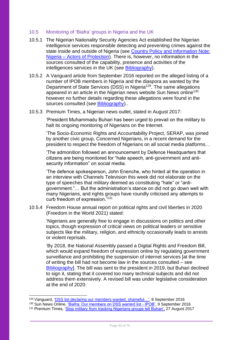#### 10.5 Monitoring of 'Biafra' groups in Nigeria and the UK

- 10.5.1 The Nigerian Nationality Security Agencies Act established the Nigerian intelligence services responsible detecting and preventing crimes against the state inside and outside of Nigeria (see [Country Policy and Information Note:](https://www.gov.uk/government/publications/nigeria-country-policy-and-information-notes)  Nigeria – [Actors of Protection\)](https://www.gov.uk/government/publications/nigeria-country-policy-and-information-notes). There is, however, no information in the sources consulted of the capability, presence and activities of the intelligences services in the UK (see [Bibliography\)](#page-67-0).
- 10.5.2 A Vanguard article from September 2016 reported on the alleged listing of a number of IPOB members in Nigeria and the diaspora as wanted by the Department of State Services (DSS) in Nigeria<sup>129</sup>. The same allegations appeared in an article in the Nigerian news website Sun News online<sup>130</sup> however no further details regarding these allegations were found in the sources consulted (see [Bibliography\)](#page-67-0)...
- 10.5.3 Premium Times, a Nigerian news outlet, stated in August 2017:

'President Muhammadu Buhari has been urged to prevail on the military to halt its ongoing monitoring of Nigerians on the Internet.

'The Socio-Economic Rights and Accountability Project, SERAP, was joined by another civic group, Concerned Nigerians, in a recent demand for the president to respect the freedom of Nigerians on all social media platforms…

'The admonition followed an announcement by Defence Headquarters that citizens are being monitored for "hate speech, anti-government and antisecurity information" on social media.

'The defence spokesperson, John Enenche, who hinted at the operation in an interview with Channels Television this week did not elaborate on the type of speeches that military deemed as constituting "hate" or "antigovernment."… But the administration's stance on did not go down well with many Nigerians, and rights groups have roundly criticised any attempts to curb freedom of expression.'<sup>131</sup>

10.5.4 Freedom House annual report on political rights and civil liberties in 2020 (Freedom in the World 2021) stated:

'Nigerians are generally free to engage in discussions on politics and other topics, though expression of critical views on political leaders or sensitive subjects like the military, religion, and ethnicity occasionally leads to arrests or violent reprisals.

'By 2018, the National Assembly passed a Digital Rights and Freedom Bill, which would expand freedom of expression online by regulating government surveillance and prohibiting the suspension of internet services [at the time of writing the bill had not become law in the sources consulted – see [Bibliography\]](#page-67-0). The bill was sent to the president in 2019, but Buhari declined to sign it, stating that it covered too many technical subjects and did not address them extensively. A revised bill was under legislative consideration at the end of 2020.

<sup>129</sup> Vanguard, 'DSS list declaring our members wanted, shameful...', 8 September 2016

<sup>&</sup>lt;sup>130</sup> Sun News Online, ['Biafra: Our members on DSS wanted list -](https://www.sunnewsonline.com/biafra-our-members-on-dss-wanted-list-ipob/) IPOB', 9 September 2016

<sup>131</sup> Premium Times, ['Stop military from tracking Nigerians groups tell Buhari',](https://www.premiumtimesng.com/news/top-news/241677-stop-military-from-tracking-nigerians-on-social-media-groups-tell-buhari.html) 27 August 2017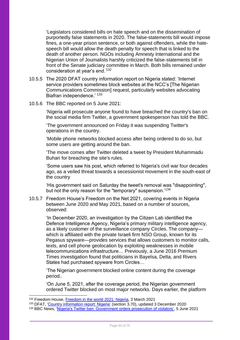'Legislators considered bills on hate speech and on the dissemination of purportedly false statements in 2020. The false-statements bill would impose fines, a one-year prison sentence, or both against offenders, while the hatespeech bill would allow the death penalty for speech that is linked to the death of another person. NGOs including Amnesty International and the Nigerian Union of Journalists harshly criticized the false-statements bill in front of the Senate judiciary committee in March. Both bills remained under consideration at year's end.'132

- 10.5.5 The 2020 DFAT country information report on Nigeria stated: 'Internet service providers sometimes block websites at the NCC's [The Nigerian Communications Commission] request, particularly websites advocating Biafran independence.' 133
- 10.5.6 The BBC reported on 5 June 2021:

'Nigeria will prosecute anyone found to have breached the country's ban on the social media firm Twitter, a government spokesperson has told the BBC.

'The government announced on Friday it was suspending Twitter's operations in the country.

'Mobile phone networks blocked access after being ordered to do so, but some users are getting around the ban.

'The move comes after Twitter deleted a tweet by President Muhammadu Buhari for breaching the site's rules.

'Some users saw his post, which referred to Nigeria's civil war four decades ago, as a veiled threat towards a secessionist movement in the south-east of the country

'His government said on Saturday the tweet's removal was "disappointing", but not the only reason for the "temporary" suspension.<sup>'134</sup>

10.5.7 Freedom House's Freedom on the Net 2021, covering events in Nigeria between June 2020 and May 2021, based on a number of sources, observed:

'In December 2020, an investigation by the Citizen Lab identified the Defence Intelligence Agency, Nigeria's primary military intelligence agency, as a likely customer of the surveillance company Circles. The company which is affiliated with the private Israeli firm NSO Group, known for its Pegasus spyware—provides services that allows customers to monitor calls, texts, and cell phone geolocation by exploiting weaknesses in mobile telecommunications infrastructure… Previously, a June 2016 Premium Times investigation found that politicians in Bayelsa, Delta, and Rivers States had purchased spyware from Circles…

'The Nigerian government blocked online content during the coverage period..

'On June 5, 2021, after the coverage period, the Nigerian government ordered Twitter blocked on most major networks. Days earlier, the platform

<sup>132</sup> Freedom House, [Freedom in the world 2021: Nigeria,](https://freedomhouse.org/country/nigeria/freedom-world/2021) 3 March 2021

<sup>133</sup> DFAT, ['Country information report: Nigeria'](https://www.dfat.gov.au/about-us/publications/country-information-reports) (section 3.70), updated 3 December 2020

<sup>134</sup> BBC News, ['Nigeria's Twitter ban: Government orders prosecution of violators',](https://www.bbc.co.uk/news/world-africa-57368535) 5 June 2021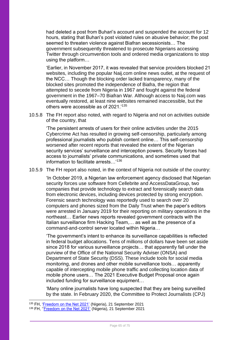had deleted a post from Buhari's account and suspended the account for 12 hours, stating that Buhari's post violated rules on abusive behavior; the post seemed to threaten violence against Biafran secessionists… The government subsequently threatened to prosecute Nigerians accessing Twitter through circumvention tools and ordered media organizations to stop using the platform…

'Earlier, in November 2017, it was revealed that service providers blocked 21 websites, including the popular Naij.com online news outlet, at the request of the NCC… Though the blocking order lacked transparency, many of the blocked sites promoted the independence of Biafra, the region that attempted to secede from Nigeria in 1967 and fought against the federal government in the 1967–70 Biafran War. Although access to Naij.com was eventually restored, at least nine websites remained inaccessible, but the others were accessible as of 2021.'<sup>135</sup>

10.5.8 The FH report also noted, with regard to Nigeria and not on activities outside of the country, that

'The persistent arrests of users for their online activities under the 2015 Cybercrime Act has resulted in growing self-censorship, particularly among professional journalists who publish content online… This self-censorship worsened after recent reports that revealed the extent of the Nigerian security services' surveillance and interception powers. Security forces had access to journalists' private communications, and sometimes used that information to facilitate arrests…'<sup>136</sup>

10.5.9 The FH report also noted, in the context of Nigeria not outside of the country:

'In October 2019, a Nigerian law enforcement agency disclosed that Nigerian security forces use software from Cellebrite and AccessDataGroup, two companies that provide technology to extract and forensically search data from electronic devices, including devices protected by strong encryption. Forensic search technology was reportedly used to search over 20 computers and phones sized from the Daily Trust when the paper's editors were arrested in January 2019 for their reporting on military operations in the northeast… Earlier news reports revealed government contracts with the Italian surveillance firm Hacking Team,… as well as the presence of a command-and-control server located within Nigeria…

'The government's intent to enhance its surveillance capabilities is reflected in federal budget allocations. Tens of millions of dollars have been set aside since 2018 for various surveillance projects… that apparently fall under the purview of the Office of the National Security Adviser (ONSA) and Department of State Security (DSS). These include tools for social media monitoring, and drones and other mobile surveillance tools… apparently capable of intercepting mobile phone traffic and collecting location data of mobile phone users… The 2021 Executive Budget Proposal once again included funding for surveillance equipment…

'Many online journalists have long suspected that they are being surveilled by the state. In February 2020, the Committee to Protect Journalists (CPJ)

<sup>135</sup> FH, ['Freedom on the Net 2021'](https://freedomhouse.org/country/nigeria/freedom-net/2021) (Nigeria), 21 September 2021

<sup>136</sup> FH, "Freedom on the Net 2021' (Nigeria), 21 September 2021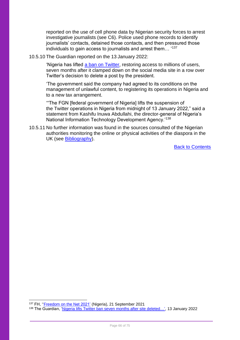reported on the use of cell phone data by Nigerian security forces to arrest investigative journalists (see C6). Police used phone records to identify iournalists' contacts, detained those contacts, and then pressured those individuals to gain access to journalists and arrest them… '<sup>137</sup>

10.5.10 The Guardian reported on the 13 January 2022:

'Nigeria has lifted [a ban on Twitter,](https://www.theguardian.com/world/2021/jun/04/nigeria-suspends-twitter-after-presidents-tweet-was-deleted) restoring access to millions of users, seven months after it clamped down on the social media site in a row over Twitter's decision to delete a post by the president.

'The government said the company had agreed to its conditions on the management of unlawful content, to registering its operations in Nigeria and to a new tax arrangement.

'"The FGN [federal government of Nigeria] lifts the suspension of the Twitter operations in Nigeria from midnight of 13 January 2022," said a statement from Kashifu Inuwa Abdullahi, the director-general of Nigeria's National Information Technology Development Agency.'<sup>138</sup>

10.5.11 No further information was found in the sources consulted of the Nigerian authorities monitoring the online or physical activities of the diaspora in the UK (see [Bibliography\)](#page-67-0).

[Back to Contents](#page-1-0)

<sup>137</sup> FH, "Freedom on the Net 2021' (Nigeria), 21 September 2021

<sup>138</sup> The Guardian, 'Nigeria lifts Twitter ban seven months after site deleted...', 13 January 2022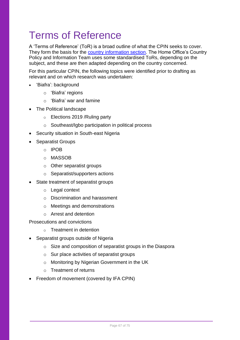# Terms of Reference

A 'Terms of Reference' (ToR) is a broad outline of what the CPIN seeks to cover. They form the basis for the [country information section.](#page-12-0) The Home Office's Country Policy and Information Team uses some standardised ToRs, depending on the subject, and these are then adapted depending on the country concerned.

For this particular CPIN, the following topics were identified prior to drafting as relevant and on which research was undertaken:

- 'Biafra': background
	- o 'Biafra' regions
	- o 'Biafra' war and famine
- The Political landscape
	- o Elections 2019 /Ruling party
	- o Southeast/Igbo participation in political process
- Security situation in South-east Nigeria
- Separatist Groups
	- o IPOB
	- o MASSOB
	- o Other separatist groups
	- o Separatist/supporters actions
- State treatment of separatist groups
	- o Legal context
	- o Discrimination and harassment
	- o Meetings and demonstrations
	- o Arrest and detention

Prosecutions and convictions

- $\circ$  Treatment in detention
- Separatist groups outside of Nigeria
	- o Size and composition of separatist groups in the Diaspora
	- $\circ$  Sur place activities of separatist groups
	- o Monitoring by Nigerian Government in the UK
	- o Treatment of returns
- Freedom of movement (covered by IFA CPIN)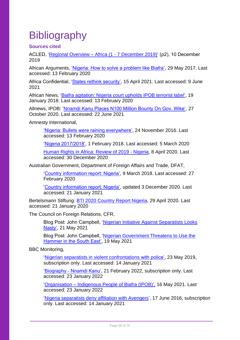# <span id="page-67-0"></span>**Bibliography**

## **Sources cited**

ACLED, ['Regional Overview –](https://reliefweb.int/sites/reliefweb.int/files/resources/acleddata.com-Regional%20Overview%20Africa%201-7%20December%202019.pdf) Africa (1 - 7 December 2019)' (p2), 10 December 2019

African Arguments, ['Nigeria: How to solve a problem like Biafra',](https://africanarguments.org/2017/05/29/nigeria-how-to-solve-a-problem-like-biafra/) 29 May 2017. Last accessed: 13 February 2020

Africa Confidential, ['States rethink security',](https://www.africa-confidential.com/index.aspx?pageid=7&articleid=13344) 15 April 2021. Last accessed: 9 June 2021

African News, ['Biafra agitation: Nigeria court upholds IPOB terrorist label',](https://www.africanews.com/2018/01/19/biafra-agitation-nigeria-court-upholds-ipob-terrorist-label/) 19 January 2018. Last accessed: 13 February 2020

Allnews, IPOB: ['Nnamdi Kanu Places N100 Million Bounty On Gov. Wike',](https://allnews.ng/news/ipob-nnamdi-kanu-places-n100-million-bounty-on-gov-wike) 27 October 2020. Last accessed: 22 June 2021

Amnesty International,

['Nigeria: Bullets were raining everywhere',](https://www.amnesty.org/download/Documents/AFR4452112016ENGLISH.PDF) 24 November 2016. Last accessed: 13 February 2020

['Nigeria 2017/2018',](https://www.amnesty.org/‌en/countries/africa/nigeria/report-nigeria/) 1 February 2018. Last accessed: 5 March 2020

[Human Rights in Africa: Review of 2019 -](https://www.amnesty.org/en/countries/africa/nigeria/report-nigeria/) Nigeria, 8 April 2020. Last accessed: 30 December 2020

Australian Government, Department of Foreign Affairs and Trade, DFAT,

['Country information report: Nigeria',](https://dfat.gov.au/aboutus/publications/Documents/country-information-report-nigeria.pdf) 9 March 2018. Last accessed: 27 February 2020

['Country information report: Nigeria',](https://www.dfat.gov.au/about-us/publications/country-information-reports) updated 3 December 2020. Last accessed: 21 January 2021

Bertelsmann Stiftung: **BTI 2020 Country Report Nigeria**, 29 April 2020. Last accessed: 21 January 2020

The Council on Foreign Relations, CFR,

Blog Post: John Campbell, ['Nigerian Initiative Against Separatists Looks](https://www.cfr.org/blog/nigerian-initiative-against-separatists-looks-nasty)  [Nasty',](https://www.cfr.org/blog/nigerian-initiative-against-separatists-looks-nasty) 21 May 2021

Blog Post: John Campbell, ['Nigerian Government Threatens to Use the](https://www.cfr.org/blog/nigerian-government-threatens-use-hammer-south-east?utm_source=blognotification&utm_medium=email&utm_campaign=Blog%20Post%20Notification%20Africa%20in%20Transition&utm_term=AfricaInTransition)  [Hammer in the South East',](https://www.cfr.org/blog/nigerian-government-threatens-use-hammer-south-east?utm_source=blognotification&utm_medium=email&utm_campaign=Blog%20Post%20Notification%20Africa%20in%20Transition&utm_term=AfricaInTransition) 19 May 2021

BBC Monitoring,

['Nigerian separatists in violent confrontations](https://monitoring.bbc.co.uk/search?searchText=biafra&best=true&sort=publication_time&sortDirection=DESC) with police', 23 May 2019, subscription only. Last accessed: 14 January 2021

'Biography - [Nnamdi Kanu',](https://monitoring.bbc.co.uk/search?searchText=biafra&best=true&sort=publication_time&sortDirection=DESC) 21 February 2022, subscription only. Last accessed: 23 January 2022

'Organisation – Indigenous [People of Biafra](https://monitoring.bbc.co.uk/search?searchText=biafra&best=true&sort=publication_time&sortDirection=DESC) (IPOB)', 16 May 2021. Last accessed: 23 January 2022

['Nigeria separatists deny affiliation](https://monitoring.bbc.co.uk/search?searchText=biafra&best=true&sort=publication_time&sortDirection=DESC) with Avengers', 17 June 2016, subscription only. Last accessed: 14 January 2021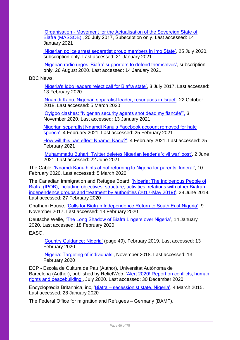'Organisation - [Movement for the Actualisation of the Sovereign State of](https://monitoring.bbc.co.uk/search?searchText=biafra&best=true&sort=publication_time&sortDirection=DESC)  [Biafra \(MASSOB\)'](https://monitoring.bbc.co.uk/search?searchText=biafra&best=true&sort=publication_time&sortDirection=DESC), 20 July 2017, Subscription only. Last accessed: 14 January 2021

['Nigerian police arrest separatist group members in Imo State',](https://monitoring.bbc.co.uk/search?searchText=biafra&best=true&sort=publication_time&sortDirection=DESC) 25 July 2020, subscription only. Last accessed: 21 January 2021

['Nigerian radio urges 'Biafra' supporters](https://monitoring.bbc.co.uk/search?searchText=biafra&best=true&sort=publication_time&sortDirection=DESC) to defend themselves', subscription only, 26 August 2020. Last accessed: 14 January 2021

BBC News,

['Nigeria's Igbo leaders reject call for Biafra state',](https://www.bbc.co.uk/news/world-africa-40481323) 3 July 2017. Last accessed: 13 February 2020

'Nnamdi Kanu, Nigerian [separatist leader, resurfaces in Israel',](https://www.bbc.co.uk/news/world-africa-45938456) 22 October 2018. Last accessed: 5 March 2020

['Oyigbo clashes: "Nigerian security agents shot dead my fiancée"',](https://www.bbc.co.uk/news/world-africa-54791650) 3 November 2020. Last accessed: 13 January 2021

[Nigerian separatist Nnamdi Kanu's Facebook account removed for hate](https://www.bbc.co.uk/news/world-africa-55934277)  [speech',](https://www.bbc.co.uk/news/world-africa-55934277) 4 February 2021. Last accessed: 25 February 2021

[How will this ban effect Nnamdi Kanu?',](https://www.bbc.co.uk/news/world-africa-55934277) 4 February 2021. Last accessed: 25 February 2021

['Muhammadu Buhari: Twitter deletes Nigerian leader's 'civil war' post',](https://www.bbc.co.uk/news/world-africa-57336571) 2 June 2021. Last accessed: 22 June 2021

The Cable, ['Nnamdi Kanu hints at not returning to Nigeria for parents' funeral',](https://www.thecable.ng/nnamdi-kanu-hints-at-not-returning-to-nigeria-for-parents-funeral) 10 February 2020. Last accessed: 5 March 2020

The Canadian Immigration and Refugee Board, 'Nigeria: [The Indigenous People of](https://irb-cisr.gc.ca/en/country-information/rir/Pages/index.aspx?doc=457837&pls=1)  [Biafra \(IPOB\), including objectives, structure, activities, relations with other Biafran](https://irb-cisr.gc.ca/en/country-information/rir/Pages/index.aspx?doc=457837&pls=1)  [independence groups and treatment by authorities \(2017-May 2019\)',](https://irb-cisr.gc.ca/en/country-information/rir/Pages/index.aspx?doc=457837&pls=1) 28 June 2019. Last accessed: 27 February 2020

Chatham House, ['Calls for Biafran Independence Return to South East Nigeria',](https://www.chathamhouse.org/expert/comment/calls-biafran-independence-return-south-east-nigeria) 9 November 2017. Last accessed: 13 February 2020

Deutsche Welle, ['The Long Shadow of Biafra Lingers over Nigeria',](https://www.dw.com/en/the-long-shadow-of-biafra-lingers-over-nigeria/a-51988720) 14 January 2020. Last accessed: 18 February 2020

EASO,

['Country Guidance: Nigeria'](https://www.easo.europa.eu/sites/default/files/Country_Guidance_Nigeria_2019.pdf) (page 49), February 2019. Last accessed: 13 February 2020

['Nigeria: Targeting of individuals',](https://coi.easo.europa.eu/administration/easo/PLib/2018_EASO_COI_Nigeria_TargetingIndividuals.pdf) November 2018. Last accessed: 13 February 2020

ECP - Escola de Cultura de Pau (Author), Universitat Autònoma de Barcelona (Author), published by ReliefWeb: ['Alert 2020! Report on conflicts, human](https://reliefweb.int/sites/reliefweb.int/files/resources/alerta20i.pdf)  [rights and peacebuilding',](https://reliefweb.int/sites/reliefweb.int/files/resources/alerta20i.pdf) July 2020. Last accessed: 30 December 2020

Encyclopædia Britannica, inc, 'Biafra – [secessionist state, Nigeria',](https://www.britannica.com/place/Biafra) 4 March 2015. Last accessed: 28 January 2020

The Federal Office for migration and Refugees – Germany (BAMF),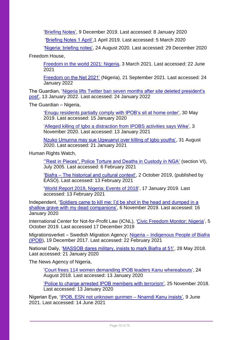['Briefing Notes',](https://www.ecoi.net/en/file/‌local/2022111/briefingnotes-kw50-2019.pdf) 9 December 2019. Last accessed: 8 January 2020

['Briefing Notes 1 April',](https://www.ecoi.net/en/file/local/2006129/Deutschland___Bundesamt_für_Migration_und_Flüchtlinge%2C_Briefing_Notes%2C_01.04.2019_%28englisch%29.pdf)1 April 2019. Last accessed: 5 March 2020

['Nigeria: briefing notes',](https://www.ecoi.net/en/file/local/2037636/briefingnotes-kw35-2020.pdf) 24 August 2020. Last accessed: 29 December 2020

Freedom House,

[Freedom in the world 2021: Nigeria,](https://freedomhouse.org/country/nigeria/freedom-world/2021) 3 March 2021. Last accessed: 22 June 2021

[Freedom on the Net 2021'](https://freedomhouse.org/country/nigeria/freedom-net/2021) (Nigeria), 21 September 2021. Last accessed: 24 January 2022

The Guardian, 'Nigeria lifts Twitter ban seven [months after site deleted president's](https://www.theguardian.com/world/2022/jan/13/nigeria-lifts-twitter-ban-seven-months-after-site-deleted-presidents-post)  [post',](https://www.theguardian.com/world/2022/jan/13/nigeria-lifts-twitter-ban-seven-months-after-site-deleted-presidents-post) 13 January 2022. Last accessed: 24 January 2022

The Guardian – Nigeria,

['Enugu residents partially comply with IPOB's sit at home order',](https://guardian.ng/news/enugu-residents-partially-comply-with-ipobs-sit-at-home-order/) 30 May 2019. Last accessed: 15 January 2020

['Alleged killing of Igbo a distraction from IPOBS activities says Wike',](https://guardian.ng/news/alleged-killing-of-igbo-a-distraction-from-ipobs-activities-says-wike/) 3 November 2020. Last accessed: 13 January 2021

[Nzuko Umunna may sue Ugwuanyi over killing of Igbo youths',](https://guardian.ng/news/nzuko-umunna-may-sue-ugwuanyi-over-killing-of-igbo-youths/) 31 August 2020. Last accessed: 21 January 2021

Human Rights Watch,

['"Rest in Pieces", Police Torture and Deaths in Custody in NGA'](https://www.hrw.org/reports/2005/nigeria0705/) (section VI), July 2005. Last accessed: 6 February 2021

'Biafra – [The historical and cultural context',](https://coi.easo.europa.eu/administration/easo/‌ILib/2019_EASO_SNM_West_Africa_HRW_Nigeria_Biafra_Historical_and_current_context.pdf) 2 October 2019, (published by EASO). Last accessed: 13 February 2021

['World Report 2019, Nigeria: Events of 2018'](https://www.hrw.org/world-report/2019/country-chapters/nigeria), 17 January 2019. Last accessed: 13 February 2021

Independent, ['Soldiers came to kill me: I'd be shot in the head and dumped in a](https://www.independent.co.uk/news/long_reads/nnamdi-kanu-indigenous-people-of-biafra-conflict-1967-a9169196.html)  [shallow grave with my dead companions',](https://www.independent.co.uk/news/long_reads/nnamdi-kanu-indigenous-people-of-biafra-conflict-1967-a9169196.html) 6 November 2019. Last accessed: 16 January 2020

International Center for Not-for-Profit Law (ICNL), ['Civic Freedom Monitor: Nigeria'](https://www.icnl.org/resources/‌civic-freedom-monitor/nigeria), 5 October 2019. Last accessed 17 December 2019

Migrationsverket – Swedish Migration Agency: Nigeria – [Indigenous People of Biafra](https://www.ecoi.net/en/file/local/1420588/1226_1515060267_171219102.pdf)  [\(IPOB\)](https://www.ecoi.net/en/file/local/1420588/1226_1515060267_171219102.pdf), 19 December 2017. Last accessed: 22 February 2021

National Daily, ['MASSOB dares military, insists to mark Biafra at 51',](https://nationaldailyng.com/massob-dares-military-insists-to-mark-biafra-at-51/) 28 May 2018. Last accessed: 21 January 2020

The News Agency of Nigeria,

['Court frees 114 women demanding IPOB leaders Kanu whereabouts'](https://www.nan.ng/page/2/?s=IPOB), 24 August 2018. Last accessed: 13 January 2020

['Police to charge arrested IPOB members with](https://www.nan.ng/page/2/?s=IPOB) terrorism', 25 November 2018. Last accessed: 13 January 2020

Nigerian Eye, ['IPOB, ESN not unknown gunmen –](https://www.nigerianeye.com/2021/06/ipob-esn-not-unknown-gunmen-nnamdi-kanu.html) Nnamdi Kanu insists', 9 June 2021. Last accessed: 14 June 2021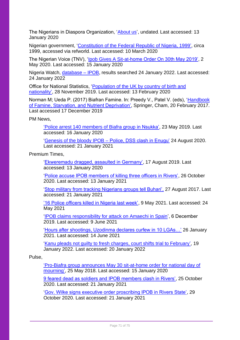The Nigerians in Diaspora Organization, ['About us'](https://nidouksouth.org/about-us/), undated. Last accessed: 13 January 2020

Nigerian government, ['Constitution of the Federal Republic of Nigeria, 1999',](https://www.refworld.org/pdfid/44e344fa4.pdf) circa 1999, accessed via refworld. Last accessed: 10 March 2020

The Nigerian Voice (TNV), ['Ipob Gives A Sit-at-home Order On 30th May 2019',](https://www.thenigerianvoice.com/news/277825/ipob-gives-a-sit-at-home-order-on-30th-may-2019.html) 2 May 2020. Last accessed: 15 January 2020

Nigeria Watch, [database –](http://www.nigeriawatch.org/index.php?urlaction=evtListe&page=1) IPOB, results searched 24 January 2022. Last accessed: 24 January 2022

Office for National Statistics, ['Population of the UK by country of birth and](https://www.ons.gov.uk/peoplepopulationandcommunity/‌pop‌ulationandmigration/internationalmigration/datasets/populationoftheunitedkingdombycountryofbirthandnationalityunderlyingdatasheets)  [nationality',](https://www.ons.gov.uk/peoplepopulationandcommunity/‌pop‌ulationandmigration/internationalmigration/datasets/populationoftheunitedkingdombycountryofbirthandnationalityunderlyingdatasheets) 28 November 2019. Last accessed: 13 February 2020

Norman M; Ueda P. (2017) Biafran Famine. In: Preedy V., Patel V. (eds), ['Handbook](https://link.springer.com/referenceworkentry/10.1007%2F978-3-319-40007-5_8-1#citeas)  [of Famine, Starvation, and Nutrient Deprivation',](https://link.springer.com/referenceworkentry/10.1007%2F978-3-319-40007-5_8-1#citeas) Springer, Cham, 20 February 2017. Last accessed 17 December 2019

PM News,

['Police arrest 140 members of Biafra group in Nsukka',](https://www.pmnewsnigeria.com/2019/05/23/police-arrest-140-members-of-biafra-group-in-nsukka/) 23 May 2019. Last accessed: 16 January 2020

['Genesis of the bloody IPOB –](https://www.pmnewsnigeria.com/2020/08/24/inside-story-genesis-of-the-bloody-ipob-police-dss-clash-in-enugu/) Police, DSS clash in Enugu' 24 August 2020. Last accessed: 21 January 2021

Premium Times,

['Ekweremadu dragged, assaulted in Germany',](https://www.pmnewsnigeria.com/2019/05/23/police-arrest-140-members-of-biafra-group-in-nsukka/) 17 August 2019. Last accessed: 13 January 2020

['Police accuse IPOB members of killing three officers in Rivers',](https://www.premiumtimesng.com/news/headlines/423207-police-accuse-ipob-members-of-killing-three-officers-in-rivers.html%2026%20October%202020) 26 October 2020. Last accessed: 13 January 2021

['Stop military from tracking Nigerians groups tell Buhari',](https://www.premiumtimesng.com/news/top-news/241677-stop-military-from-tracking-nigerians-on-social-media-groups-tell-buhari.html) 27 August 2017. Last accessed: 21 January 2021

['16 Police officers killed in Nigeria last week',](https://www.premiumtimesng.com/news/headlines/460408-16-police-officers-killed-in-nigeria-last-week.html) 9 May 2021. Last accessed: 24 May 2021

['IPOB claims responsibility for attack on Amaechi in Spain'](https://www.premiumtimesng.com/news/headlines/367008-ipob-claims-responsibility-for-attack-on-amaechi-in-spain.html), 6 December 2019. Last accessed: 9 June 2021

['Hours after shootings, Uzodinma declares curfew in 10 LGAs…'](https://www.premiumtimesng.com/news/headlines/438715-hours-after-shootings-uzodinma-declares-curfew-in-10-lgas-in-imo.html) 26 January 2021. Last accessed: 14 June 2021

['Kanu pleads not guilty to fresh charges, court shifts trial to February',](https://www.premiumtimesng.com/news/headlines/506616-updated-kanu-pleads-not-guilty-to-fresh-charges-court-shifts-trial-to-february.html) 19 January 2022. Last accessed: 20 January 2022

Pulse,

['Pro-Biafra group announces May 30 sit-at-home order for national day of](https://www.pulse.ng/news/local/ipob-pro-biafra-group-announces-may-30-sit-at-home-order-for-national-day-of-mourning/b5c69jw)  [mourning',](https://www.pulse.ng/news/local/ipob-pro-biafra-group-announces-may-30-sit-at-home-order-for-national-day-of-mourning/b5c69jw) 25 May 2018. Last accessed: 15 January 2020

[9 feared dead as soldiers and IPOB members clash in Rivers',](https://www.pulse.ng/news/local/9-feared-dead-as-soldiers-and-ipob-members-clash-in-rivers/exn4hsr) 25 October 2020. Last accessed: 21 January 2021

['Gov. Wilke signs executive order proscribing IPOB in Rivers State',](https://www.pulse.ng/news/local/gov-wike-signs-executive-order-proscribing-ipob-in-rivers/nx5nfmq) 29 October 2020. Last accessed: 21 January 2021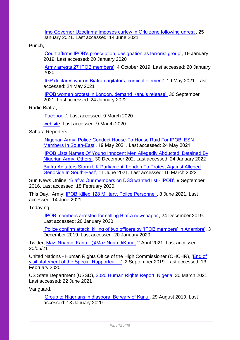['Imo Governor Uzodinma imposes curfew in Orlu zone following unrest',](https://www.pulse.ng/news/local/orlu-imo-governor-uzodinma-imposes-curfew-following-unrest/xdhdsgg) 25 January 2021. Last accessed: 14 June 2021

Punch,

['Court affirms IPOB's proscription, designation as terrorist group',](https://punchng.com/court-affirms-ipobs-proscription-designation-as-terrorist-group/) 19 January 2019. Last accessed: 20 January 2020

['Army arrests 27 IPOB members',](https://punchng.com/army-arrests-27-ipob-members/) 4 October 2019. Last accessed: 20 January 2020

['IGP declares war on Biafran agitators, criminal element',](https://punchng.com/ig-declares-war-on-biafran-agitators-criminal-elements/) 19 May 2021. Last accessed: 24 May 2021

['IPOB women protest in London, demand Kanu's release',](https://punchng.com/video-ipob-women-protest-in-london-demand-kanus-release/) 30 September 2021. Last accessed: 24 January 2022

Radio Biafra,

['Facebook'](https://www.facebook.com/events/603368200123809/). Last accessed: 9 March 2020

[website.](http://radiobiafra.co/) Last accessed: 9 March 2020

Sahara Reporters,

['Nigerian Army, Police Conduct House-To-House Raid For IPOB, ESN](http://saharareporters.com/2021/05/19/nigerian-army-police-conduct-house-house-raid-ipob-esn-members-south-east)  [Members In South-East'](http://saharareporters.com/2021/05/19/nigerian-army-police-conduct-house-house-raid-ipob-esn-members-south-east), 19 May 2021. Last accessed: 24 May 2021

['IPOB Lists Names Of Young Innocent Men Allegedly Abducted, Detained By](http://saharareporters.com/2021/12/30/ipob-lists-names-young-innocent-men-allegedly-abducted-detained-nigerian-army-others)  [Nigerian Army, Others',](http://saharareporters.com/2021/12/30/ipob-lists-names-young-innocent-men-allegedly-abducted-detained-nigerian-army-others) 30 December 202. Last accessed: 24 January 2022

[Biafra Agitators Storm UK Parliament, London To Protest Against Alleged](http://saharareporters.com/2021/06/11/biafra-agitators-storm-uk-parliament-london-protest-against-alleged-genocide-south-east)  [Genocide In South-East',](http://saharareporters.com/2021/06/11/biafra-agitators-storm-uk-parliament-london-protest-against-alleged-genocide-south-east) 11 June 2021. Last accessed: 16 March 2022

Sun News Online, ['Biafra: Our members on DSS wanted list -](https://www.sunnewsonline.com/biafra-our-members-on-dss-wanted-list-ipob/) IPOB', 9 September 2016. Last accessed: 18 February 2020

This Day, 'Army: [IPOB Killed 128 Military, Police Personnel',](https://www.thisdaylive.com/index.php/2021/06/08/army-ipob-killed-128-military-police-personnel/) 8 June 2021. Last accessed: 14 June 2021

Today.ng,

['IPOB members arrested for selling Biafra newspaper',](https://www.today.ng/news/metro/ipob-members-arrested-selling-biafra-newspaper-270353) 24 December 2019. Last accessed: 20 January 2020

['Police confirm attack, killing of two officers by 'IPOB members' in Anambra',](https://www.today.ng/news/nigeria/police-confirm-attack-killing-officers-ipob-members-anambra-267048) 3 December 2019. Last accessed: 20 January 2020

Twitter, [Mazi Nnamdi Kanu -](https://twitter.com/MaziNnamdiKanu/status/1380026291508944896) @MaziNnamdiKanu, 2 April 2021. Last accessed: 20/05/21

United Nations - Human Rights Office of the High Commissioner (OHCHR), ['End of](https://www.ohchr.org/EN/NewsEvents/Pages/DisplayNews.aspx?NewsID=24934&LangID=E)  [visit statement of the Special Rapporteur…',](https://www.ohchr.org/EN/NewsEvents/Pages/DisplayNews.aspx?NewsID=24934&LangID=E) 2 September 2019. Last accessed: 13 February 2020

US State Department (USSD), [2020 Human Rights Report, Nigeria,](https://www.state.gov/reports/2020-country-reports-on-human-rights-practices/nigeria/) 30 March 2021. Last accessed: 22 June 2021

Vanguard,

['Group to Nigerians in diaspora: Be wary of Kanu',](https://www.vanguardngr.com/2019/08/group-to-nigerians-in-diaspora-be-wary-of-kanu/) 29 August 2019. Last accessed: 13 January 2020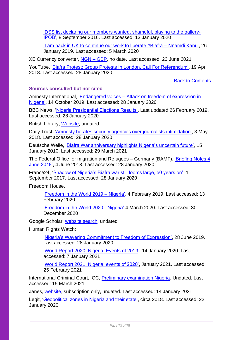['DSS list declaring our members wanted, shameful, playing to the gallery-](https://www.vanguardngr.com/2016/09/dss-list-declaring-our-members-wanted-shameful-playing-to-the-gallery-ipob/)[IPOB',](https://www.vanguardngr.com/2016/09/dss-list-declaring-our-members-wanted-shameful-playing-to-the-gallery-ipob/) 8 September 2016. Last accessed: 13 January 2020

['I am back in UK to continue our work to liberate #Biafra –](https://www.vanguardngr.com/2019/01/i-am-back-in-uk-to-continue-our-work-to-liberate-biafra-nnamdi-kanu/) Nnamdi Kanu', 26 January 2019. Last accessed: 5 March 2020

XE Currency converter, [NGN –](https://www.xe.com/currencyconverter/convert/?Amount=100000000&From=NGN&To=GBP) GBP, no date. Last accessed: 23 June 2021

YouTube, ['Biafra Protest: Group Protests In London, Call For Referendum',](https://www.youtube.com/watch?v=Y70LTyppsdQ) 19 April 2018. Last accessed: 28 January 2020

[Back to Contents](#page-1-0)

## **Sources consulted but not cited**

Amnesty International, 'Endangered voices – [Attack on freedom of expression in](https://www.amnesty.org/en/documents/afr44/9504/2019/en/)  [Nigeria',](https://www.amnesty.org/en/documents/afr44/9504/2019/en/) 14 October 2019. Last accessed: 28 January 2020

BBC News, ['Nigeria Presidential Elections Results',](https://www.bbc.co.uk/news/resources/idt-f0b25208-4a1d-4068-a204-940cbe88d1d3) Last updated 26 February 2019. Last accessed: 28 January 2020

British Library, [Website,](http://explore.bl.uk/primo_library/libweb/action/search.do?menuitem=0&fromTop=true&fromPreferences=false&fromEshelf=false&vid=BLVU1) undated

Daily Trust, ['Amnesty berates security agencies over journalists intimidation',](https://www.dailytrust.com.ng/amnesty-berates-security-agencies-over-journalists-intimidation.html) 3 May 2018. Last accessed: 28 January 2020

Deutsche Welle, ['Biafra War anniversary highlights Nigeria's uncertain future',](https://www.dw.com/en/biafra-war-anniversary-highlights-nigerias-uncertain-future/a-5126009) 15 January 2010. Last accessed: 29 March 2021

The Federal Office for migration and Refugees – Germany (BAMF), *'Briefing Notes 4* [June 2018',](https://www.ecoi.net/en/file/local/1442585/1226_1536218415_deutschland-bundesamt-fuer-migration-und-fluechtlinge-briefing-notes-04-06-2018-englisch.pdf) 4 June 2018. Last accessed: 28 January 2020

France24, ['Shadow of Nigeria's Biafra war still looms large, 50 years on',](https://www.france24.com/en/20170901-revisited-biafra-nigeria-civil-war-landmine-famine-humanitarian-aid-obudu) 1 September 2017. Last accessed: 28 January 2020

Freedom House,

['Freedom in the World 2019 –](https://freedomhouse.org/report/freedom-world/2019/nigeria) Nigeria', 4 February 2019. Last accessed: 13 February 2020

['Freedom in the World 2020 -](https://www.ecoi.net/en/document/2035799.html) Nigeria' 4 March 2020. Last accessed: 30 December 2020

Google Scholar, [website search,](https://scholar.google.com/scholar?hl=en&scisbd=1&as_sdt=0%2C5&q=IPOB&btnG=) undated

Human Rights Watch:

['Nigeria's Wavering Commitment to Freedom of Expression',](https://www.ecoi.net/en/document/2012219.html) 28 June 2019. Last accessed: 28 January 2020

['World Report 2020, Nigeria: Events of 2019](https://www.hrw.org/world-report/2019/country-chapters/nigeria)', 14 January 2020. Last accessed: 7 January 2021

['World Report 2021, Nigeria: events of 2020',](https://www.hrw.org/world-report/2021/country-chapters/nigeria#761225) January 2021. Last accessed: 25 February 2021

International Criminal Court, ICC, [Preliminary examination Nigeria,](https://www.icc-cpi.int/nigeria) Undated. Last accessed: 15 March 2021

Janes, [website,](https://customer.janes.com/janes/search?q=Biafra&pg=1&sort=postdate|dsc) subscription only, undated. Last accessed: 14 January 2021

Legit, ['Geopolitical zones in Nigeria and their state',](https://www.legit.ng/1094595-geopolitical-zones-nigeria-states.html) circa 2018. Last accessed: 22 January 2020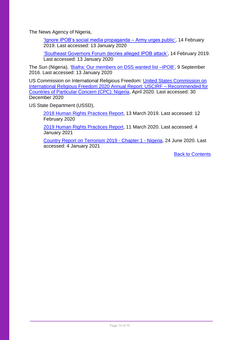The News Agency of Nigeria,

['Ignore IPOB's social media propaganda –](https://www.nan.ng/page/2/?s=IPOB) Army urges public', 14 February 2019. Last accessed: 13 January 2020

['Southeast Governors Forum decries alleged IPOB attack',](https://www.nan.ng/page/2/?s=IPOB) 14 February 2019. Last accessed: 13 January 2020

The Sun (Nigeria), ['Biafra: Our members on DSS wanted list –IPOB',](https://www.sunnewsonline.com/biafra-our-members-on-dss-wanted-list-ipob) 9 September 2016. Last accessed: 13 January 2020

US Commission on International Religious Freedom: [United States Commission on](https://www.ecoi.net/en/file/local/2028970/Nigeria.pdf)  [International Religious Freedom 2020 Annual Report; USCIRF –](https://www.ecoi.net/en/file/local/2028970/Nigeria.pdf) Recommended for [Countries of Particular Concern \(CPC\): Nigeria,](https://www.ecoi.net/en/file/local/2028970/Nigeria.pdf) April 2020. Last accessed: 30 December 2020

US State Department (USSD),

[2018 Human Rights Practices Report,](https://www.state.gov/reports/2018-country-reports-on-human-rights-practices/nigeria/) 13 March 2019. Last accessed: 12 February 2020

[2019 Human Rights Practices Report,](https://www.state.gov/reports/2019-country-reports-on-human-rights-practices/nigeria/) 11 March 2020. Last accessed: 4 January 2021

[Country Report on Terrorism 2019 -](https://www.state.gov/reports/country-reports-on-terrorism-2019/nigeria/) Chapter 1 - Nigeria, 24 June 2020. Last accessed: 4 January 2021

[Back to Contents](#page-1-0)